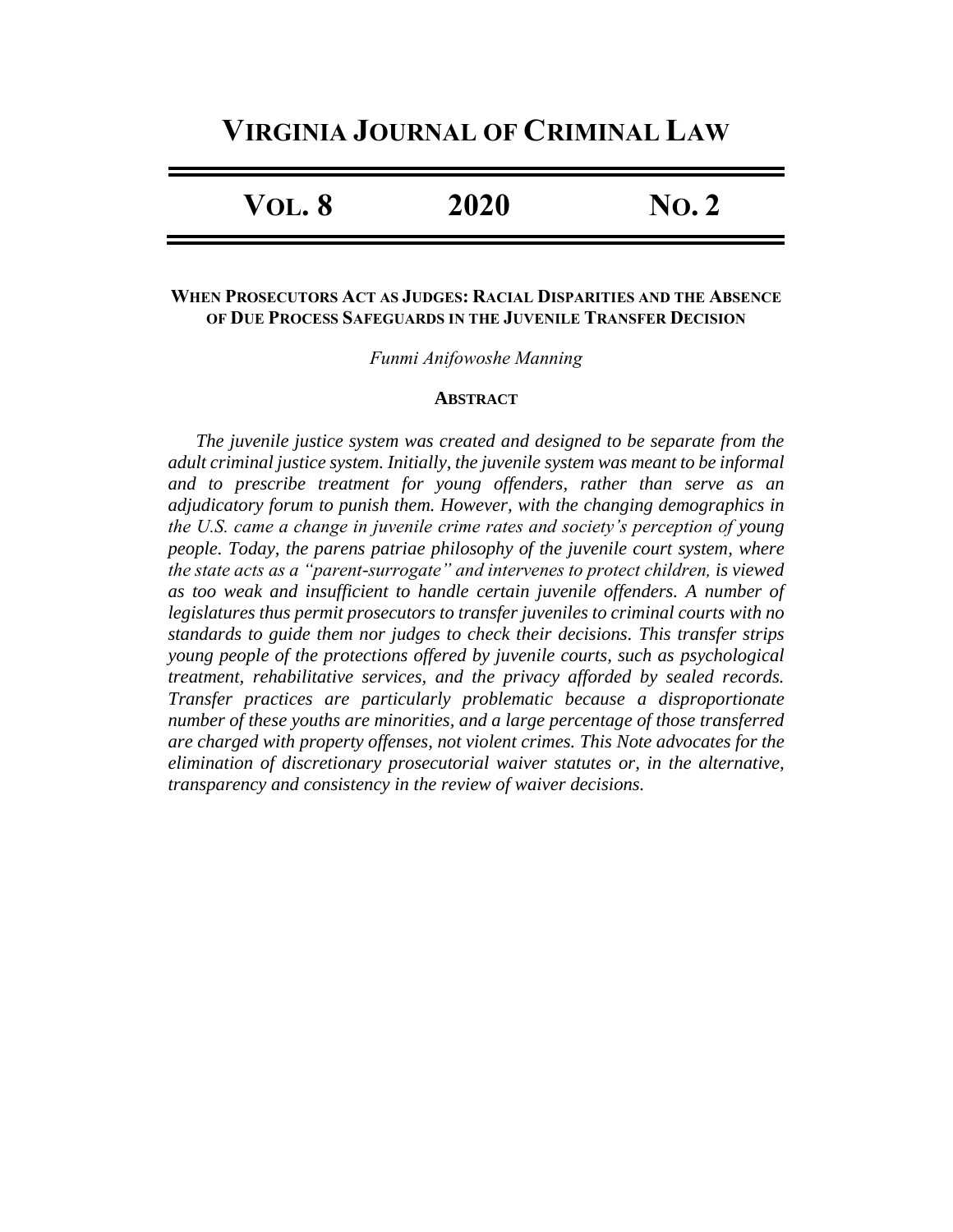# **VIRGINIA JOURNAL OF CRIMINAL LAW**

| $\bf{No.}2$ |
|-------------|
|             |

# **WHEN PROSECUTORS ACT AS JUDGES: RACIAL DISPARITIES AND THE ABSENCE OF DUE PROCESS SAFEGUARDS IN THE JUVENILE TRANSFER DECISION**

*Funmi Anifowoshe Manning*

#### **ABSTRACT**

*The juvenile justice system was created and designed to be separate from the adult criminal justice system. Initially, the juvenile system was meant to be informal and to prescribe treatment for young offenders, rather than serve as an adjudicatory forum to punish them. However, with the changing demographics in the U.S. came a change in juvenile crime rates and society's perception of young people. Today, the parens patriae philosophy of the juvenile court system, where the state acts as a "parent-surrogate" and intervenes to protect children, is viewed as too weak and insufficient to handle certain juvenile offenders. A number of legislatures thus permit prosecutors to transfer juveniles to criminal courts with no standards to guide them nor judges to check their decisions. This transfer strips young people of the protections offered by juvenile courts, such as psychological treatment, rehabilitative services, and the privacy afforded by sealed records. Transfer practices are particularly problematic because a disproportionate number of these youths are minorities, and a large percentage of those transferred are charged with property offenses, not violent crimes. This Note advocates for the elimination of discretionary prosecutorial waiver statutes or, in the alternative, transparency and consistency in the review of waiver decisions.*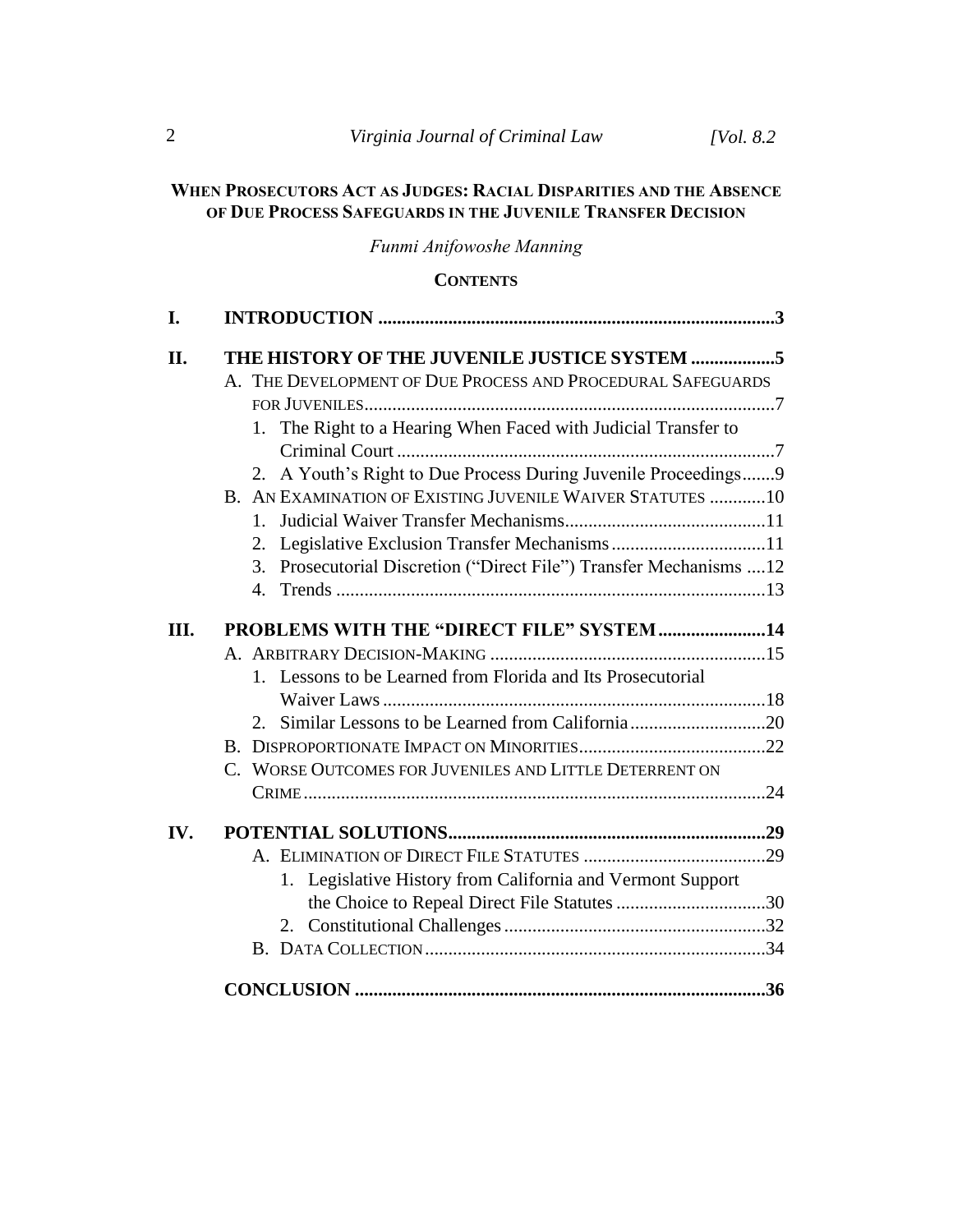# **WHEN PROSECUTORS ACT AS JUDGES: RACIAL DISPARITIES AND THE ABSENCE OF DUE PROCESS SAFEGUARDS IN THE JUVENILE TRANSFER DECISION**

*Funmi Anifowoshe Manning*

# **CONTENTS**

| I.   |                                                                        |
|------|------------------------------------------------------------------------|
| II.  | THE HISTORY OF THE JUVENILE JUSTICE SYSTEM 5                           |
|      | A. THE DEVELOPMENT OF DUE PROCESS AND PROCEDURAL SAFEGUARDS            |
|      |                                                                        |
|      | 1. The Right to a Hearing When Faced with Judicial Transfer to         |
|      |                                                                        |
|      | 2. A Youth's Right to Due Process During Juvenile Proceedings9         |
|      | B. AN EXAMINATION OF EXISTING JUVENILE WAIVER STATUTES 10              |
|      | $1_{-}$                                                                |
|      | 2. Legislative Exclusion Transfer Mechanisms 11                        |
|      | Prosecutorial Discretion ("Direct File") Transfer Mechanisms  12<br>3. |
|      |                                                                        |
| III. | PROBLEMS WITH THE "DIRECT FILE" SYSTEM14                               |
|      |                                                                        |
|      | 1. Lessons to be Learned from Florida and Its Prosecutorial            |
|      |                                                                        |
|      |                                                                        |
|      |                                                                        |
|      | C. WORSE OUTCOMES FOR JUVENILES AND LITTLE DETERRENT ON                |
|      |                                                                        |
|      |                                                                        |
| IV.  |                                                                        |
|      |                                                                        |
|      | 1. Legislative History from California and Vermont Support             |
|      | the Choice to Repeal Direct File Statutes 30                           |
|      |                                                                        |
|      |                                                                        |
|      |                                                                        |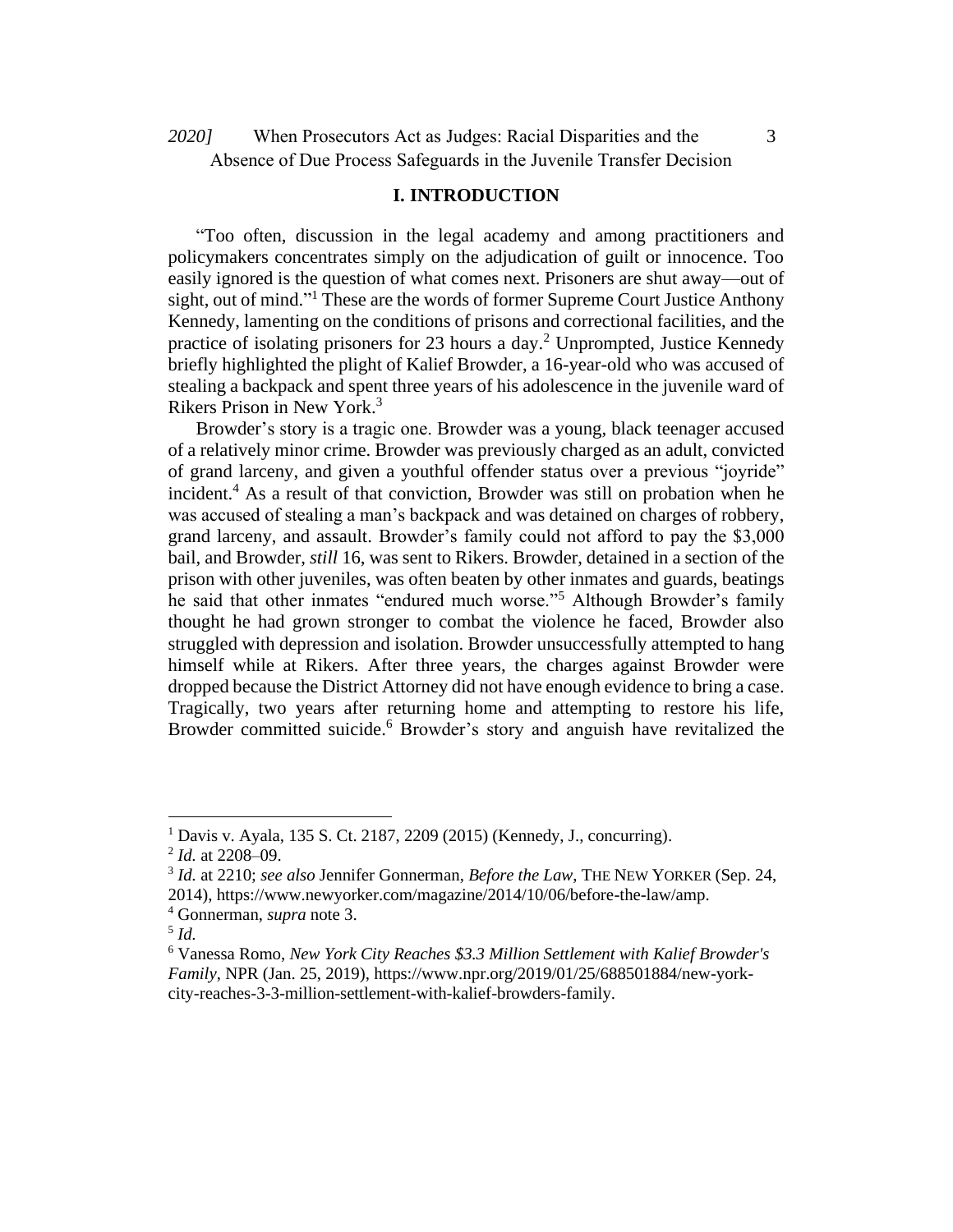When Prosecutors Act as Judges: Racial Disparities and the *2020]* 3 Absence of Due Process Safeguards in the Juvenile Transfer Decision

### **I. INTRODUCTION**

"Too often, discussion in the legal academy and among practitioners and policymakers concentrates simply on the adjudication of guilt or innocence. Too easily ignored is the question of what comes next. Prisoners are shut away—out of sight, out of mind."<sup>1</sup> These are the words of former Supreme Court Justice Anthony Kennedy, lamenting on the conditions of prisons and correctional facilities, and the practice of isolating prisoners for 23 hours a day.<sup>2</sup> Unprompted, Justice Kennedy briefly highlighted the plight of Kalief Browder, a 16-year-old who was accused of stealing a backpack and spent three years of his adolescence in the juvenile ward of Rikers Prison in New York.<sup>3</sup>

Browder's story is a tragic one. Browder was a young, black teenager accused of a relatively minor crime. Browder was previously charged as an adult, convicted of grand larceny, and given a youthful offender status over a previous "joyride" incident.<sup>4</sup> As a result of that conviction, Browder was still on probation when he was accused of stealing a man's backpack and was detained on charges of robbery, grand larceny, and assault. Browder's family could not afford to pay the \$3,000 bail, and Browder, *still* 16, was sent to Rikers. Browder, detained in a section of the prison with other juveniles, was often beaten by other inmates and guards, beatings he said that other inmates "endured much worse."<sup>5</sup> Although Browder's family thought he had grown stronger to combat the violence he faced, Browder also struggled with depression and isolation. Browder unsuccessfully attempted to hang himself while at Rikers. After three years, the charges against Browder were dropped because the District Attorney did not have enough evidence to bring a case. Tragically, two years after returning home and attempting to restore his life, Browder committed suicide.<sup>6</sup> Browder's story and anguish have revitalized the

<sup>1</sup> Davis v. Ayala, 135 S. Ct. 2187, 2209 (2015) (Kennedy, J., concurring).

<sup>2</sup> *Id.* at 2208–09.

<sup>3</sup> *Id.* at 2210; *see also* Jennifer Gonnerman, *Before the Law*, THE NEW YORKER (Sep. 24, 2014), https://www.newyorker.com/magazine/2014/10/06/before-the-law/amp.

<sup>4</sup> Gonnerman, *supra* note 3.

<sup>5</sup> *Id.*

<sup>6</sup> Vanessa Romo, *New York City Reaches \$3.3 Million Settlement with Kalief Browder's Family*, NPR (Jan. 25, 2019), https://www.npr.org/2019/01/25/688501884/new-yorkcity-reaches-3-3-million-settlement-with-kalief-browders-family.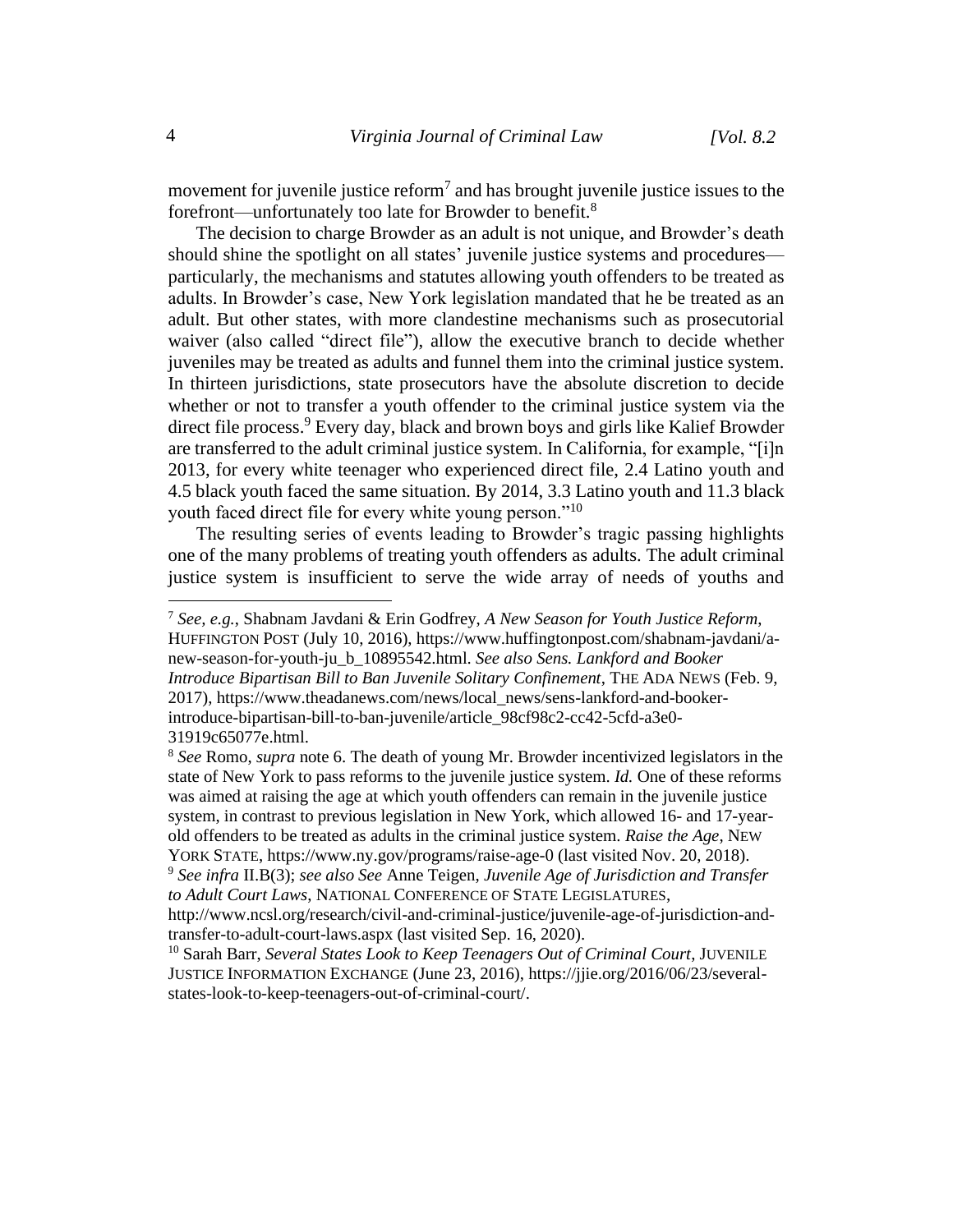movement for juvenile justice reform<sup>7</sup> and has brought juvenile justice issues to the forefront—unfortunately too late for Browder to benefit.<sup>8</sup>

The decision to charge Browder as an adult is not unique, and Browder's death should shine the spotlight on all states' juvenile justice systems and procedures particularly, the mechanisms and statutes allowing youth offenders to be treated as adults. In Browder's case, New York legislation mandated that he be treated as an adult. But other states, with more clandestine mechanisms such as prosecutorial waiver (also called "direct file"), allow the executive branch to decide whether juveniles may be treated as adults and funnel them into the criminal justice system. In thirteen jurisdictions, state prosecutors have the absolute discretion to decide whether or not to transfer a youth offender to the criminal justice system via the direct file process. <sup>9</sup> Every day, black and brown boys and girls like Kalief Browder are transferred to the adult criminal justice system. In California, for example, "[i]n 2013, for every white teenager who experienced direct file, 2.4 Latino youth and 4.5 black youth faced the same situation. By 2014, 3.3 Latino youth and 11.3 black youth faced direct file for every white young person."<sup>10</sup>

The resulting series of events leading to Browder's tragic passing highlights one of the many problems of treating youth offenders as adults. The adult criminal justice system is insufficient to serve the wide array of needs of youths and

<sup>7</sup> *See, e.g.*, Shabnam Javdani & Erin Godfrey, *A New Season for Youth Justice Reform*, HUFFINGTON POST (July 10, 2016), https://www.huffingtonpost.com/shabnam-javdani/anew-season-for-youth-ju\_b\_10895542.html. *See also Sens. Lankford and Booker Introduce Bipartisan Bill to Ban Juvenile Solitary Confinement*, THE ADA NEWS (Feb. 9, 2017), https://www.theadanews.com/news/local\_news/sens-lankford-and-bookerintroduce-bipartisan-bill-to-ban-juvenile/article\_98cf98c2-cc42-5cfd-a3e0- 31919c65077e.html.

<sup>8</sup> *See* Romo, *supra* note 6. The death of young Mr. Browder incentivized legislators in the state of New York to pass reforms to the juvenile justice system. *Id.* One of these reforms was aimed at raising the age at which youth offenders can remain in the juvenile justice system, in contrast to previous legislation in New York, which allowed 16- and 17-yearold offenders to be treated as adults in the criminal justice system. *Raise the Age*, NEW YORK STATE, https://www.ny.gov/programs/raise-age-0 (last visited Nov. 20, 2018).

<sup>9</sup> *See infra* II.B(3); *see also See* Anne Teigen, *Juvenile Age of Jurisdiction and Transfer to Adult Court Laws*, NATIONAL CONFERENCE OF STATE LEGISLATURES,

http://www.ncsl.org/research/civil-and-criminal-justice/juvenile-age-of-jurisdiction-andtransfer-to-adult-court-laws.aspx (last visited Sep. 16, 2020).

<sup>&</sup>lt;sup>10</sup> Sarah Barr, *Several States Look to Keep Teenagers Out of Criminal Court*, JUVENILE JUSTICE INFORMATION EXCHANGE (June 23, 2016), https://jjie.org/2016/06/23/severalstates-look-to-keep-teenagers-out-of-criminal-court/.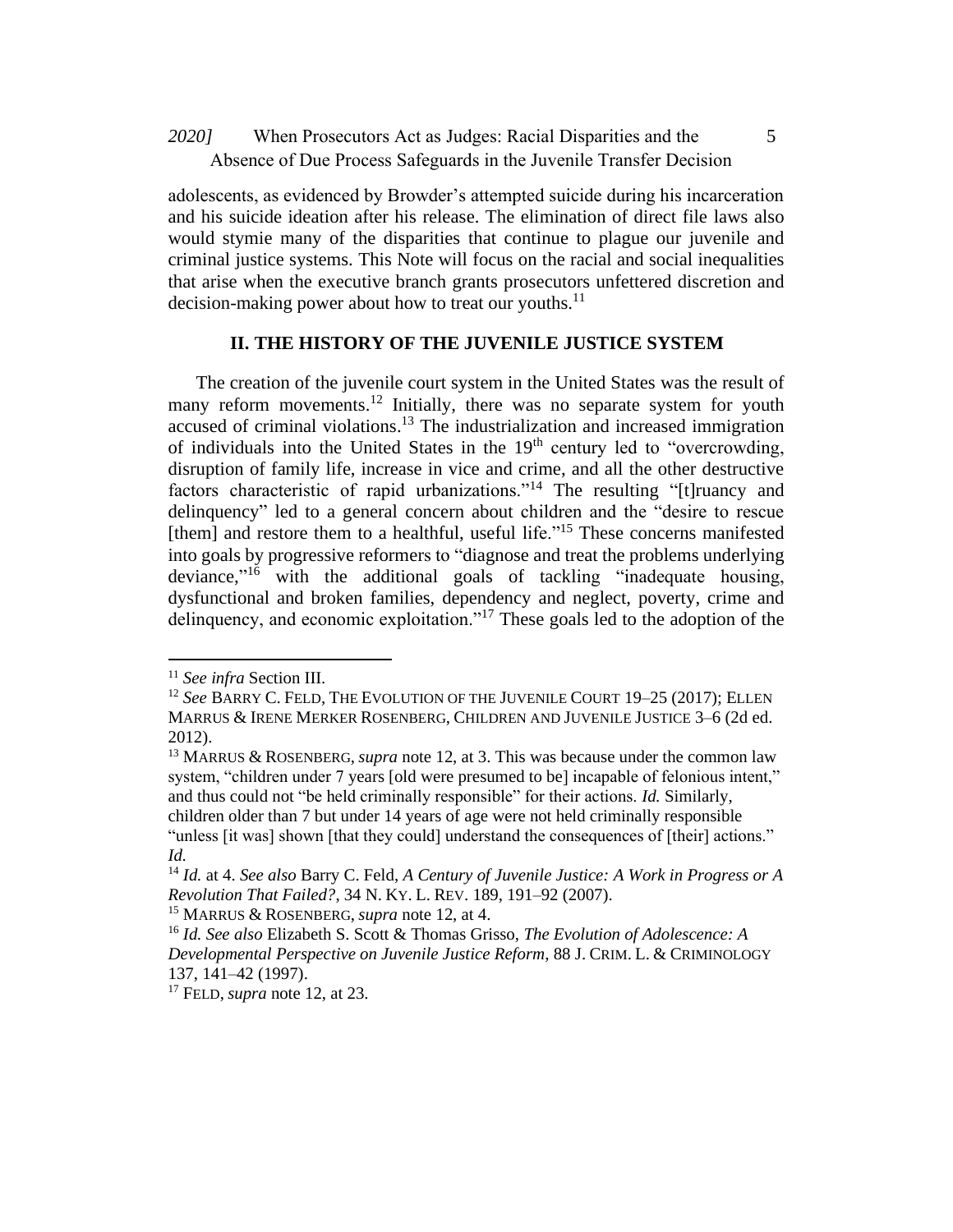When Prosecutors Act as Judges: Racial Disparities and the *2020]* 5 Absence of Due Process Safeguards in the Juvenile Transfer Decision

adolescents, as evidenced by Browder's attempted suicide during his incarceration and his suicide ideation after his release. The elimination of direct file laws also would stymie many of the disparities that continue to plague our juvenile and criminal justice systems. This Note will focus on the racial and social inequalities that arise when the executive branch grants prosecutors unfettered discretion and decision-making power about how to treat our vouths.<sup>11</sup>

# **II. THE HISTORY OF THE JUVENILE JUSTICE SYSTEM**

The creation of the juvenile court system in the United States was the result of many reform movements.<sup>12</sup> Initially, there was no separate system for youth accused of criminal violations.<sup>13</sup> The industrialization and increased immigration of individuals into the United States in the  $19<sup>th</sup>$  century led to "overcrowding, disruption of family life, increase in vice and crime, and all the other destructive factors characteristic of rapid urbanizations."<sup>14</sup> The resulting "[t]ruancy and delinquency" led to a general concern about children and the "desire to rescue [them] and restore them to a healthful, useful life."<sup>15</sup> These concerns manifested into goals by progressive reformers to "diagnose and treat the problems underlying deviance,"<sup>16</sup> with the additional goals of tackling "inadequate housing, dysfunctional and broken families, dependency and neglect, poverty, crime and delinquency, and economic exploitation."<sup>17</sup> These goals led to the adoption of the

<sup>11</sup> *See infra* Section III.

<sup>12</sup> *See* BARRY C. FELD, THE EVOLUTION OF THE JUVENILE COURT 19–25 (2017); ELLEN MARRUS & IRENE MERKER ROSENBERG, CHILDREN AND JUVENILE JUSTICE 3–6 (2d ed. 2012).

<sup>13</sup> MARRUS & ROSENBERG, *supra* note 12, at 3. This was because under the common law system, "children under 7 years [old were presumed to be] incapable of felonious intent," and thus could not "be held criminally responsible" for their actions. *Id.* Similarly, children older than 7 but under 14 years of age were not held criminally responsible "unless [it was] shown [that they could] understand the consequences of [their] actions." *Id.* 

<sup>14</sup> *Id.* at 4. *See also* Barry C. Feld, *A Century of Juvenile Justice: A Work in Progress or A Revolution That Failed?*, 34 N. KY. L. REV. 189, 191–92 (2007).

<sup>15</sup> MARRUS & ROSENBERG, *supra* note 12, at 4.

<sup>16</sup> *Id. See also* Elizabeth S. Scott & Thomas Grisso, *The Evolution of Adolescence: A Developmental Perspective on Juvenile Justice Reform*, 88 J. CRIM. L. & CRIMINOLOGY 137, 141–42 (1997).

<sup>17</sup> FELD, *supra* note 12, at 23.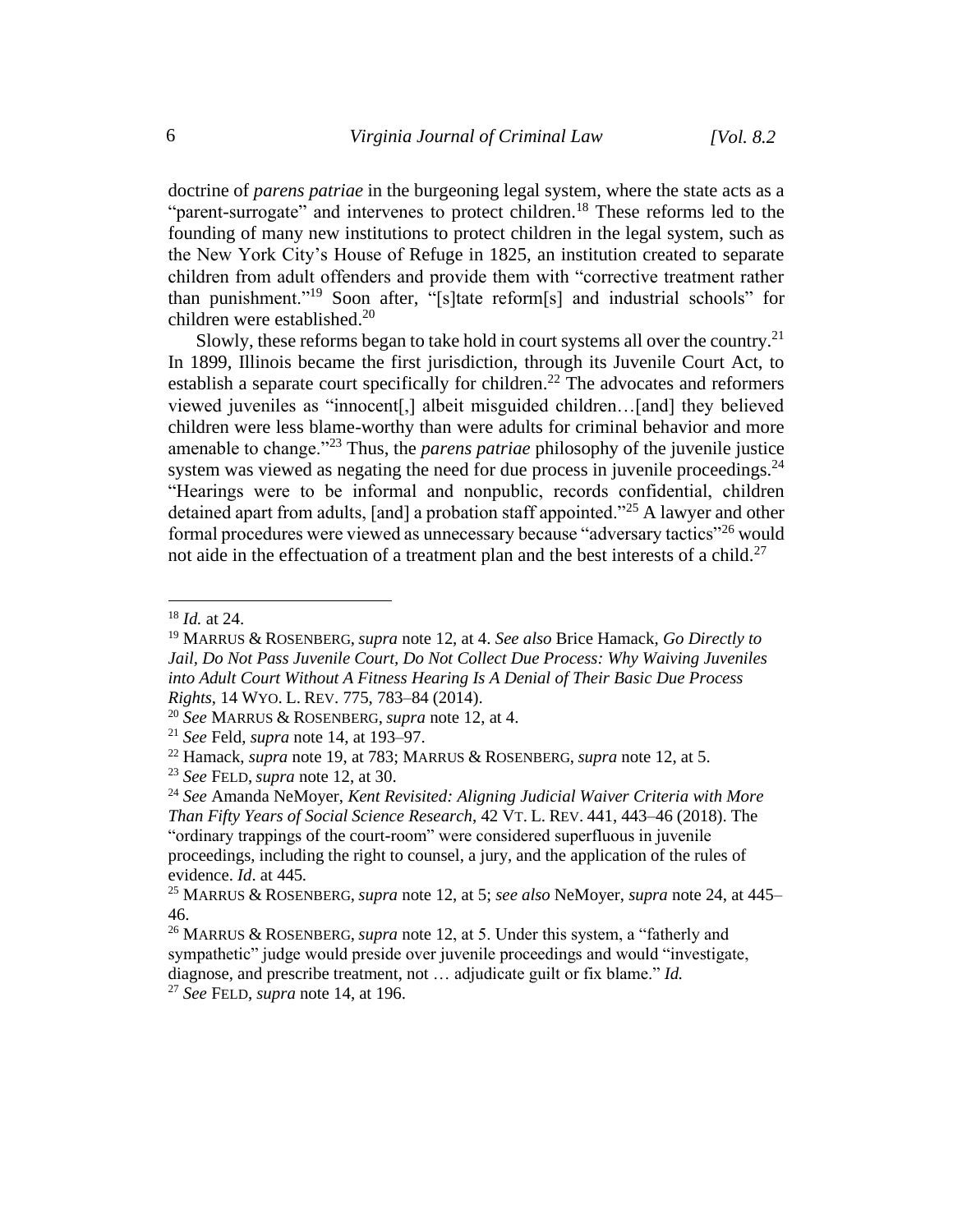doctrine of *parens patriae* in the burgeoning legal system, where the state acts as a "parent-surrogate" and intervenes to protect children.<sup>18</sup> These reforms led to the founding of many new institutions to protect children in the legal system, such as the New York City's House of Refuge in 1825, an institution created to separate children from adult offenders and provide them with "corrective treatment rather than punishment."<sup>19</sup> Soon after, "[s]tate reform[s] and industrial schools" for children were established. 20

Slowly, these reforms began to take hold in court systems all over the country.<sup>21</sup> In 1899, Illinois became the first jurisdiction, through its Juvenile Court Act, to establish a separate court specifically for children.<sup>22</sup> The advocates and reformers viewed juveniles as "innocent[,] albeit misguided children…[and] they believed children were less blame-worthy than were adults for criminal behavior and more amenable to change."<sup>23</sup> Thus, the *parens patriae* philosophy of the juvenile justice system was viewed as negating the need for due process in juvenile proceedings.<sup>24</sup> "Hearings were to be informal and nonpublic, records confidential, children detained apart from adults, [and] a probation staff appointed."<sup>25</sup> A lawyer and other formal procedures were viewed as unnecessary because "adversary tactics"<sup>26</sup> would not aide in the effectuation of a treatment plan and the best interests of a child.<sup>27</sup>

<sup>18</sup> *Id.* at 24.

<sup>19</sup> MARRUS & ROSENBERG, *supra* note 12, at 4. *See also* Brice Hamack, *Go Directly to Jail, Do Not Pass Juvenile Court, Do Not Collect Due Process: Why Waiving Juveniles into Adult Court Without A Fitness Hearing Is A Denial of Their Basic Due Process Rights*, 14 WYO. L. REV. 775, 783–84 (2014).

<sup>20</sup> *See* MARRUS & ROSENBERG, *supra* note 12, at 4.

<sup>21</sup> *See* Feld, *supra* note 14, at 193–97.

<sup>22</sup> Hamack, *supra* note 19, at 783; MARRUS & ROSENBERG, *supra* note 12, at 5.

<sup>23</sup> *See* FELD, *supra* note 12, at 30.

<sup>24</sup> *See* Amanda NeMoyer, *Kent Revisited: Aligning Judicial Waiver Criteria with More Than Fifty Years of Social Science Research*, 42 VT. L. REV. 441, 443–46 (2018). The "ordinary trappings of the court-room" were considered superfluous in juvenile proceedings, including the right to counsel, a jury, and the application of the rules of evidence. *Id*. at 445*.*

<sup>25</sup> MARRUS & ROSENBERG, *supra* note 12, at 5; *see also* NeMoyer, *supra* note 24, at 445– 46.

<sup>26</sup> MARRUS & ROSENBERG, *supra* note 12, at 5. Under this system, a "fatherly and sympathetic" judge would preside over juvenile proceedings and would "investigate, diagnose, and prescribe treatment, not … adjudicate guilt or fix blame." *Id.* <sup>27</sup> *See* FELD, *supra* note 14, at 196.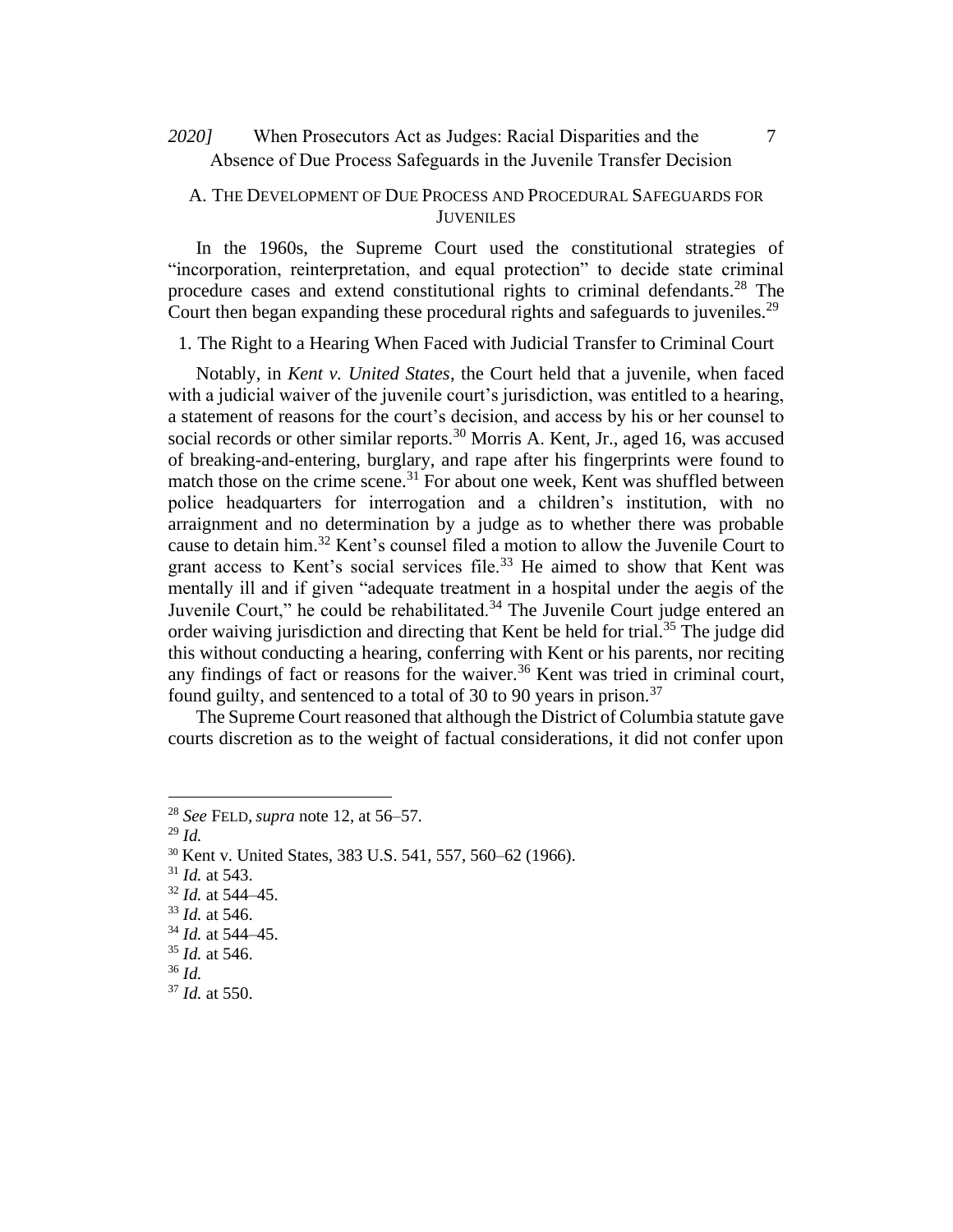# When Prosecutors Act as Judges: Racial Disparities and the *2020]* 7 Absence of Due Process Safeguards in the Juvenile Transfer Decision

### A. THE DEVELOPMENT OF DUE PROCESS AND PROCEDURAL SAFEGUARDS FOR JUVENILES

In the 1960s, the Supreme Court used the constitutional strategies of "incorporation, reinterpretation, and equal protection" to decide state criminal procedure cases and extend constitutional rights to criminal defendants.<sup>28</sup> The Court then began expanding these procedural rights and safeguards to juveniles.<sup>29</sup>

1. The Right to a Hearing When Faced with Judicial Transfer to Criminal Court

Notably, in *Kent v. United States*, the Court held that a juvenile, when faced with a judicial waiver of the juvenile court's jurisdiction, was entitled to a hearing, a statement of reasons for the court's decision, and access by his or her counsel to social records or other similar reports.<sup>30</sup> Morris A. Kent, Jr., aged 16, was accused of breaking-and-entering, burglary, and rape after his fingerprints were found to match those on the crime scene.<sup>31</sup> For about one week, Kent was shuffled between police headquarters for interrogation and a children's institution, with no arraignment and no determination by a judge as to whether there was probable cause to detain him.<sup>32</sup> Kent's counsel filed a motion to allow the Juvenile Court to grant access to Kent's social services file.<sup>33</sup> He aimed to show that Kent was mentally ill and if given "adequate treatment in a hospital under the aegis of the Juvenile Court," he could be rehabilitated. $34$  The Juvenile Court judge entered an order waiving jurisdiction and directing that Kent be held for trial.<sup>35</sup> The judge did this without conducting a hearing, conferring with Kent or his parents, nor reciting any findings of fact or reasons for the waiver.<sup>36</sup> Kent was tried in criminal court, found guilty, and sentenced to a total of 30 to 90 years in prison.<sup>37</sup>

The Supreme Court reasoned that although the District of Columbia statute gave courts discretion as to the weight of factual considerations, it did not confer upon

<sup>29</sup> *Id.*

- <sup>31</sup> *Id.* at 543.
- <sup>32</sup> *Id.* at 544–45.
- <sup>33</sup> *Id.* at 546.

<sup>35</sup> *Id.* at 546.

<sup>28</sup> *See* FELD, *supra* note 12, at 56–57.

<sup>30</sup> Kent v. United States, 383 U.S. 541, 557, 560–62 (1966).

<sup>34</sup> *Id.* at 544–45.

<sup>36</sup> *Id.*

<sup>37</sup> *Id.* at 550.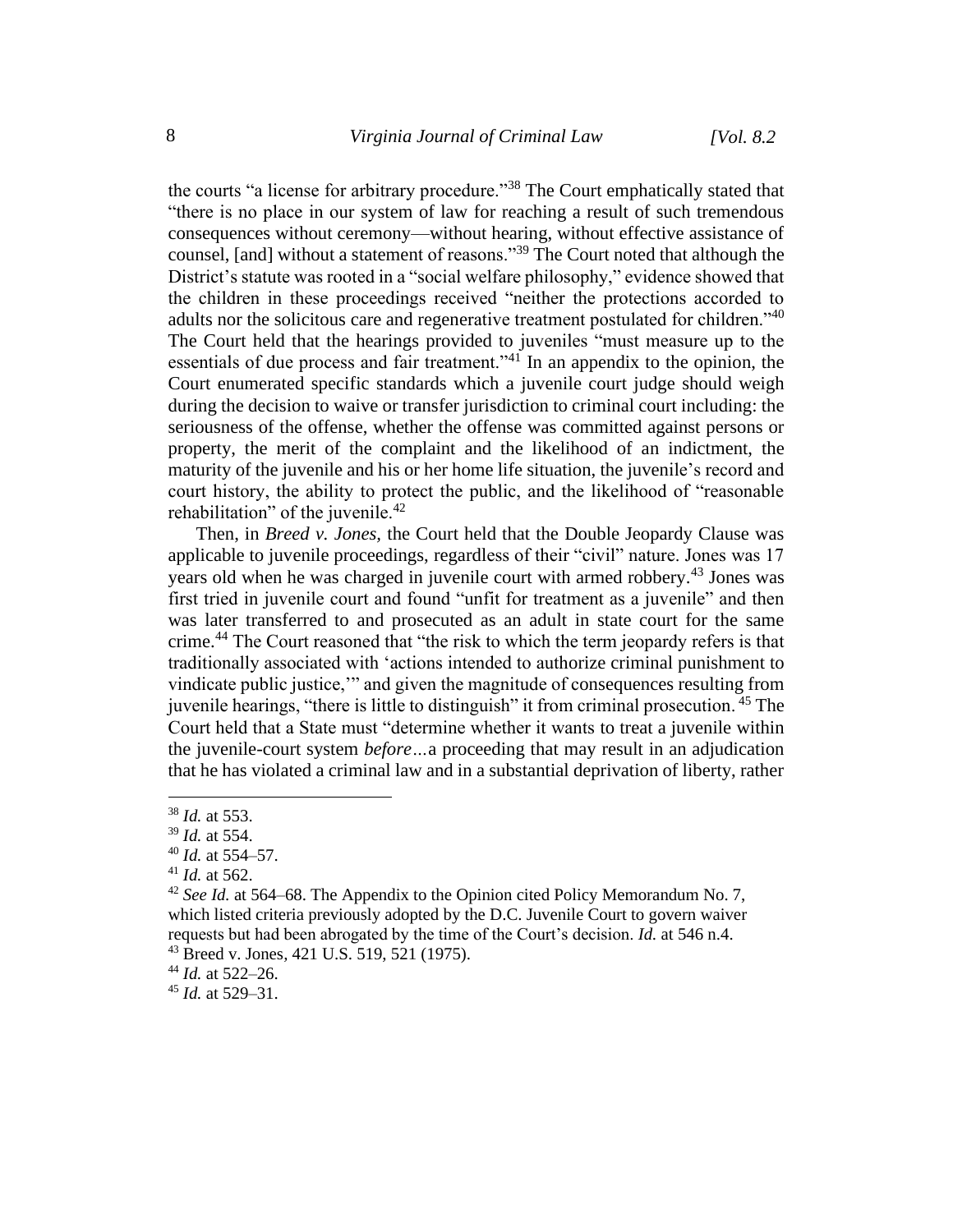the courts "a license for arbitrary procedure."<sup>38</sup> The Court emphatically stated that "there is no place in our system of law for reaching a result of such tremendous consequences without ceremony—without hearing, without effective assistance of counsel, [and] without a statement of reasons."<sup>39</sup> The Court noted that although the District's statute was rooted in a "social welfare philosophy," evidence showed that the children in these proceedings received "neither the protections accorded to adults nor the solicitous care and regenerative treatment postulated for children."<sup>40</sup> The Court held that the hearings provided to juveniles "must measure up to the essentials of due process and fair treatment."<sup>41</sup> In an appendix to the opinion, the Court enumerated specific standards which a juvenile court judge should weigh during the decision to waive or transfer jurisdiction to criminal court including: the seriousness of the offense, whether the offense was committed against persons or property, the merit of the complaint and the likelihood of an indictment, the maturity of the juvenile and his or her home life situation, the juvenile's record and court history, the ability to protect the public, and the likelihood of "reasonable rehabilitation" of the juvenile. $42$ 

Then, in *Breed v. Jones,* the Court held that the Double Jeopardy Clause was applicable to juvenile proceedings, regardless of their "civil" nature. Jones was 17 years old when he was charged in juvenile court with armed robbery.<sup>43</sup> Jones was first tried in juvenile court and found "unfit for treatment as a juvenile" and then was later transferred to and prosecuted as an adult in state court for the same crime.<sup>44</sup> The Court reasoned that "the risk to which the term jeopardy refers is that traditionally associated with 'actions intended to authorize criminal punishment to vindicate public justice,'" and given the magnitude of consequences resulting from juvenile hearings, "there is little to distinguish" it from criminal prosecution. <sup>45</sup> The Court held that a State must "determine whether it wants to treat a juvenile within the juvenile-court system *before…*a proceeding that may result in an adjudication that he has violated a criminal law and in a substantial deprivation of liberty, rather

<sup>45</sup> *Id.* at 529–31.

<sup>38</sup> *Id.* at 553.

<sup>39</sup> *Id.* at 554.

<sup>40</sup> *Id.* at 554–57.

<sup>41</sup> *Id.* at 562.

<sup>42</sup> *See Id.* at 564–68. The Appendix to the Opinion cited Policy Memorandum No. 7, which listed criteria previously adopted by the D.C. Juvenile Court to govern waiver requests but had been abrogated by the time of the Court's decision. *Id.* at 546 n.4. <sup>43</sup> Breed v. Jones*,* 421 U.S. 519, 521 (1975).

<sup>44</sup> *Id.* at 522–26.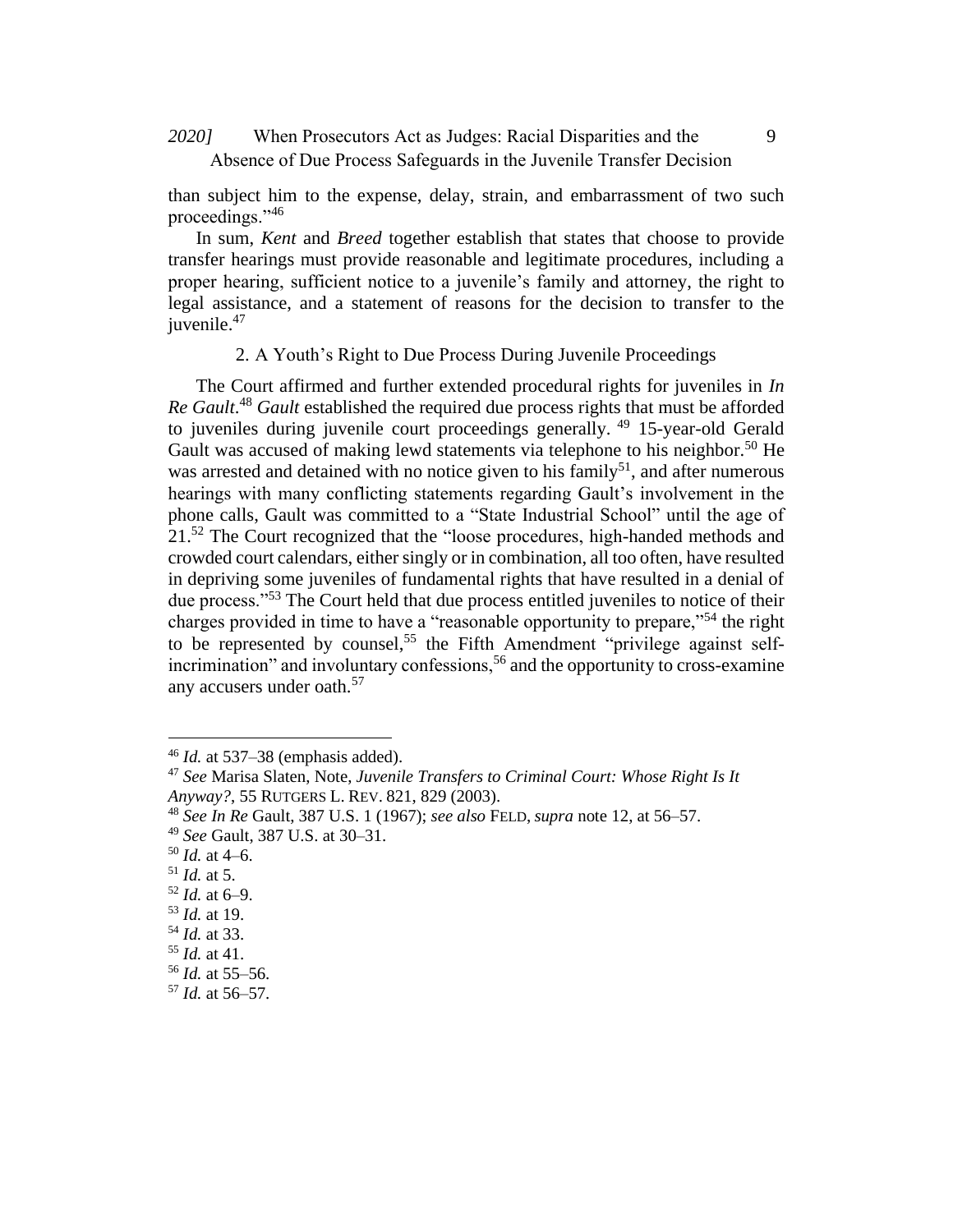When Prosecutors Act as Judges: Racial Disparities and the *2020]* 9 Absence of Due Process Safeguards in the Juvenile Transfer Decision

than subject him to the expense, delay, strain, and embarrassment of two such proceedings."<sup>46</sup>

In sum, *Kent* and *Breed* together establish that states that choose to provide transfer hearings must provide reasonable and legitimate procedures, including a proper hearing, sufficient notice to a juvenile's family and attorney, the right to legal assistance, and a statement of reasons for the decision to transfer to the juvenile.<sup>47</sup>

2. A Youth's Right to Due Process During Juvenile Proceedings

The Court affirmed and further extended procedural rights for juveniles in *In*  Re Gault.<sup>48</sup> Gault established the required due process rights that must be afforded to juveniles during juvenile court proceedings generally. <sup>49</sup> 15-year-old Gerald Gault was accused of making lewd statements via telephone to his neighbor.<sup>50</sup> He was arrested and detained with no notice given to his family<sup>51</sup>, and after numerous hearings with many conflicting statements regarding Gault's involvement in the phone calls, Gault was committed to a "State Industrial School" until the age of 21.<sup>52</sup> The Court recognized that the "loose procedures, high-handed methods and crowded court calendars, either singly or in combination, all too often, have resulted in depriving some juveniles of fundamental rights that have resulted in a denial of due process."<sup>53</sup> The Court held that due process entitled juveniles to notice of their charges provided in time to have a "reasonable opportunity to prepare,"<sup>54</sup> the right to be represented by counsel.<sup>55</sup> the Fifth Amendment "privilege against selfincrimination" and involuntary confessions,<sup>56</sup> and the opportunity to cross-examine any accusers under oath.<sup>57</sup>

<sup>46</sup> *Id.* at 537–38 (emphasis added).

<sup>47</sup> *See* Marisa Slaten, Note, *Juvenile Transfers to Criminal Court: Whose Right Is It Anyway?*, 55 RUTGERS L. REV. 821, 829 (2003).

<sup>48</sup> *See In Re* Gault, 387 U.S. 1 (1967); *see also* FELD, *supra* note 12, at 56–57.

<sup>49</sup> *See* Gault, 387 U.S. at 30–31.

<sup>50</sup> *Id.* at 4–6.

<sup>51</sup> *Id.* at 5.

 $52$  *Id.* at 6–9.

<sup>53</sup> *Id.* at 19.

<sup>54</sup> *Id.* at 33.

<sup>55</sup> *Id.* at 41.

<sup>56</sup> *Id.* at 55–56.

<sup>57</sup> *Id.* at 56–57.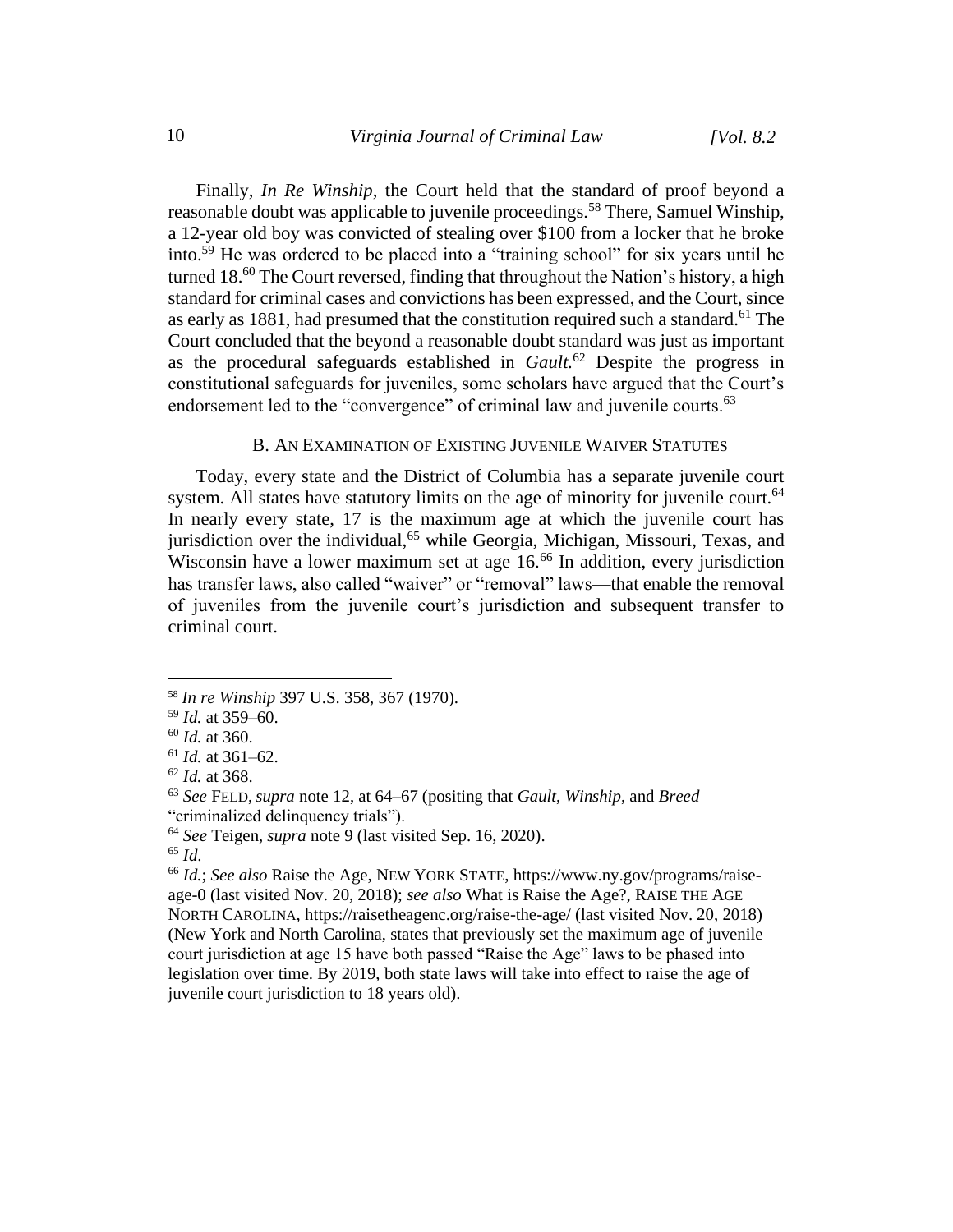Finally, *In Re Winship*, the Court held that the standard of proof beyond a reasonable doubt was applicable to juvenile proceedings.<sup>58</sup> There, Samuel Winship, a 12-year old boy was convicted of stealing over \$100 from a locker that he broke into.<sup>59</sup> He was ordered to be placed into a "training school" for six years until he turned 18. $^{60}$  The Court reversed, finding that throughout the Nation's history, a high standard for criminal cases and convictions has been expressed, and the Court, since as early as 1881, had presumed that the constitution required such a standard.<sup>61</sup> The Court concluded that the beyond a reasonable doubt standard was just as important as the procedural safeguards established in *Gault.*<sup>62</sup> Despite the progress in constitutional safeguards for juveniles, some scholars have argued that the Court's endorsement led to the "convergence" of criminal law and juvenile courts.<sup>63</sup>

### B. AN EXAMINATION OF EXISTING JUVENILE WAIVER STATUTES

Today, every state and the District of Columbia has a separate juvenile court system. All states have statutory limits on the age of minority for juvenile court.<sup>64</sup> In nearly every state, 17 is the maximum age at which the juvenile court has jurisdiction over the individual,<sup>65</sup> while Georgia, Michigan, Missouri, Texas, and Wisconsin have a lower maximum set at age 16.<sup>66</sup> In addition, every jurisdiction has transfer laws, also called "waiver" or "removal" laws—that enable the removal of juveniles from the juvenile court's jurisdiction and subsequent transfer to criminal court.

<sup>66</sup> *Id.*; *See also* Raise the Age, NEW YORK STATE, https://www.ny.gov/programs/raiseage-0 (last visited Nov. 20, 2018); *see also* What is Raise the Age?, RAISE THE AGE NORTH CAROLINA, https://raisetheagenc.org/raise-the-age/ (last visited Nov. 20, 2018) (New York and North Carolina, states that previously set the maximum age of juvenile court jurisdiction at age 15 have both passed "Raise the Age" laws to be phased into legislation over time. By 2019, both state laws will take into effect to raise the age of juvenile court jurisdiction to 18 years old).

<sup>58</sup> *In re Winship* 397 U.S. 358, 367 (1970).

<sup>59</sup> *Id.* at 359–60.

<sup>60</sup> *Id.* at 360.

<sup>61</sup> *Id.* at 361–62.

<sup>62</sup> *Id.* at 368.

<sup>63</sup> *See* FELD, *supra* note 12, at 64–67 (positing that *Gault*, *Winship*, and *Breed* "criminalized delinquency trials").

<sup>64</sup> *See* Teigen, *supra* note 9 (last visited Sep. 16, 2020).

<sup>65</sup> *Id*.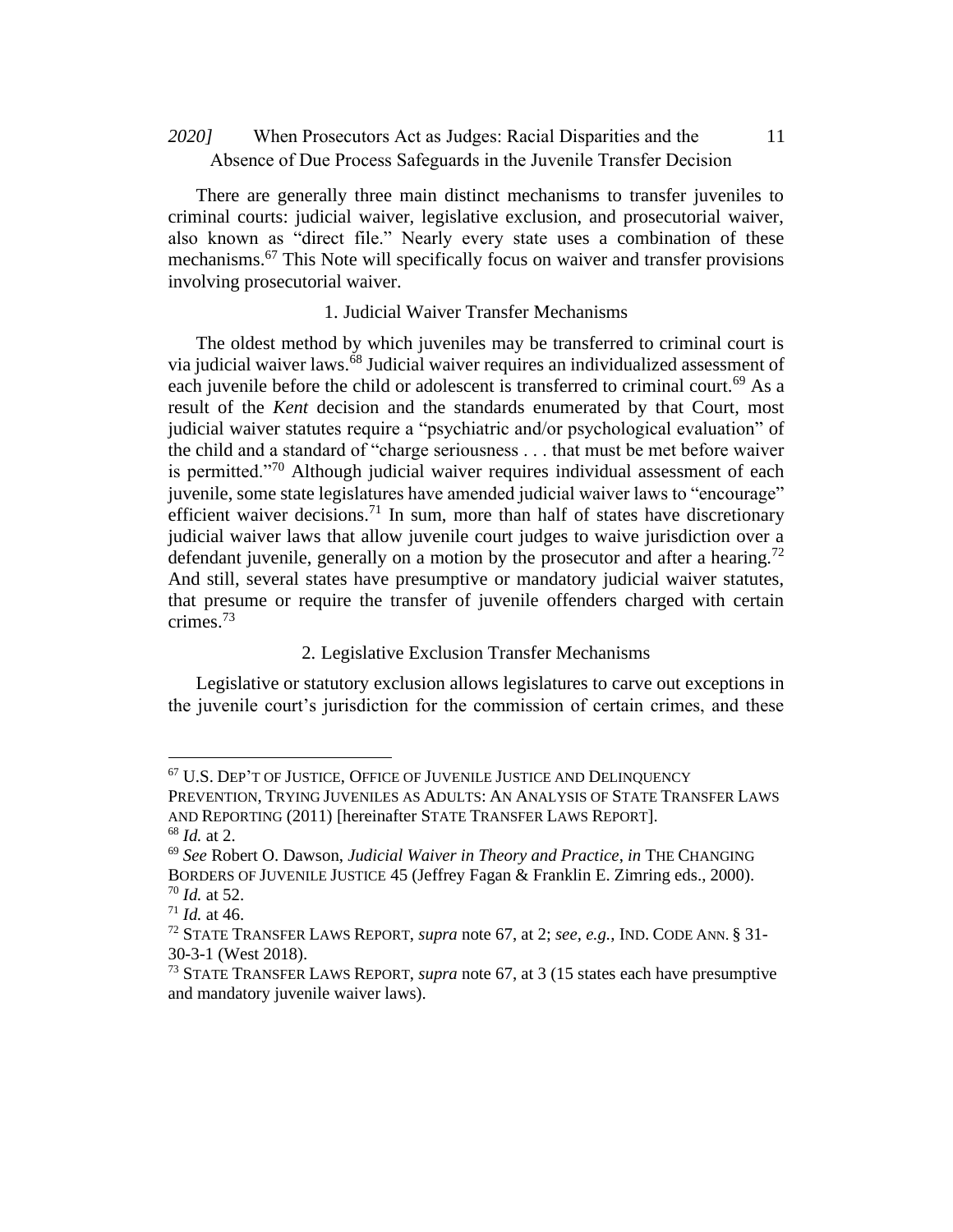# 2020] When Prosecutors Act as Judges: Racial Disparities and the 11 Absence of Due Process Safeguards in the Juvenile Transfer Decision

There are generally three main distinct mechanisms to transfer juveniles to criminal courts: judicial waiver, legislative exclusion, and prosecutorial waiver, also known as "direct file." Nearly every state uses a combination of these mechanisms.<sup>67</sup> This Note will specifically focus on waiver and transfer provisions involving prosecutorial waiver.

### 1. Judicial Waiver Transfer Mechanisms

The oldest method by which juveniles may be transferred to criminal court is via judicial waiver laws.<sup>68</sup> Judicial waiver requires an individualized assessment of each juvenile before the child or adolescent is transferred to criminal court.<sup>69</sup> As a result of the *Kent* decision and the standards enumerated by that Court, most judicial waiver statutes require a "psychiatric and/or psychological evaluation" of the child and a standard of "charge seriousness . . . that must be met before waiver is permitted."<sup>70</sup> Although judicial waiver requires individual assessment of each juvenile, some state legislatures have amended judicial waiver laws to "encourage" efficient waiver decisions.<sup>71</sup> In sum, more than half of states have discretionary judicial waiver laws that allow juvenile court judges to waive jurisdiction over a defendant juvenile, generally on a motion by the prosecutor and after a hearing.<sup>72</sup> And still, several states have presumptive or mandatory judicial waiver statutes, that presume or require the transfer of juvenile offenders charged with certain crimes.<sup>73</sup>

### 2. Legislative Exclusion Transfer Mechanisms

Legislative or statutory exclusion allows legislatures to carve out exceptions in the juvenile court's jurisdiction for the commission of certain crimes, and these

<sup>67</sup> U.S. DEP'T OF JUSTICE, OFFICE OF JUVENILE JUSTICE AND DELINQUENCY PREVENTION, TRYING JUVENILES AS ADULTS: AN ANALYSIS OF STATE TRANSFER LAWS AND REPORTING (2011) [hereinafter STATE TRANSFER LAWS REPORT].

<sup>68</sup> *Id.* at 2.

<sup>69</sup> *See* Robert O. Dawson, *Judicial Waiver in Theory and Practice*, *in* THE CHANGING BORDERS OF JUVENILE JUSTICE 45 (Jeffrey Fagan & Franklin E. Zimring eds., 2000). <sup>70</sup> *Id.* at 52.

<sup>71</sup> *Id.* at 46.

<sup>72</sup> STATE TRANSFER LAWS REPORT, *supra* note 67, at 2; *see, e.g.*, IND. CODE ANN. § 31- 30-3-1 (West 2018).

<sup>73</sup> STATE TRANSFER LAWS REPORT, *supra* note 67, at 3 (15 states each have presumptive and mandatory juvenile waiver laws).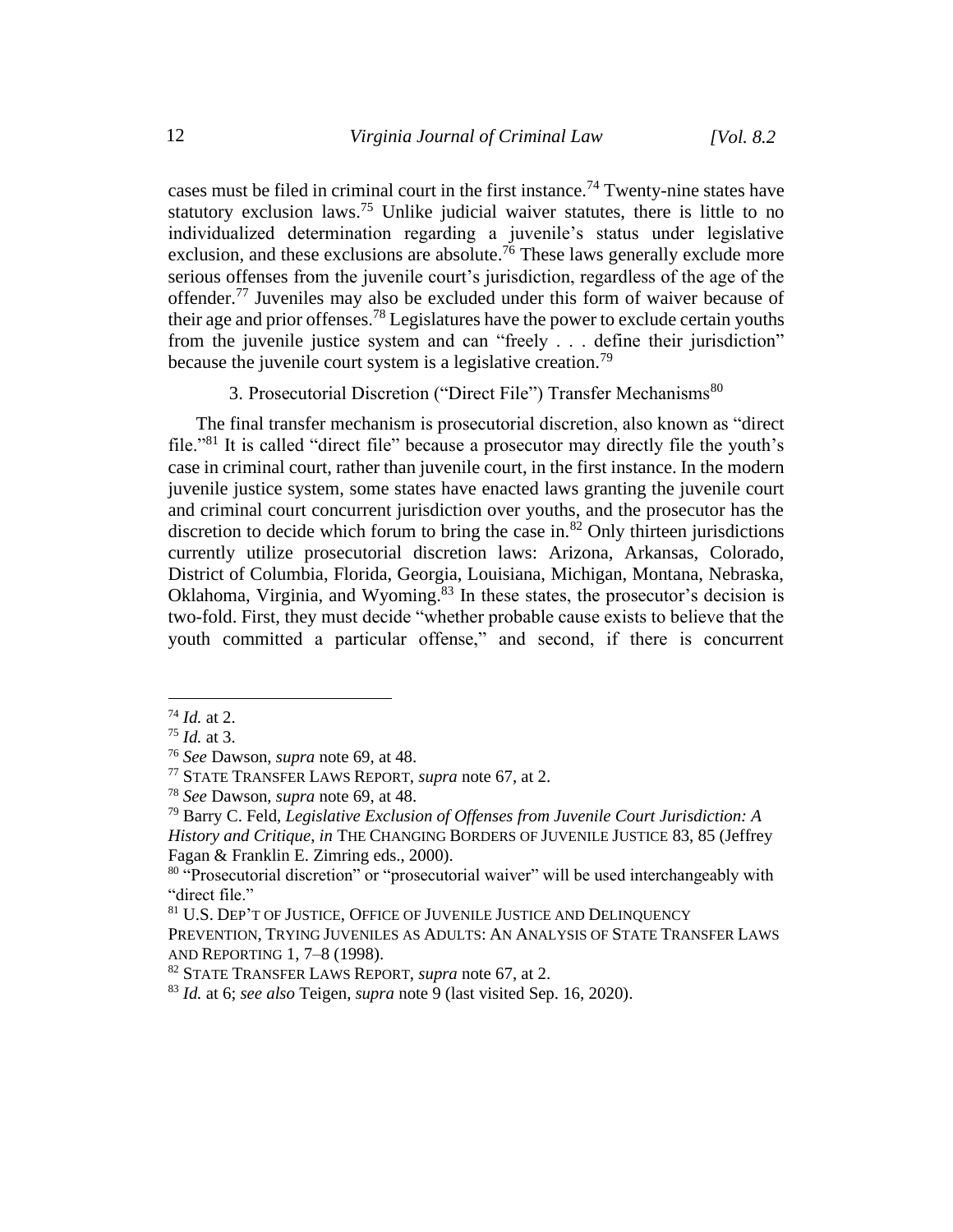cases must be filed in criminal court in the first instance.<sup>74</sup> Twenty-nine states have statutory exclusion laws.<sup>75</sup> Unlike judicial waiver statutes, there is little to no individualized determination regarding a juvenile's status under legislative exclusion, and these exclusions are absolute.<sup>76</sup> These laws generally exclude more serious offenses from the juvenile court's jurisdiction, regardless of the age of the offender.<sup>77</sup> Juveniles may also be excluded under this form of waiver because of their age and prior offenses.<sup>78</sup> Legislatures have the power to exclude certain youths from the juvenile justice system and can "freely . . . define their jurisdiction" because the juvenile court system is a legislative creation.<sup>79</sup>

3. Prosecutorial Discretion ("Direct File") Transfer Mechanisms<sup>80</sup>

The final transfer mechanism is prosecutorial discretion, also known as "direct file."<sup>81</sup> It is called "direct file" because a prosecutor may directly file the youth's case in criminal court, rather than juvenile court, in the first instance. In the modern juvenile justice system, some states have enacted laws granting the juvenile court and criminal court concurrent jurisdiction over youths, and the prosecutor has the discretion to decide which forum to bring the case in. $82$  Only thirteen jurisdictions currently utilize prosecutorial discretion laws: Arizona, Arkansas, Colorado, District of Columbia, Florida, Georgia, Louisiana, Michigan, Montana, Nebraska, Oklahoma, Virginia, and Wyoming.<sup>83</sup> In these states, the prosecutor's decision is two-fold. First, they must decide "whether probable cause exists to believe that the youth committed a particular offense," and second, if there is concurrent

<sup>74</sup> *Id.* at 2.

<sup>75</sup> *Id.* at 3.

<sup>76</sup> *See* Dawson, *supra* note 69, at 48.

<sup>77</sup> STATE TRANSFER LAWS REPORT, *supra* note 67, at 2.

<sup>78</sup> *See* Dawson, *supra* note 69, at 48.

<sup>79</sup> Barry C. Feld, *Legislative Exclusion of Offenses from Juvenile Court Jurisdiction: A History and Critique*, *in* THE CHANGING BORDERS OF JUVENILE JUSTICE 83, 85 (Jeffrey Fagan & Franklin E. Zimring eds., 2000).

<sup>&</sup>lt;sup>80</sup> "Prosecutorial discretion" or "prosecutorial waiver" will be used interchangeably with "direct file."

 $^{81}$  U.S. DEP'T OF JUSTICE, OFFICE OF JUVENILE JUSTICE AND DELINQUENCY

PREVENTION, TRYING JUVENILES AS ADULTS: AN ANALYSIS OF STATE TRANSFER LAWS AND REPORTING 1, 7–8 (1998).

<sup>82</sup> STATE TRANSFER LAWS REPORT, *supra* note 67, at 2.

<sup>83</sup> *Id.* at 6; *see also* Teigen, *supra* note 9 (last visited Sep. 16, 2020).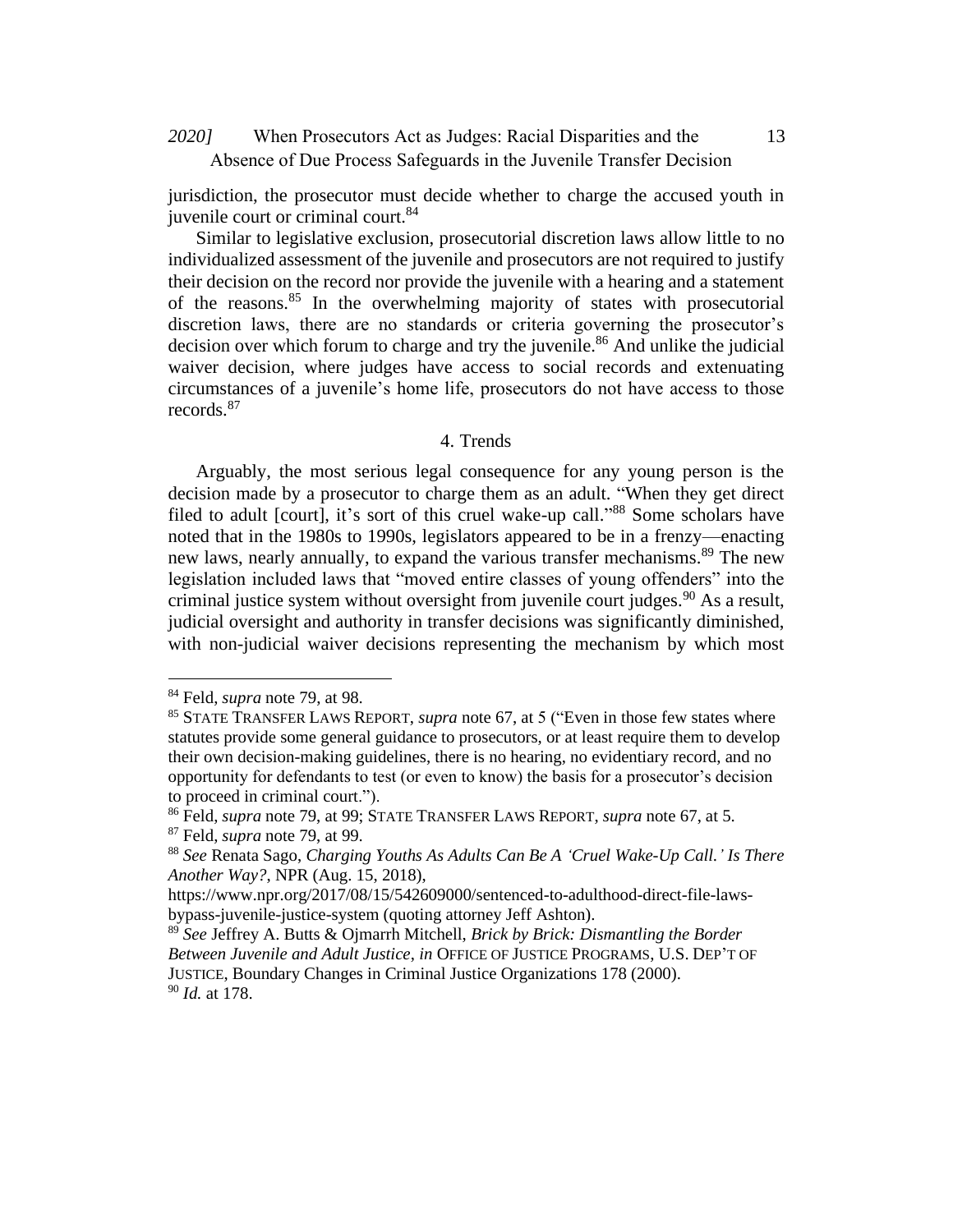# When Prosecutors Act as Judges: Racial Disparities and the *2020]* 13 Absence of Due Process Safeguards in the Juvenile Transfer Decision

jurisdiction, the prosecutor must decide whether to charge the accused youth in juvenile court or criminal court.<sup>84</sup>

Similar to legislative exclusion, prosecutorial discretion laws allow little to no individualized assessment of the juvenile and prosecutors are not required to justify their decision on the record nor provide the juvenile with a hearing and a statement of the reasons.<sup>85</sup> In the overwhelming majority of states with prosecutorial discretion laws, there are no standards or criteria governing the prosecutor's decision over which forum to charge and try the juvenile.<sup>86</sup> And unlike the judicial waiver decision, where judges have access to social records and extenuating circumstances of a juvenile's home life, prosecutors do not have access to those records.<sup>87</sup>

### 4. Trends

Arguably, the most serious legal consequence for any young person is the decision made by a prosecutor to charge them as an adult. "When they get direct filed to adult [court], it's sort of this cruel wake-up call."<sup>88</sup> Some scholars have noted that in the 1980s to 1990s, legislators appeared to be in a frenzy—enacting new laws, nearly annually, to expand the various transfer mechanisms.<sup>89</sup> The new legislation included laws that "moved entire classes of young offenders" into the criminal justice system without oversight from juvenile court judges.<sup>90</sup> As a result, judicial oversight and authority in transfer decisions was significantly diminished, with non-judicial waiver decisions representing the mechanism by which most

<sup>84</sup> Feld, *supra* note 79, at 98.

<sup>85</sup> STATE TRANSFER LAWS REPORT, *supra* note 67, at 5 ("Even in those few states where statutes provide some general guidance to prosecutors, or at least require them to develop their own decision-making guidelines, there is no hearing, no evidentiary record, and no opportunity for defendants to test (or even to know) the basis for a prosecutor's decision to proceed in criminal court.").

<sup>86</sup> Feld, *supra* note 79, at 99; STATE TRANSFER LAWS REPORT, *supra* note 67, at 5. <sup>87</sup> Feld, *supra* note 79, at 99.

<sup>88</sup> *See* Renata Sago, *Charging Youths As Adults Can Be A 'Cruel Wake-Up Call.' Is There Another Way?*, NPR (Aug. 15, 2018),

https://www.npr.org/2017/08/15/542609000/sentenced-to-adulthood-direct-file-lawsbypass-juvenile-justice-system (quoting attorney Jeff Ashton).

<sup>89</sup> *See* Jeffrey A. Butts & Ojmarrh Mitchell, *Brick by Brick: Dismantling the Border Between Juvenile and Adult Justice*, *in* OFFICE OF JUSTICE PROGRAMS, U.S. DEP'T OF JUSTICE, Boundary Changes in Criminal Justice Organizations 178 (2000). <sup>90</sup> *Id.* at 178.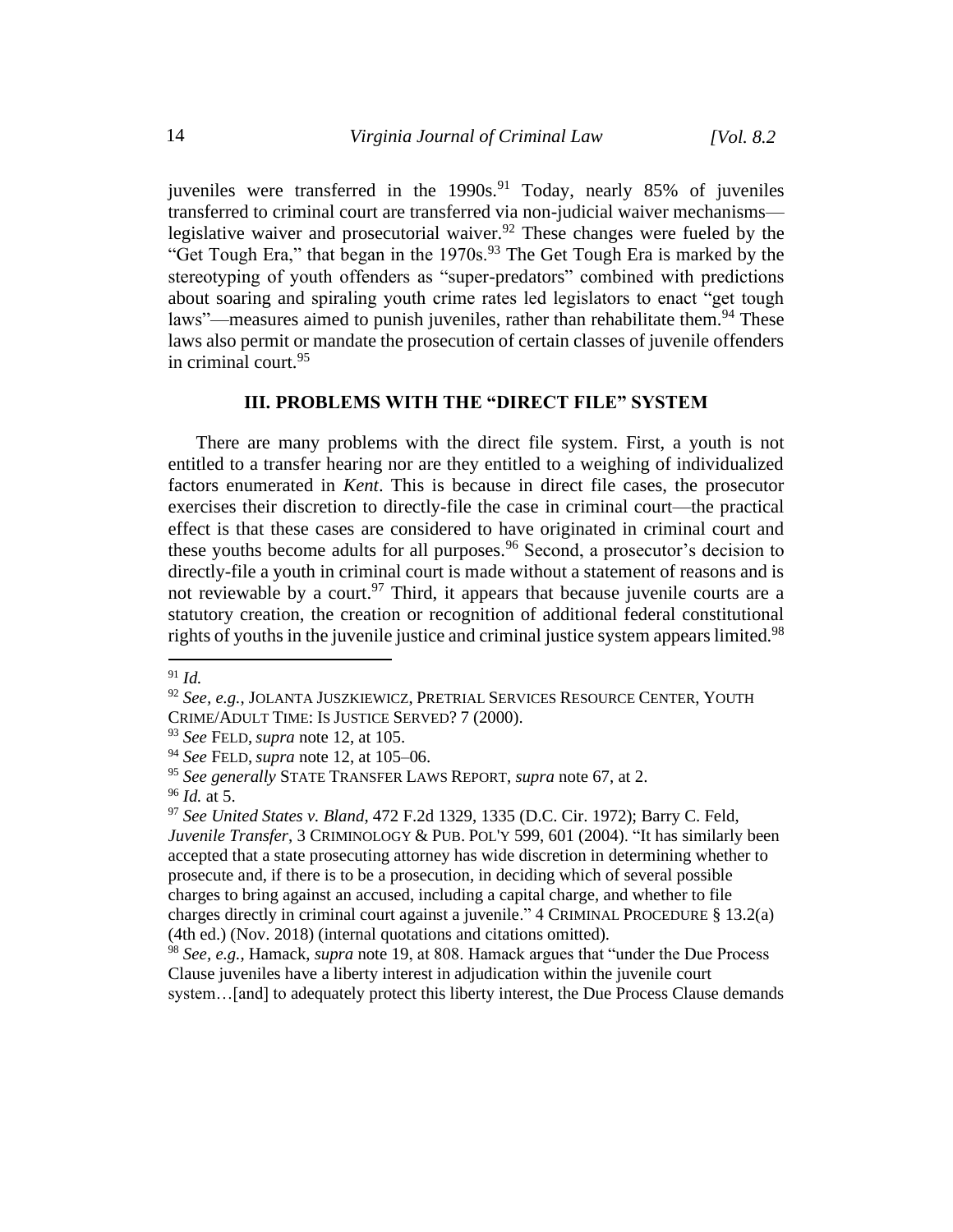juveniles were transferred in the 1990s.<sup>91</sup> Today, nearly 85% of juveniles transferred to criminal court are transferred via non-judicial waiver mechanisms legislative waiver and prosecutorial waiver.<sup>92</sup> These changes were fueled by the "Get Tough Era," that began in the 1970s.<sup>93</sup> The Get Tough Era is marked by the stereotyping of youth offenders as "super-predators" combined with predictions about soaring and spiraling youth crime rates led legislators to enact "get tough laws"—measures aimed to punish juveniles, rather than rehabilitate them.<sup>94</sup> These laws also permit or mandate the prosecution of certain classes of juvenile offenders in criminal court.<sup>95</sup>

### **III. PROBLEMS WITH THE "DIRECT FILE" SYSTEM**

There are many problems with the direct file system. First, a youth is not entitled to a transfer hearing nor are they entitled to a weighing of individualized factors enumerated in *Kent*. This is because in direct file cases, the prosecutor exercises their discretion to directly-file the case in criminal court—the practical effect is that these cases are considered to have originated in criminal court and these youths become adults for all purposes.<sup>96</sup> Second, a prosecutor's decision to directly-file a youth in criminal court is made without a statement of reasons and is not reviewable by a court.<sup>97</sup> Third, it appears that because juvenile courts are a statutory creation, the creation or recognition of additional federal constitutional rights of youths in the juvenile justice and criminal justice system appears limited.<sup>98</sup>

<sup>91</sup> *Id.*

<sup>92</sup> *See, e.g.*, JOLANTA JUSZKIEWICZ, PRETRIAL SERVICES RESOURCE CENTER, YOUTH CRIME/ADULT TIME: IS JUSTICE SERVED? 7 (2000).

<sup>93</sup> *See* FELD, *supra* note 12, at 105.

<sup>94</sup> *See* FELD, *supra* note 12, at 105–06.

<sup>95</sup> *See generally* STATE TRANSFER LAWS REPORT, *supra* note 67, at 2.

<sup>96</sup> *Id.* at 5.

<sup>97</sup> *See United States v. Bland*, 472 F.2d 1329, 1335 (D.C. Cir. 1972); Barry C. Feld, *Juvenile Transfer*, 3 CRIMINOLOGY & PUB. POL'Y 599, 601 (2004). "It has similarly been accepted that a state prosecuting attorney has wide discretion in determining whether to prosecute and, if there is to be a prosecution, in deciding which of several possible charges to bring against an accused, including a capital charge, and whether to file charges directly in criminal court against a juvenile." 4 CRIMINAL PROCEDURE § 13.2(a) (4th ed.) (Nov. 2018) (internal quotations and citations omitted).

<sup>98</sup> *See, e.g.*, Hamack, *supra* note 19, at 808. Hamack argues that "under the Due Process Clause juveniles have a liberty interest in adjudication within the juvenile court system...[and] to adequately protect this liberty interest, the Due Process Clause demands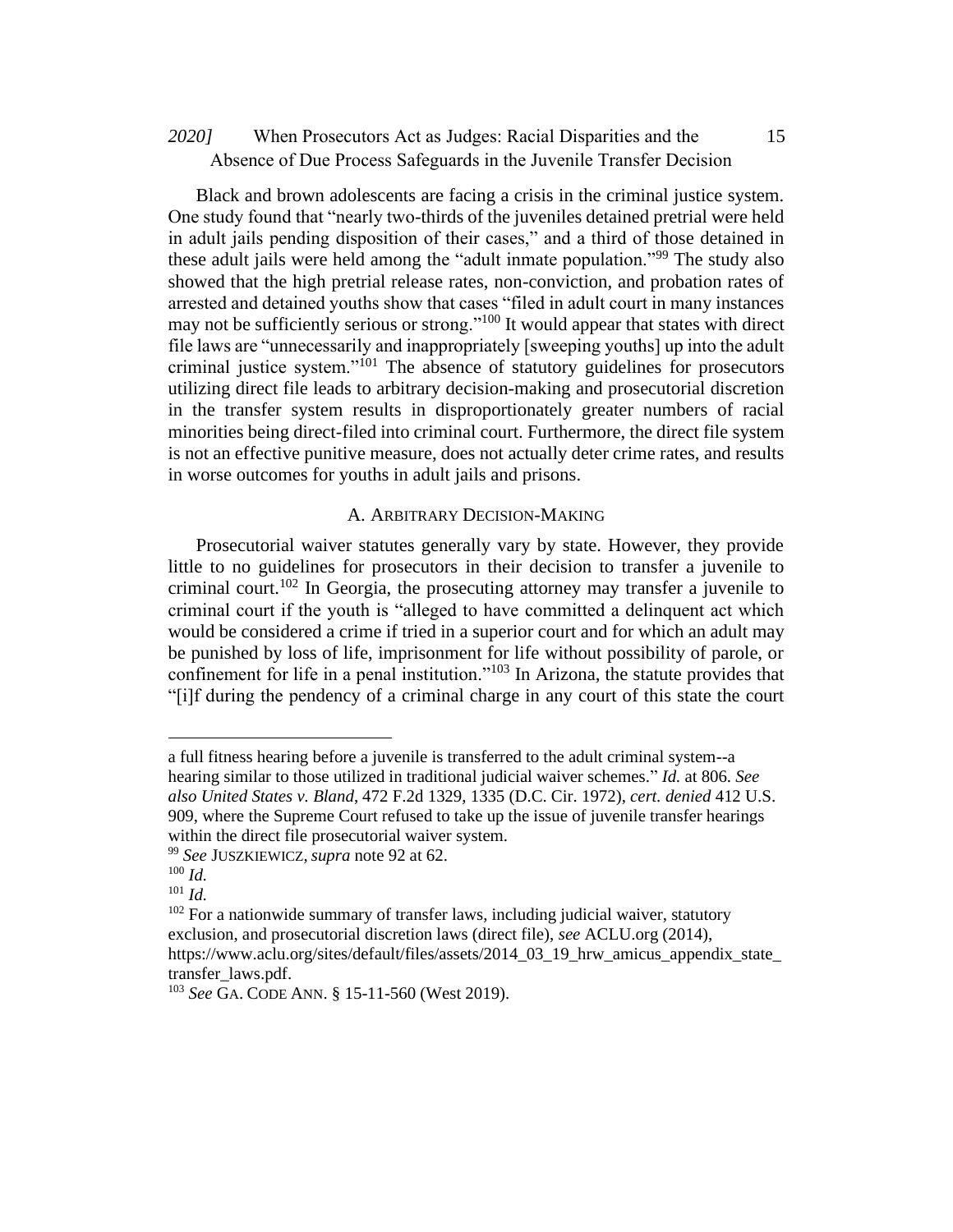# When Prosecutors Act as Judges: Racial Disparities and the *2020]* 15 Absence of Due Process Safeguards in the Juvenile Transfer Decision

Black and brown adolescents are facing a crisis in the criminal justice system. One study found that "nearly two-thirds of the juveniles detained pretrial were held in adult jails pending disposition of their cases," and a third of those detained in these adult jails were held among the "adult inmate population."<sup>99</sup> The study also showed that the high pretrial release rates, non-conviction, and probation rates of arrested and detained youths show that cases "filed in adult court in many instances may not be sufficiently serious or strong."<sup>100</sup> It would appear that states with direct file laws are "unnecessarily and inappropriately [sweeping youths] up into the adult criminal justice system."<sup>101</sup> The absence of statutory guidelines for prosecutors utilizing direct file leads to arbitrary decision-making and prosecutorial discretion in the transfer system results in disproportionately greater numbers of racial minorities being direct-filed into criminal court. Furthermore, the direct file system is not an effective punitive measure, does not actually deter crime rates, and results in worse outcomes for youths in adult jails and prisons.

### A. ARBITRARY DECISION-MAKING

Prosecutorial waiver statutes generally vary by state. However, they provide little to no guidelines for prosecutors in their decision to transfer a juvenile to criminal court.<sup>102</sup> In Georgia, the prosecuting attorney may transfer a juvenile to criminal court if the youth is "alleged to have committed a delinquent act which would be considered a crime if tried in a superior court and for which an adult may be punished by loss of life, imprisonment for life without possibility of parole, or confinement for life in a penal institution."<sup>103</sup> In Arizona, the statute provides that "[i]f during the pendency of a criminal charge in any court of this state the court

a full fitness hearing before a juvenile is transferred to the adult criminal system--a hearing similar to those utilized in traditional judicial waiver schemes." *Id.* at 806. *See also United States v. Bland*, 472 F.2d 1329, 1335 (D.C. Cir. 1972), *cert. denied* 412 U.S. 909, where the Supreme Court refused to take up the issue of juvenile transfer hearings within the direct file prosecutorial waiver system.

<sup>99</sup> *See* JUSZKIEWICZ, *supra* note 92 at 62.

<sup>100</sup> *Id.*

<sup>101</sup> *Id.*

 $102$  For a nationwide summary of transfer laws, including judicial waiver, statutory exclusion, and prosecutorial discretion laws (direct file), *see* ACLU.org (2014), https://www.aclu.org/sites/default/files/assets/2014\_03\_19\_hrw\_amicus\_appendix\_state\_ transfer\_laws.pdf.

<sup>103</sup> *See* GA. CODE ANN. § 15-11-560 (West 2019).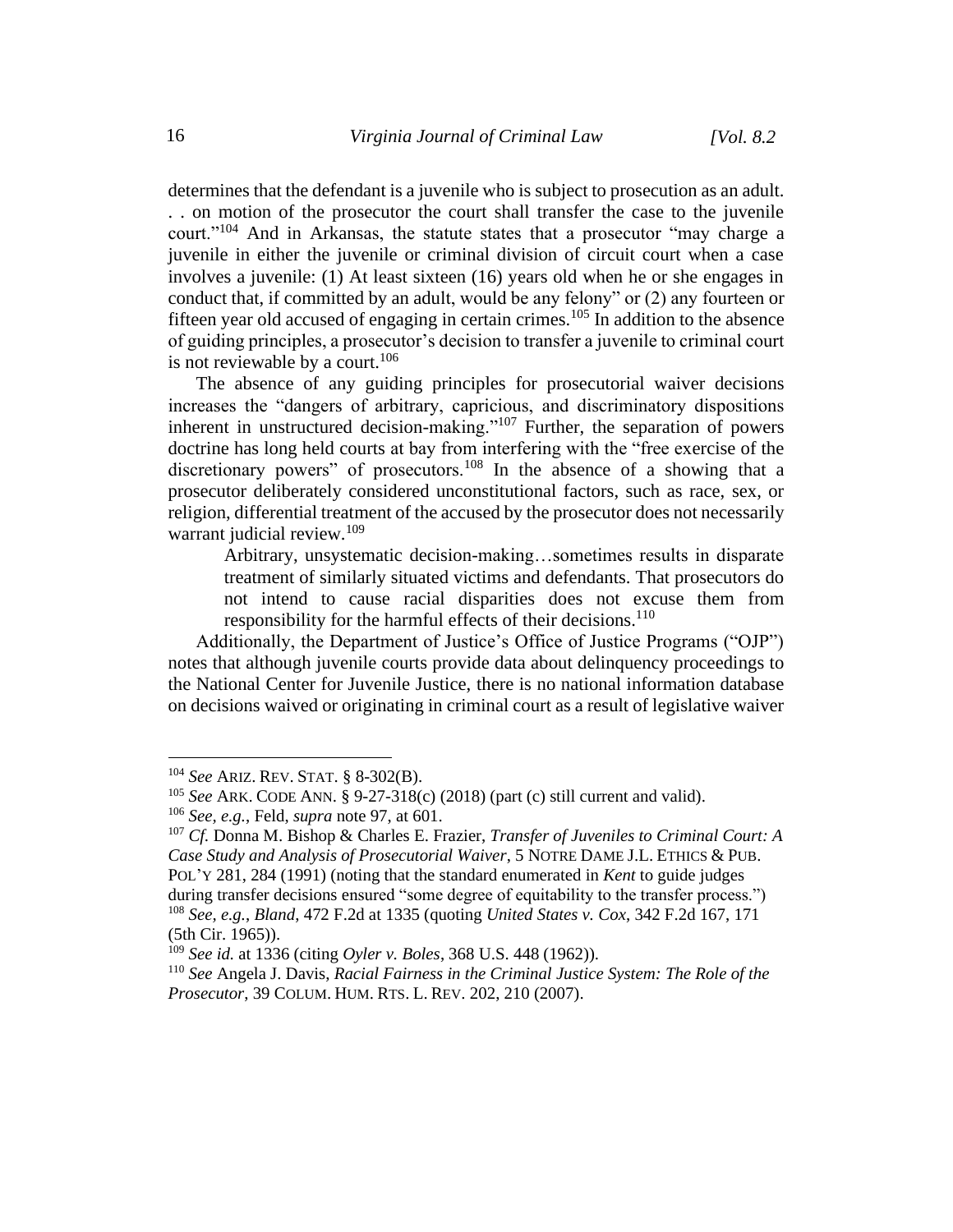determines that the defendant is a juvenile who is subject to prosecution as an adult. . . on motion of the prosecutor the court shall transfer the case to the juvenile court."<sup>104</sup> And in Arkansas, the statute states that a prosecutor "may charge a juvenile in either the juvenile or criminal division of circuit court when a case involves a juvenile: (1) At least sixteen (16) years old when he or she engages in conduct that, if committed by an adult, would be any felony" or (2) any fourteen or fifteen year old accused of engaging in certain crimes.<sup>105</sup> In addition to the absence of guiding principles, a prosecutor's decision to transfer a juvenile to criminal court is not reviewable by a court.<sup>106</sup>

The absence of any guiding principles for prosecutorial waiver decisions increases the "dangers of arbitrary, capricious, and discriminatory dispositions inherent in unstructured decision-making."<sup>107</sup> Further, the separation of powers doctrine has long held courts at bay from interfering with the "free exercise of the discretionary powers" of prosecutors.<sup>108</sup> In the absence of a showing that a prosecutor deliberately considered unconstitutional factors, such as race, sex, or religion, differential treatment of the accused by the prosecutor does not necessarily warrant judicial review.<sup>109</sup>

Arbitrary, unsystematic decision-making…sometimes results in disparate treatment of similarly situated victims and defendants. That prosecutors do not intend to cause racial disparities does not excuse them from responsibility for the harmful effects of their decisions.<sup>110</sup>

Additionally, the Department of Justice's Office of Justice Programs ("OJP") notes that although juvenile courts provide data about delinquency proceedings to the National Center for Juvenile Justice, there is no national information database on decisions waived or originating in criminal court as a result of legislative waiver

<sup>104</sup> *See* ARIZ. REV. STAT. § 8-302(B).

<sup>105</sup> *See* ARK. CODE ANN. § 9-27-318(c) (2018) (part (c) still current and valid).

<sup>106</sup> *See, e.g.*, Feld, *supra* note 97, at 601.

<sup>107</sup> *Cf.* Donna M. Bishop & Charles E. Frazier, *Transfer of Juveniles to Criminal Court: A Case Study and Analysis of Prosecutorial Waiver*, 5 NOTRE DAME J.L. ETHICS & PUB. POL'Y 281, 284 (1991) (noting that the standard enumerated in *Kent* to guide judges during transfer decisions ensured "some degree of equitability to the transfer process.") <sup>108</sup> *See, e.g.*, *Bland*, 472 F.2d at 1335 (quoting *United States v. Cox*, 342 F.2d 167, 171

<sup>(5</sup>th Cir. 1965)).

<sup>109</sup> *See id.* at 1336 (citing *Oyler v. Boles*, 368 U.S. 448 (1962)).

<sup>110</sup> *See* Angela J. Davis, *Racial Fairness in the Criminal Justice System: The Role of the Prosecutor*, 39 COLUM. HUM. RTS. L. REV. 202, 210 (2007).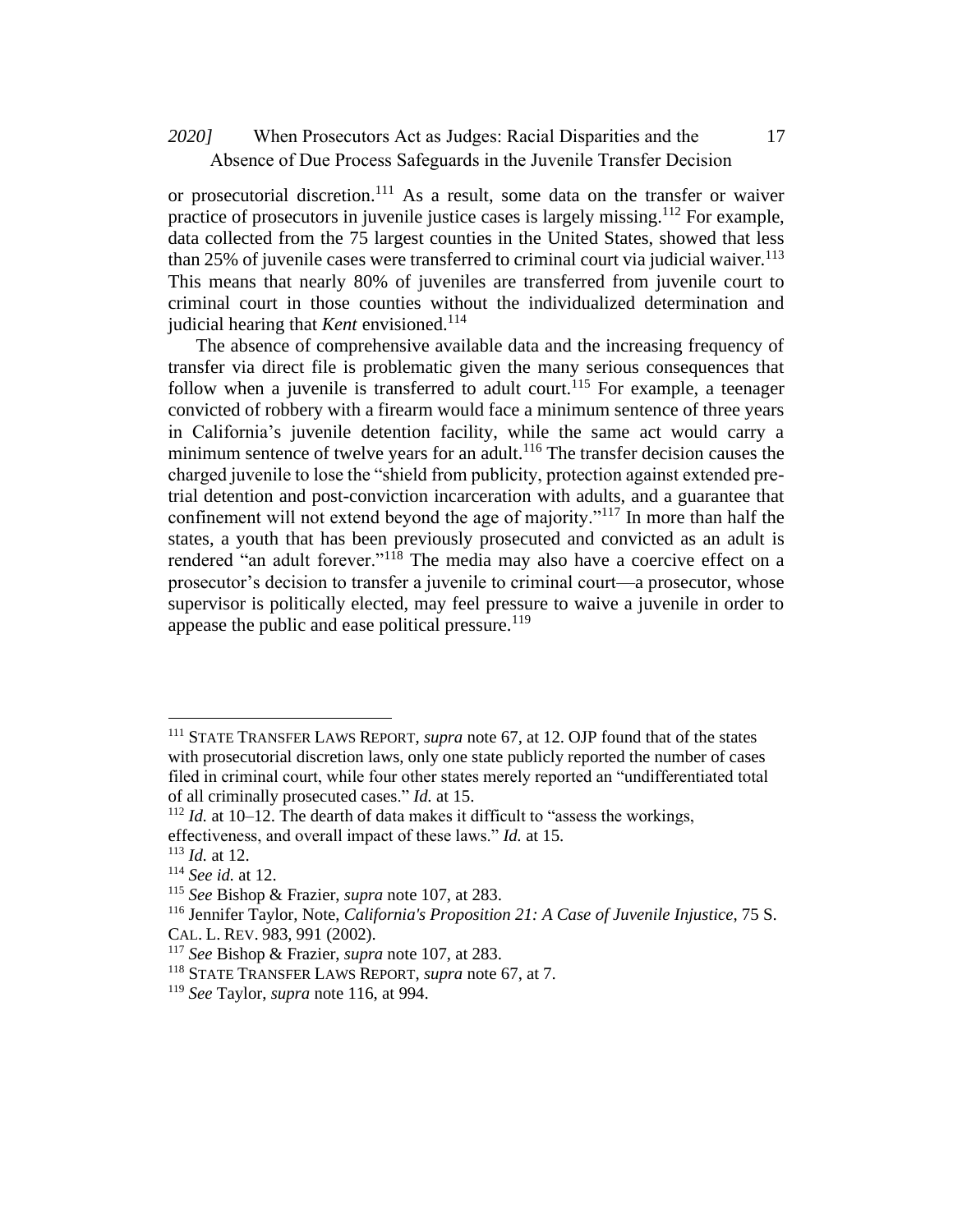# When Prosecutors Act as Judges: Racial Disparities and the *2020]* 17 Absence of Due Process Safeguards in the Juvenile Transfer Decision

or prosecutorial discretion.<sup>111</sup> As a result, some data on the transfer or waiver practice of prosecutors in juvenile justice cases is largely missing.<sup>112</sup> For example, data collected from the 75 largest counties in the United States, showed that less than 25% of juvenile cases were transferred to criminal court via judicial waiver.<sup>113</sup> This means that nearly 80% of juveniles are transferred from juvenile court to criminal court in those counties without the individualized determination and judicial hearing that *Kent* envisioned.<sup>114</sup>

The absence of comprehensive available data and the increasing frequency of transfer via direct file is problematic given the many serious consequences that follow when a juvenile is transferred to adult court.<sup>115</sup> For example, a teenager convicted of robbery with a firearm would face a minimum sentence of three years in California's juvenile detention facility, while the same act would carry a minimum sentence of twelve years for an adult.<sup>116</sup> The transfer decision causes the charged juvenile to lose the "shield from publicity, protection against extended pretrial detention and post-conviction incarceration with adults, and a guarantee that confinement will not extend beyond the age of majority."<sup>117</sup> In more than half the states, a youth that has been previously prosecuted and convicted as an adult is rendered "an adult forever."<sup>118</sup> The media may also have a coercive effect on a prosecutor's decision to transfer a juvenile to criminal court—a prosecutor, whose supervisor is politically elected, may feel pressure to waive a juvenile in order to appease the public and ease political pressure. $119$ 

<sup>111</sup> STATE TRANSFER LAWS REPORT, *supra* note 67, at 12. OJP found that of the states with prosecutorial discretion laws, only one state publicly reported the number of cases filed in criminal court, while four other states merely reported an "undifferentiated total of all criminally prosecuted cases." *Id.* at 15.

 $112$  *Id.* at 10–12. The dearth of data makes it difficult to "assess the workings,

effectiveness, and overall impact of these laws." *Id.* at 15.

<sup>113</sup> *Id.* at 12.

<sup>114</sup> *See id.* at 12.

<sup>115</sup> *See* Bishop & Frazier, *supra* note 107, at 283.

<sup>116</sup> Jennifer Taylor, Note, *California's Proposition 21: A Case of Juvenile Injustice*, 75 S. CAL. L. REV. 983, 991 (2002).

<sup>117</sup> *See* Bishop & Frazier, *supra* note 107, at 283.

<sup>118</sup> STATE TRANSFER LAWS REPORT, *supra* note 67, at 7.

<sup>119</sup> *See* Taylor, *supra* note 116, at 994.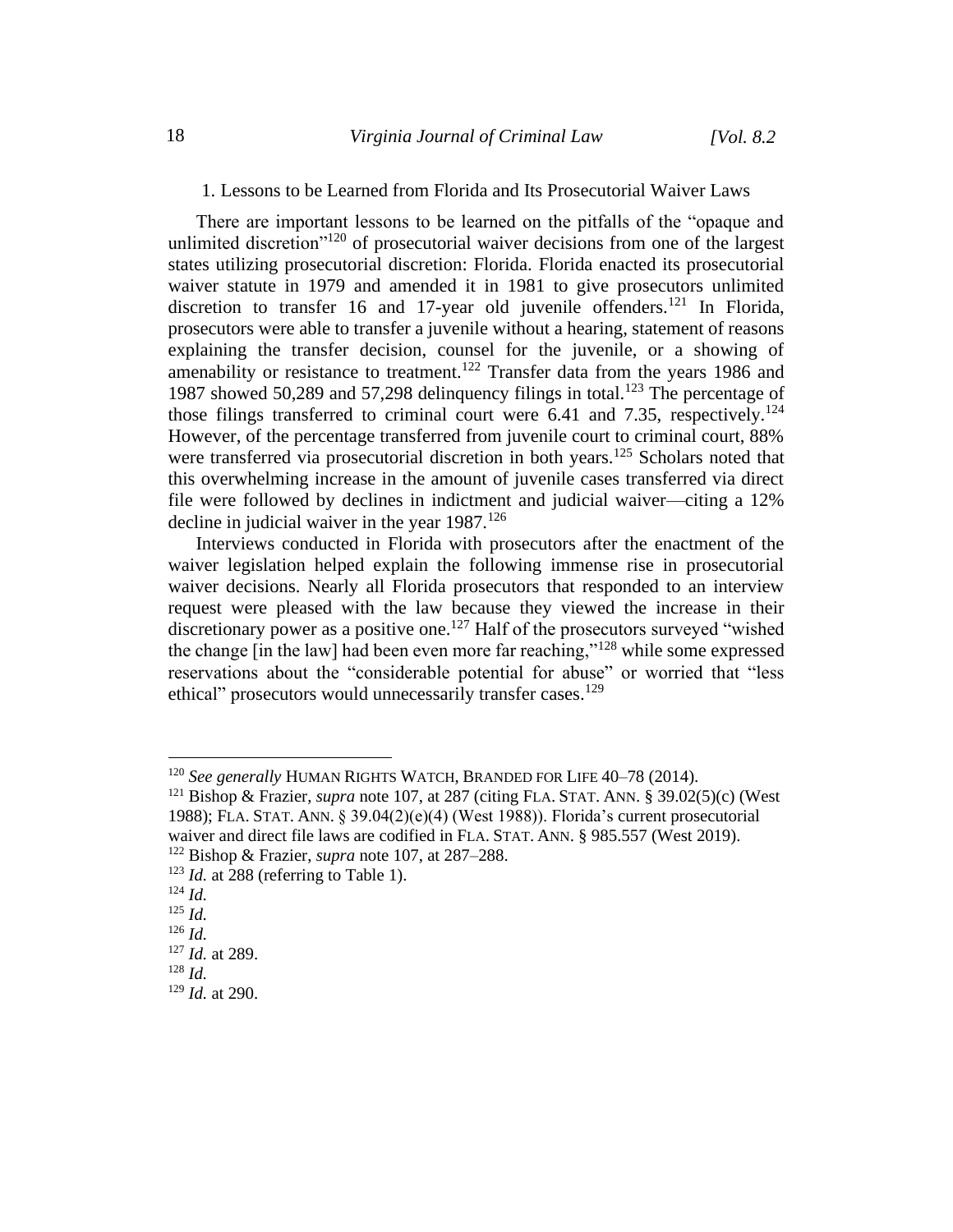#### 1. Lessons to be Learned from Florida and Its Prosecutorial Waiver Laws

There are important lessons to be learned on the pitfalls of the "opaque and unlimited discretion"<sup>120</sup> of prosecutorial waiver decisions from one of the largest states utilizing prosecutorial discretion: Florida. Florida enacted its prosecutorial waiver statute in 1979 and amended it in 1981 to give prosecutors unlimited discretion to transfer 16 and 17-year old juvenile offenders.<sup>121</sup> In Florida, prosecutors were able to transfer a juvenile without a hearing, statement of reasons explaining the transfer decision, counsel for the juvenile, or a showing of amenability or resistance to treatment.<sup>122</sup> Transfer data from the years 1986 and 1987 showed 50,289 and 57,298 delinquency filings in total.<sup>123</sup> The percentage of those filings transferred to criminal court were 6.41 and 7.35, respectively.<sup>124</sup> However, of the percentage transferred from juvenile court to criminal court, 88% were transferred via prosecutorial discretion in both years.<sup>125</sup> Scholars noted that this overwhelming increase in the amount of juvenile cases transferred via direct file were followed by declines in indictment and judicial waiver—citing a 12% decline in judicial waiver in the year  $1987$ .<sup>126</sup>

Interviews conducted in Florida with prosecutors after the enactment of the waiver legislation helped explain the following immense rise in prosecutorial waiver decisions. Nearly all Florida prosecutors that responded to an interview request were pleased with the law because they viewed the increase in their discretionary power as a positive one.<sup>127</sup> Half of the prosecutors surveyed "wished the change [in the law] had been even more far reaching,"<sup>128</sup> while some expressed reservations about the "considerable potential for abuse" or worried that "less ethical" prosecutors would unnecessarily transfer cases.<sup>129</sup>

<sup>120</sup> *See generally* HUMAN RIGHTS WATCH, BRANDED FOR LIFE 40–78 (2014).

<sup>121</sup> Bishop & Frazier, *supra* note 107, at 287 (citing FLA. STAT. ANN. § 39.02(5)(c) (West 1988); FLA. STAT. ANN.  $\S 39.04(2)(e)(4)$  (West 1988)). Florida's current prosecutorial waiver and direct file laws are codified in FLA. STAT. ANN. § 985.557 (West 2019).

<sup>122</sup> Bishop & Frazier, *supra* note 107, at 287–288.

 $123$  *Id.* at 288 (referring to Table 1).

<sup>124</sup> *Id.*

<sup>125</sup> *Id.*

<sup>126</sup> *Id.*

<sup>127</sup> *Id.* at 289.

<sup>128</sup> *Id.*

<sup>129</sup> *Id.* at 290.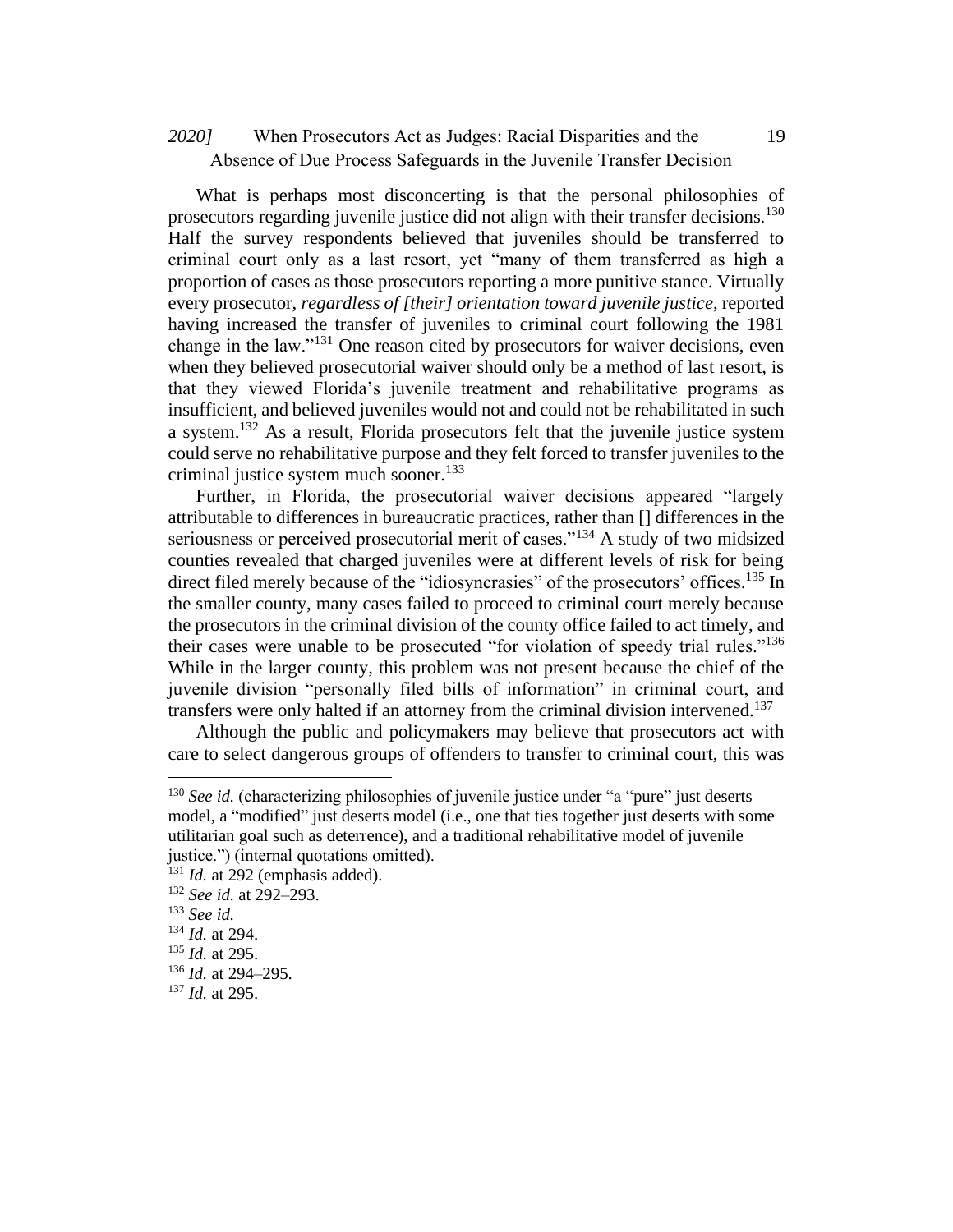# When Prosecutors Act as Judges: Racial Disparities and the *2020]* 19 Absence of Due Process Safeguards in the Juvenile Transfer Decision

What is perhaps most disconcerting is that the personal philosophies of prosecutors regarding juvenile justice did not align with their transfer decisions.<sup>130</sup> Half the survey respondents believed that juveniles should be transferred to criminal court only as a last resort, yet "many of them transferred as high a proportion of cases as those prosecutors reporting a more punitive stance. Virtually every prosecutor, *regardless of [their] orientation toward juvenile justice*, reported having increased the transfer of juveniles to criminal court following the 1981 change in the law."<sup>131</sup> One reason cited by prosecutors for waiver decisions, even when they believed prosecutorial waiver should only be a method of last resort, is that they viewed Florida's juvenile treatment and rehabilitative programs as insufficient, and believed juveniles would not and could not be rehabilitated in such a system.<sup>132</sup> As a result, Florida prosecutors felt that the juvenile justice system could serve no rehabilitative purpose and they felt forced to transfer juveniles to the criminal justice system much sooner. $133$ 

Further, in Florida, the prosecutorial waiver decisions appeared "largely attributable to differences in bureaucratic practices, rather than [] differences in the seriousness or perceived prosecutorial merit of cases."<sup>134</sup> A study of two midsized counties revealed that charged juveniles were at different levels of risk for being direct filed merely because of the "idiosyncrasies" of the prosecutors' offices.<sup>135</sup> In the smaller county, many cases failed to proceed to criminal court merely because the prosecutors in the criminal division of the county office failed to act timely, and their cases were unable to be prosecuted "for violation of speedy trial rules."<sup>136</sup> While in the larger county, this problem was not present because the chief of the juvenile division "personally filed bills of information" in criminal court, and transfers were only halted if an attorney from the criminal division intervened.<sup>137</sup>

Although the public and policymakers may believe that prosecutors act with care to select dangerous groups of offenders to transfer to criminal court, this was

<sup>&</sup>lt;sup>130</sup> *See id.* (characterizing philosophies of juvenile justice under "a "pure" just deserts model, a "modified" just deserts model (i.e., one that ties together just deserts with some utilitarian goal such as deterrence), and a traditional rehabilitative model of juvenile justice.") (internal quotations omitted).

<sup>&</sup>lt;sup>131</sup> *Id.* at 292 (emphasis added).

<sup>132</sup> *See id.* at 292–293.

<sup>133</sup> *See id.*

<sup>134</sup> *Id.* at 294.

<sup>135</sup> *Id.* at 295.

<sup>136</sup> *Id.* at 294–295.

<sup>137</sup> *Id.* at 295.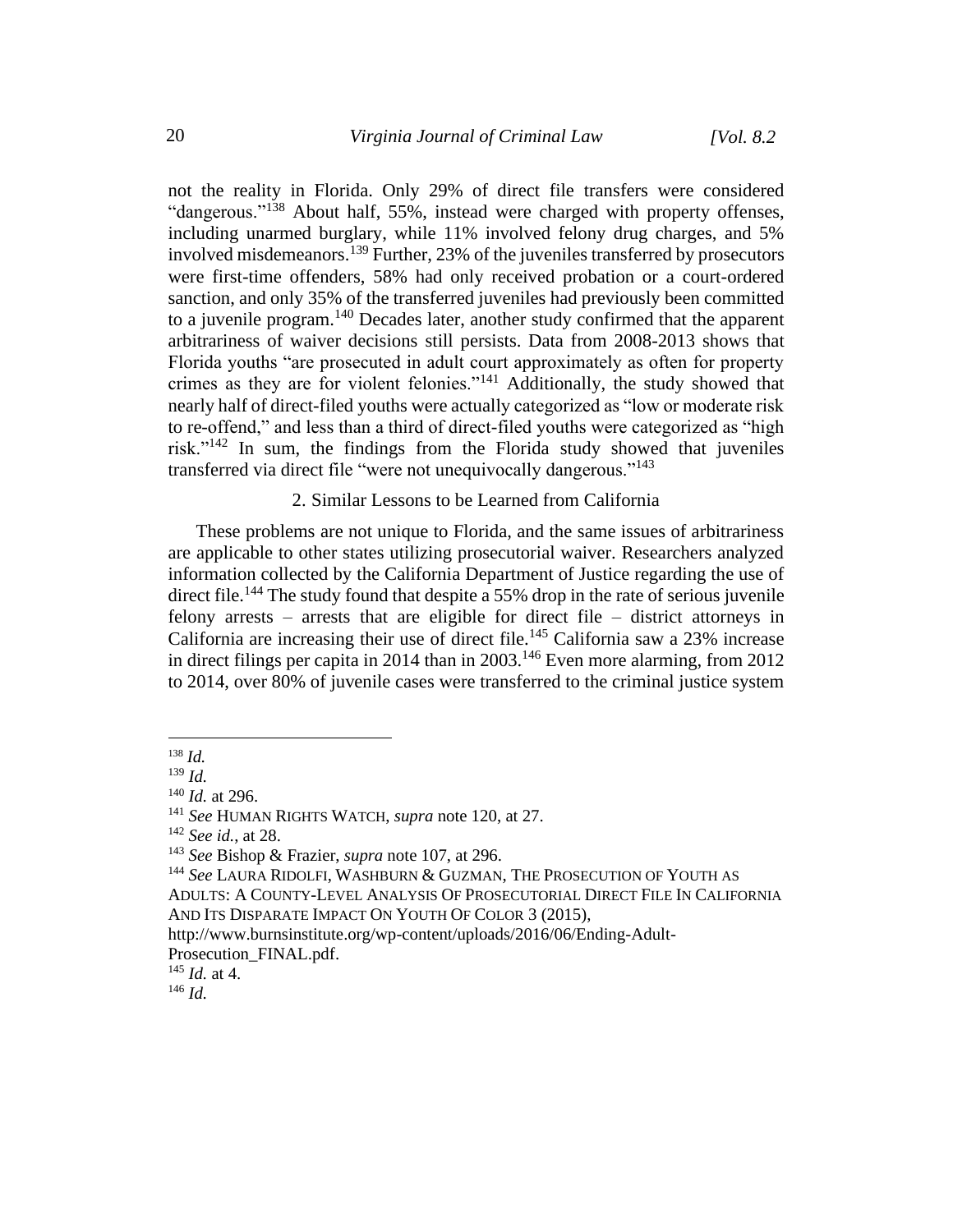not the reality in Florida. Only 29% of direct file transfers were considered "dangerous."<sup>138</sup> About half, 55%, instead were charged with property offenses, including unarmed burglary, while 11% involved felony drug charges, and 5% involved misdemeanors.<sup>139</sup> Further, 23% of the juveniles transferred by prosecutors were first-time offenders, 58% had only received probation or a court-ordered sanction, and only 35% of the transferred juveniles had previously been committed to a juvenile program.<sup>140</sup> Decades later, another study confirmed that the apparent arbitrariness of waiver decisions still persists. Data from 2008-2013 shows that Florida youths "are prosecuted in adult court approximately as often for property crimes as they are for violent felonies."<sup>141</sup> Additionally, the study showed that nearly half of direct-filed youths were actually categorized as "low or moderate risk to re-offend," and less than a third of direct-filed youths were categorized as "high risk."<sup>142</sup> In sum, the findings from the Florida study showed that juveniles transferred via direct file "were not unequivocally dangerous."<sup>143</sup>

### 2. Similar Lessons to be Learned from California

These problems are not unique to Florida, and the same issues of arbitrariness are applicable to other states utilizing prosecutorial waiver. Researchers analyzed information collected by the California Department of Justice regarding the use of direct file.<sup>144</sup> The study found that despite a 55% drop in the rate of serious juvenile felony arrests – arrests that are eligible for direct file – district attorneys in California are increasing their use of direct file.<sup>145</sup> California saw a 23% increase in direct filings per capita in 2014 than in  $2003$ .<sup>146</sup> Even more alarming, from  $2012$ to 2014, over 80% of juvenile cases were transferred to the criminal justice system

<sup>138</sup> *Id.*

<sup>139</sup> *Id.*

<sup>140</sup> *Id.* at 296.

<sup>141</sup> *See* HUMAN RIGHTS WATCH, *supra* note 120, at 27.

<sup>142</sup> *See id.*, at 28.

<sup>143</sup> *See* Bishop & Frazier, *supra* note 107, at 296.

<sup>144</sup> *See* LAURA RIDOLFI, WASHBURN & GUZMAN, THE PROSECUTION OF YOUTH AS ADULTS: A COUNTY-LEVEL ANALYSIS OF PROSECUTORIAL DIRECT FILE IN CALIFORNIA AND ITS DISPARATE IMPACT ON YOUTH OF COLOR 3 (2015),

http://www.burnsinstitute.org/wp-content/uploads/2016/06/Ending-Adult-Prosecution\_FINAL.pdf.

<sup>145</sup> *Id.* at 4.

<sup>146</sup> *Id.*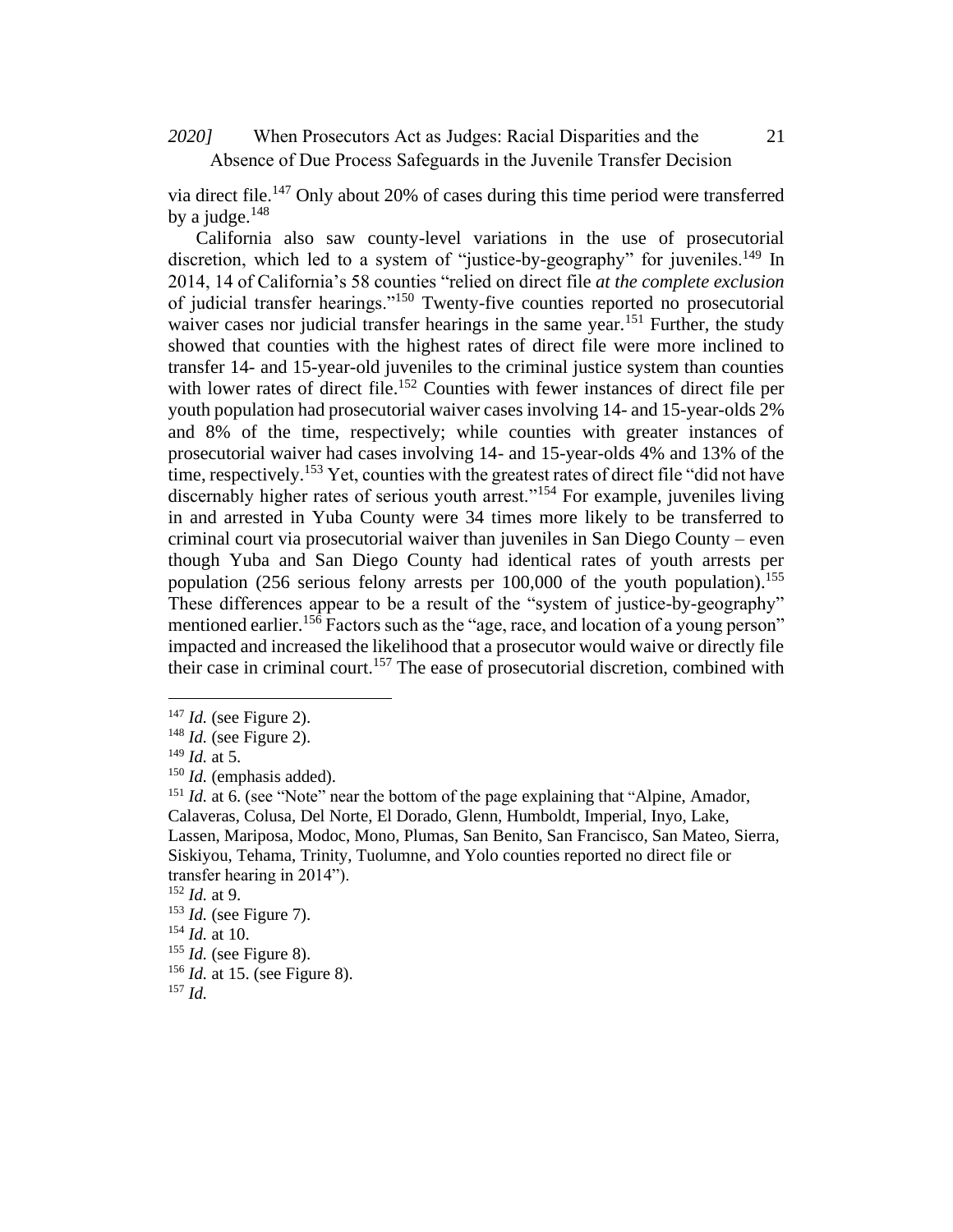# When Prosecutors Act as Judges: Racial Disparities and the *2020]* 21 Absence of Due Process Safeguards in the Juvenile Transfer Decision

via direct file.<sup>147</sup> Only about 20% of cases during this time period were transferred by a judge. $148$ 

California also saw county-level variations in the use of prosecutorial discretion, which led to a system of "justice-by-geography" for juveniles.<sup>149</sup> In 2014, 14 of California's 58 counties "relied on direct file *at the complete exclusion* of judicial transfer hearings."<sup>150</sup> Twenty-five counties reported no prosecutorial waiver cases nor judicial transfer hearings in the same year.<sup>151</sup> Further, the study showed that counties with the highest rates of direct file were more inclined to transfer 14- and 15-year-old juveniles to the criminal justice system than counties with lower rates of direct file.<sup>152</sup> Counties with fewer instances of direct file per youth population had prosecutorial waiver cases involving 14- and 15-year-olds 2% and 8% of the time, respectively; while counties with greater instances of prosecutorial waiver had cases involving 14- and 15-year-olds 4% and 13% of the time, respectively.<sup>153</sup> Yet, counties with the greatest rates of direct file "did not have discernably higher rates of serious youth arrest."<sup>154</sup> For example, juveniles living in and arrested in Yuba County were 34 times more likely to be transferred to criminal court via prosecutorial waiver than juveniles in San Diego County – even though Yuba and San Diego County had identical rates of youth arrests per population (256 serious felony arrests per 100,000 of the youth population). 155 These differences appear to be a result of the "system of justice-by-geography" mentioned earlier.<sup>156</sup> Factors such as the "age, race, and location of a young person" impacted and increased the likelihood that a prosecutor would waive or directly file their case in criminal court.<sup>157</sup> The ease of prosecutorial discretion, combined with

<sup>147</sup> *Id.* (see Figure 2).

<sup>148</sup> *Id.* (see Figure 2).

<sup>149</sup> *Id.* at 5.

<sup>150</sup> *Id.* (emphasis added).

<sup>&</sup>lt;sup>151</sup> *Id.* at 6. (see "Note" near the bottom of the page explaining that "Alpine, Amador, Calaveras, Colusa, Del Norte, El Dorado, Glenn, Humboldt, Imperial, Inyo, Lake, Lassen, Mariposa, Modoc, Mono, Plumas, San Benito, San Francisco, San Mateo, Sierra, Siskiyou, Tehama, Trinity, Tuolumne, and Yolo counties reported no direct file or transfer hearing in 2014").

<sup>152</sup> *Id.* at 9.

<sup>153</sup> *Id.* (see Figure 7).

<sup>154</sup> *Id.* at 10.

<sup>155</sup> *Id.* (see Figure 8).

<sup>156</sup> *Id.* at 15. (see Figure 8).

<sup>157</sup> *Id.*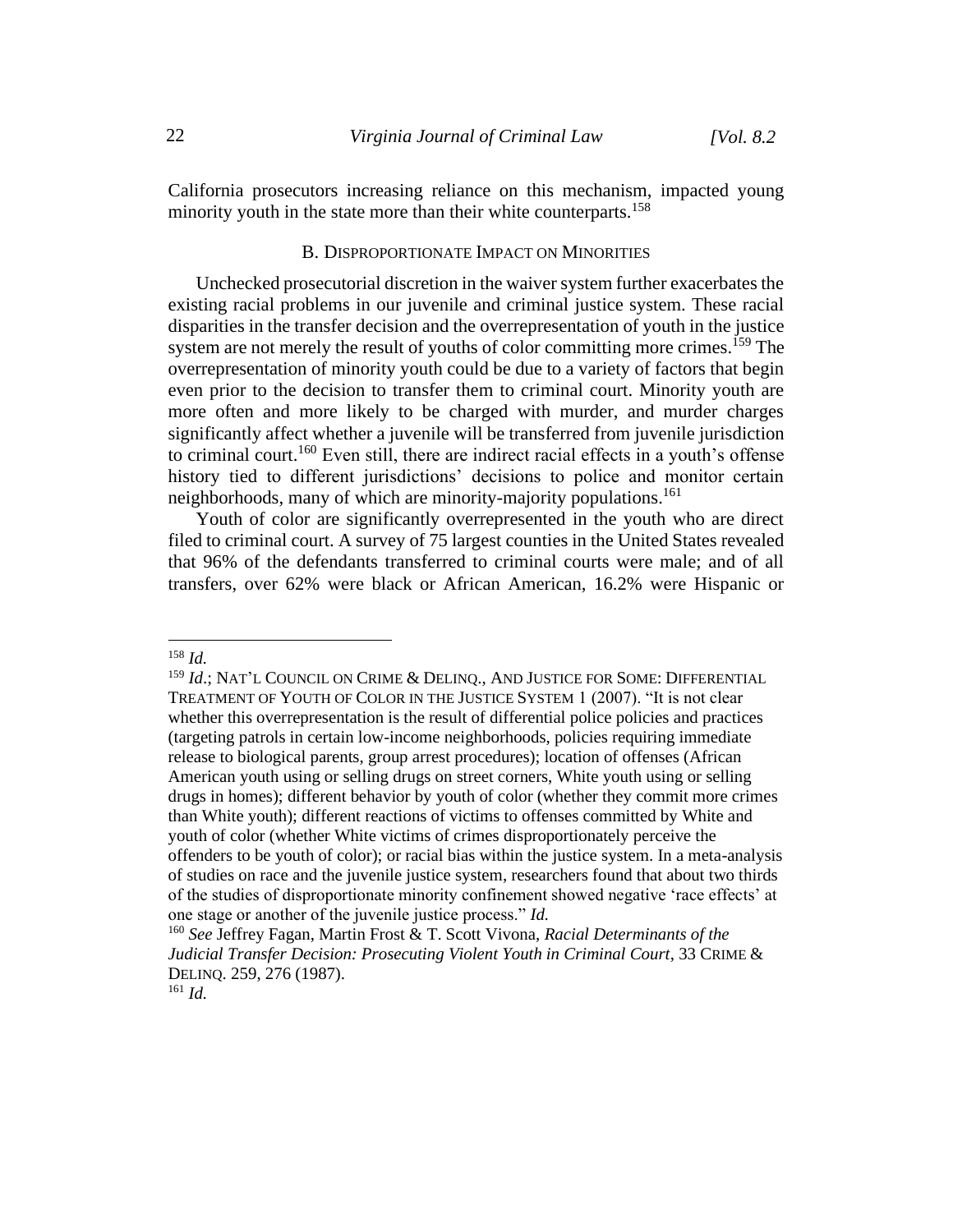California prosecutors increasing reliance on this mechanism, impacted young minority youth in the state more than their white counterparts.<sup>158</sup>

### B. DISPROPORTIONATE IMPACT ON MINORITIES

Unchecked prosecutorial discretion in the waiver system further exacerbates the existing racial problems in our juvenile and criminal justice system. These racial disparities in the transfer decision and the overrepresentation of youth in the justice system are not merely the result of youths of color committing more crimes.<sup>159</sup> The overrepresentation of minority youth could be due to a variety of factors that begin even prior to the decision to transfer them to criminal court. Minority youth are more often and more likely to be charged with murder, and murder charges significantly affect whether a juvenile will be transferred from juvenile jurisdiction to criminal court.<sup>160</sup> Even still, there are indirect racial effects in a youth's offense history tied to different jurisdictions' decisions to police and monitor certain neighborhoods, many of which are minority-majority populations. 161

Youth of color are significantly overrepresented in the youth who are direct filed to criminal court. A survey of 75 largest counties in the United States revealed that 96% of the defendants transferred to criminal courts were male; and of all transfers, over 62% were black or African American, 16.2% were Hispanic or

<sup>158</sup> *Id.*

<sup>159</sup> *Id*.; NAT'L COUNCIL ON CRIME & DELINQ., AND JUSTICE FOR SOME: DIFFERENTIAL TREATMENT OF YOUTH OF COLOR IN THE JUSTICE SYSTEM 1 (2007). "It is not clear whether this overrepresentation is the result of differential police policies and practices (targeting patrols in certain low-income neighborhoods, policies requiring immediate release to biological parents, group arrest procedures); location of offenses (African American youth using or selling drugs on street corners, White youth using or selling drugs in homes); different behavior by youth of color (whether they commit more crimes than White youth); different reactions of victims to offenses committed by White and youth of color (whether White victims of crimes disproportionately perceive the offenders to be youth of color); or racial bias within the justice system. In a meta-analysis of studies on race and the juvenile justice system, researchers found that about two thirds of the studies of disproportionate minority confinement showed negative 'race effects' at one stage or another of the juvenile justice process." *Id.*

<sup>160</sup> *See* Jeffrey Fagan, Martin Frost & T. Scott Vivona, *Racial Determinants of the Judicial Transfer Decision: Prosecuting Violent Youth in Criminal Court*, 33 CRIME & DELINQ. 259, 276 (1987).

<sup>161</sup> *Id.*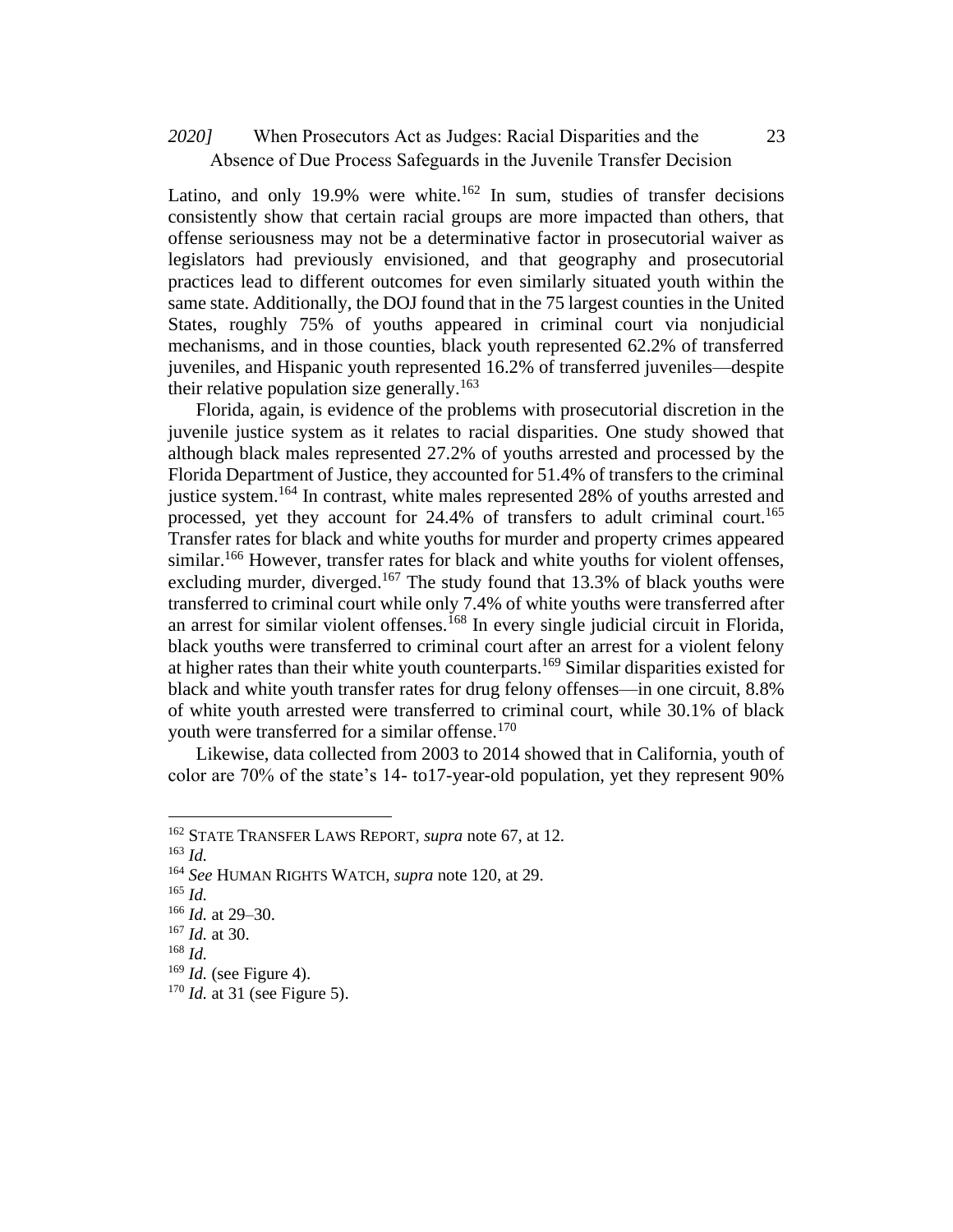### When Prosecutors Act as Judges: Racial Disparities and the *2020]* 23 Absence of Due Process Safeguards in the Juvenile Transfer Decision

Latino, and only 19.9% were white.<sup>162</sup> In sum, studies of transfer decisions consistently show that certain racial groups are more impacted than others, that offense seriousness may not be a determinative factor in prosecutorial waiver as legislators had previously envisioned, and that geography and prosecutorial practices lead to different outcomes for even similarly situated youth within the same state. Additionally, the DOJ found that in the 75 largest counties in the United States, roughly 75% of youths appeared in criminal court via nonjudicial mechanisms, and in those counties, black youth represented 62.2% of transferred juveniles, and Hispanic youth represented 16.2% of transferred juveniles—despite their relative population size generally.<sup>163</sup>

Florida, again, is evidence of the problems with prosecutorial discretion in the juvenile justice system as it relates to racial disparities. One study showed that although black males represented 27.2% of youths arrested and processed by the Florida Department of Justice, they accounted for 51.4% of transfers to the criminal justice system.<sup>164</sup> In contrast, white males represented 28% of youths arrested and processed, yet they account for  $24.4\%$  of transfers to adult criminal court.<sup>165</sup> Transfer rates for black and white youths for murder and property crimes appeared similar.<sup>166</sup> However, transfer rates for black and white youths for violent offenses, excluding murder, diverged.<sup>167</sup> The study found that 13.3% of black youths were transferred to criminal court while only 7.4% of white youths were transferred after an arrest for similar violent offenses.<sup>168</sup> In every single judicial circuit in Florida, black youths were transferred to criminal court after an arrest for a violent felony at higher rates than their white youth counterparts.<sup>169</sup> Similar disparities existed for black and white youth transfer rates for drug felony offenses—in one circuit, 8.8% of white youth arrested were transferred to criminal court, while 30.1% of black youth were transferred for a similar offense.<sup>170</sup>

Likewise, data collected from 2003 to 2014 showed that in California, youth of color are 70% of the state's 14- to17-year-old population, yet they represent 90%

<sup>162</sup> STATE TRANSFER LAWS REPORT, *supra* note 67, at 12.

<sup>163</sup> *Id.*

<sup>164</sup> *See* HUMAN RIGHTS WATCH, *supra* note 120, at 29.

<sup>165</sup> *Id.*

<sup>166</sup> *Id.* at 29–30.

<sup>167</sup> *Id.* at 30.

<sup>168</sup> *Id.*

<sup>169</sup> *Id.* (see Figure 4).

<sup>170</sup> *Id.* at 31 (see Figure 5).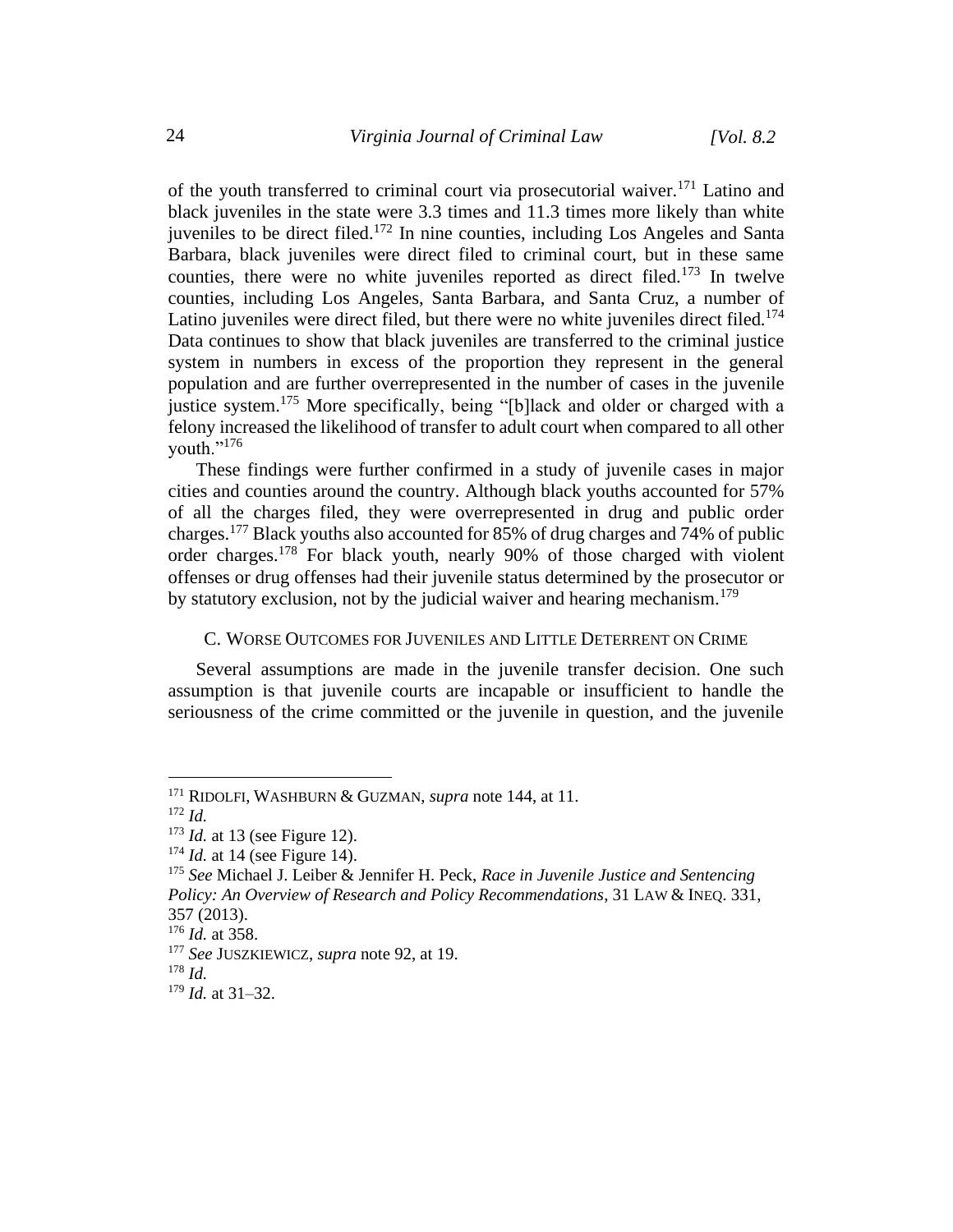of the youth transferred to criminal court via prosecutorial waiver.<sup>171</sup> Latino and black juveniles in the state were 3.3 times and 11.3 times more likely than white juveniles to be direct filed.<sup>172</sup> In nine counties, including Los Angeles and Santa Barbara, black juveniles were direct filed to criminal court, but in these same counties, there were no white juveniles reported as direct filed.<sup>173</sup> In twelve counties, including Los Angeles, Santa Barbara, and Santa Cruz, a number of Latino juveniles were direct filed, but there were no white juveniles direct filed.<sup>174</sup> Data continues to show that black juveniles are transferred to the criminal justice system in numbers in excess of the proportion they represent in the general population and are further overrepresented in the number of cases in the juvenile justice system.<sup>175</sup> More specifically, being "[b]lack and older or charged with a felony increased the likelihood of transfer to adult court when compared to all other youth."<sup>176</sup>

These findings were further confirmed in a study of juvenile cases in major cities and counties around the country. Although black youths accounted for 57% of all the charges filed, they were overrepresented in drug and public order charges.<sup>177</sup> Black youths also accounted for 85% of drug charges and 74% of public order charges.<sup>178</sup> For black youth, nearly 90% of those charged with violent offenses or drug offenses had their juvenile status determined by the prosecutor or by statutory exclusion, not by the judicial waiver and hearing mechanism.<sup>179</sup>

### C. WORSE OUTCOMES FOR JUVENILES AND LITTLE DETERRENT ON CRIME

Several assumptions are made in the juvenile transfer decision. One such assumption is that juvenile courts are incapable or insufficient to handle the seriousness of the crime committed or the juvenile in question, and the juvenile

<sup>171</sup> RIDOLFI, WASHBURN & GUZMAN, *supra* note 144, at 11.

<sup>172</sup> *Id.*

<sup>173</sup> *Id.* at 13 (see Figure 12).

<sup>&</sup>lt;sup>174</sup> *Id.* at 14 (see Figure 14).

<sup>175</sup> *See* Michael J. Leiber & Jennifer H. Peck, *Race in Juvenile Justice and Sentencing Policy: An Overview of Research and Policy Recommendations*, 31 LAW & INEQ. 331, 357 (2013).

<sup>176</sup> *Id.* at 358.

<sup>177</sup> *See* JUSZKIEWICZ, *supra* note 92, at 19.

<sup>178</sup> *Id.*

<sup>179</sup> *Id.* at 31–32.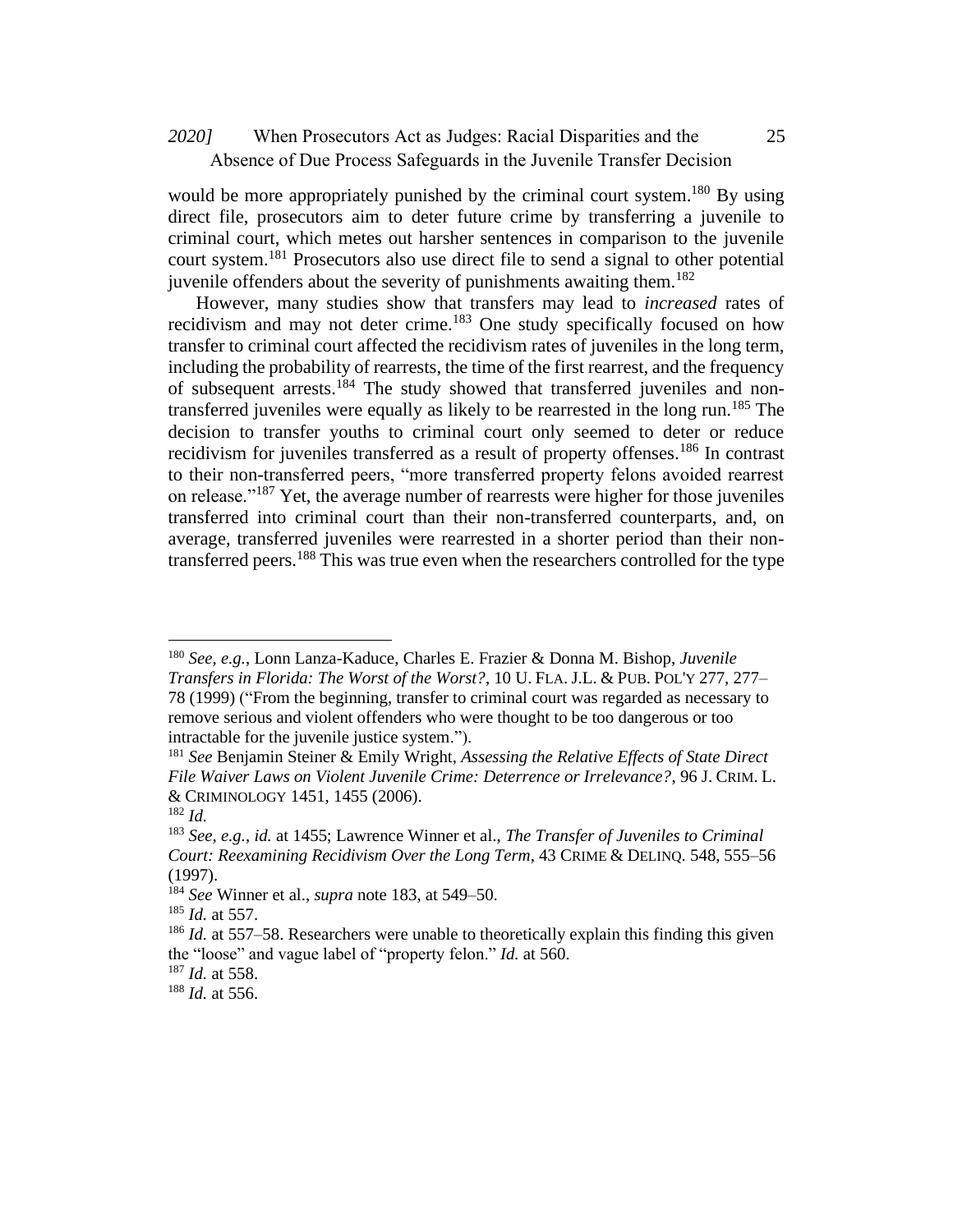# When Prosecutors Act as Judges: Racial Disparities and the *2020]* 25 Absence of Due Process Safeguards in the Juvenile Transfer Decision

would be more appropriately punished by the criminal court system.<sup>180</sup> By using direct file, prosecutors aim to deter future crime by transferring a juvenile to criminal court, which metes out harsher sentences in comparison to the juvenile court system.<sup>181</sup> Prosecutors also use direct file to send a signal to other potential juvenile offenders about the severity of punishments awaiting them.<sup>182</sup>

However, many studies show that transfers may lead to *increased* rates of recidivism and may not deter crime.<sup>183</sup> One study specifically focused on how transfer to criminal court affected the recidivism rates of juveniles in the long term, including the probability of rearrests, the time of the first rearrest, and the frequency of subsequent arrests.<sup>184</sup> The study showed that transferred juveniles and nontransferred juveniles were equally as likely to be rearrested in the long run.<sup>185</sup> The decision to transfer youths to criminal court only seemed to deter or reduce recidivism for juveniles transferred as a result of property offenses.<sup>186</sup> In contrast to their non-transferred peers, "more transferred property felons avoided rearrest on release."<sup>187</sup> Yet, the average number of rearrests were higher for those juveniles transferred into criminal court than their non-transferred counterparts, and, on average, transferred juveniles were rearrested in a shorter period than their nontransferred peers.<sup>188</sup> This was true even when the researchers controlled for the type

<sup>180</sup> *See, e.g.*, Lonn Lanza-Kaduce, Charles E. Frazier & Donna M. Bishop, *Juvenile Transfers in Florida: The Worst of the Worst?*, 10 U. FLA. J.L. & PUB. POL'Y 277, 277– 78 (1999) ("From the beginning, transfer to criminal court was regarded as necessary to remove serious and violent offenders who were thought to be too dangerous or too intractable for the juvenile justice system.").

<sup>181</sup> *See* Benjamin Steiner & Emily Wright, *Assessing the Relative Effects of State Direct File Waiver Laws on Violent Juvenile Crime: Deterrence or Irrelevance?*, 96 J. CRIM. L. & CRIMINOLOGY 1451, 1455 (2006).

<sup>182</sup> *Id.*

<sup>183</sup> *See, e.g.*, *id.* at 1455; Lawrence Winner et al., *The Transfer of Juveniles to Criminal Court: Reexamining Recidivism Over the Long Term*, 43 CRIME & DELINQ. 548, 555–56 (1997).

<sup>184</sup> *See* Winner et al., *supra* note 183, at 549–50.

<sup>185</sup> *Id.* at 557.

<sup>&</sup>lt;sup>186</sup> *Id.* at 557–58. Researchers were unable to theoretically explain this finding this given the "loose" and vague label of "property felon." *Id.* at 560.

<sup>187</sup> *Id.* at 558.

<sup>188</sup> *Id.* at 556.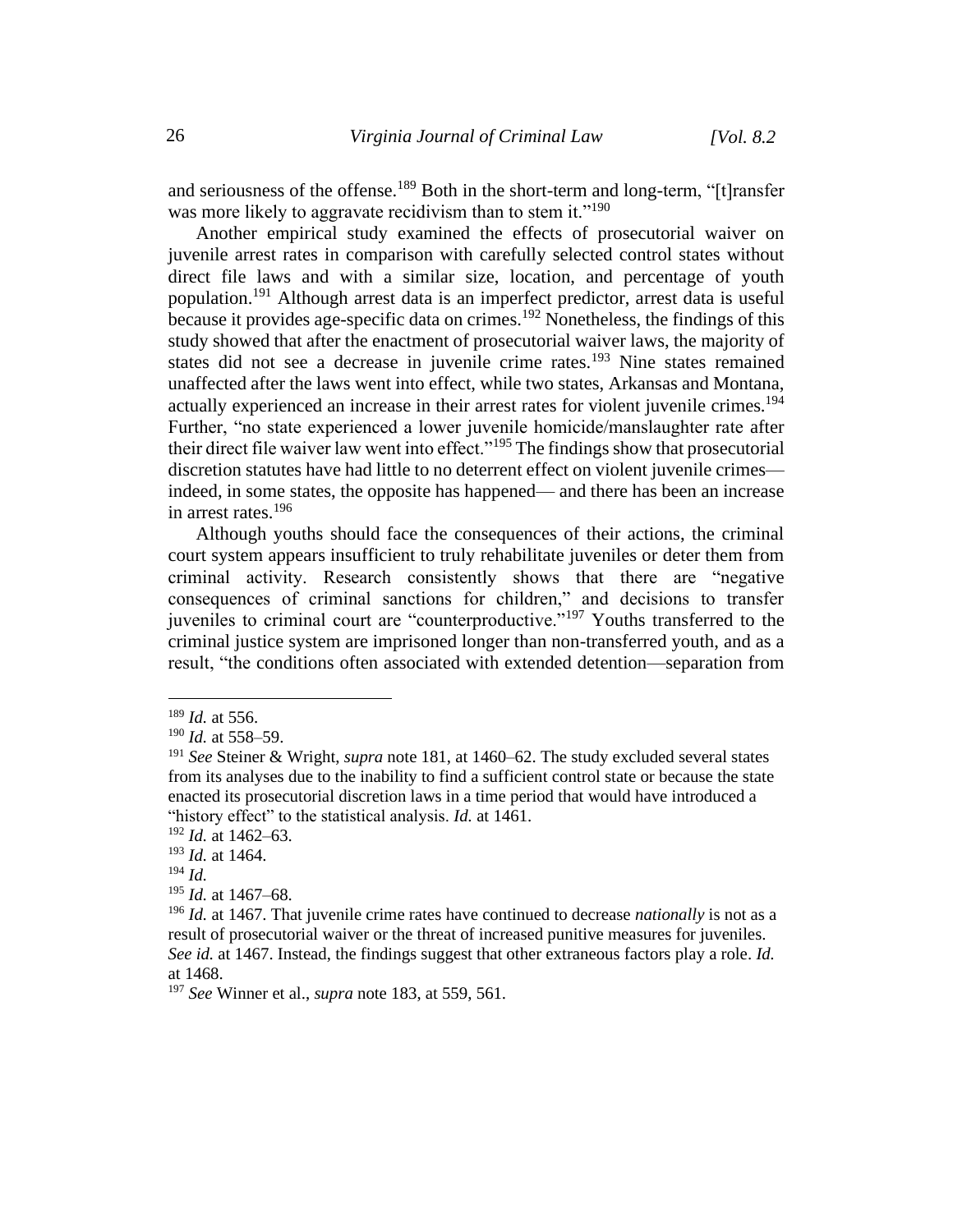and seriousness of the offense.<sup>189</sup> Both in the short-term and long-term, "[t] ransfer was more likely to aggravate recidivism than to stem it."<sup>190</sup>

Another empirical study examined the effects of prosecutorial waiver on juvenile arrest rates in comparison with carefully selected control states without direct file laws and with a similar size, location, and percentage of youth population.<sup>191</sup> Although arrest data is an imperfect predictor, arrest data is useful because it provides age-specific data on crimes.<sup>192</sup> Nonetheless, the findings of this study showed that after the enactment of prosecutorial waiver laws, the majority of states did not see a decrease in juvenile crime rates.<sup>193</sup> Nine states remained unaffected after the laws went into effect, while two states, Arkansas and Montana, actually experienced an increase in their arrest rates for violent juvenile crimes.<sup>194</sup> Further, "no state experienced a lower juvenile homicide/manslaughter rate after their direct file waiver law went into effect."<sup>195</sup> The findings show that prosecutorial discretion statutes have had little to no deterrent effect on violent juvenile crimes indeed, in some states, the opposite has happened— and there has been an increase in arrest rates. $196$ 

Although youths should face the consequences of their actions, the criminal court system appears insufficient to truly rehabilitate juveniles or deter them from criminal activity. Research consistently shows that there are "negative consequences of criminal sanctions for children," and decisions to transfer juveniles to criminal court are "counterproductive."<sup>197</sup> Youths transferred to the criminal justice system are imprisoned longer than non-transferred youth, and as a result, "the conditions often associated with extended detention—separation from

<sup>189</sup> *Id.* at 556.

<sup>190</sup> *Id.* at 558–59.

<sup>191</sup> *See* Steiner & Wright, *supra* note 181, at 1460–62. The study excluded several states from its analyses due to the inability to find a sufficient control state or because the state enacted its prosecutorial discretion laws in a time period that would have introduced a "history effect" to the statistical analysis. *Id.* at 1461.

<sup>192</sup> *Id.* at 1462–63.

<sup>193</sup> *Id.* at 1464.

<sup>194</sup> *Id.*

<sup>195</sup> *Id.* at 1467–68.

<sup>196</sup> *Id.* at 1467. That juvenile crime rates have continued to decrease *nationally* is not as a result of prosecutorial waiver or the threat of increased punitive measures for juveniles. *See id.* at 1467. Instead, the findings suggest that other extraneous factors play a role. *Id.* at 1468.

<sup>197</sup> *See* Winner et al., *supra* note 183, at 559, 561.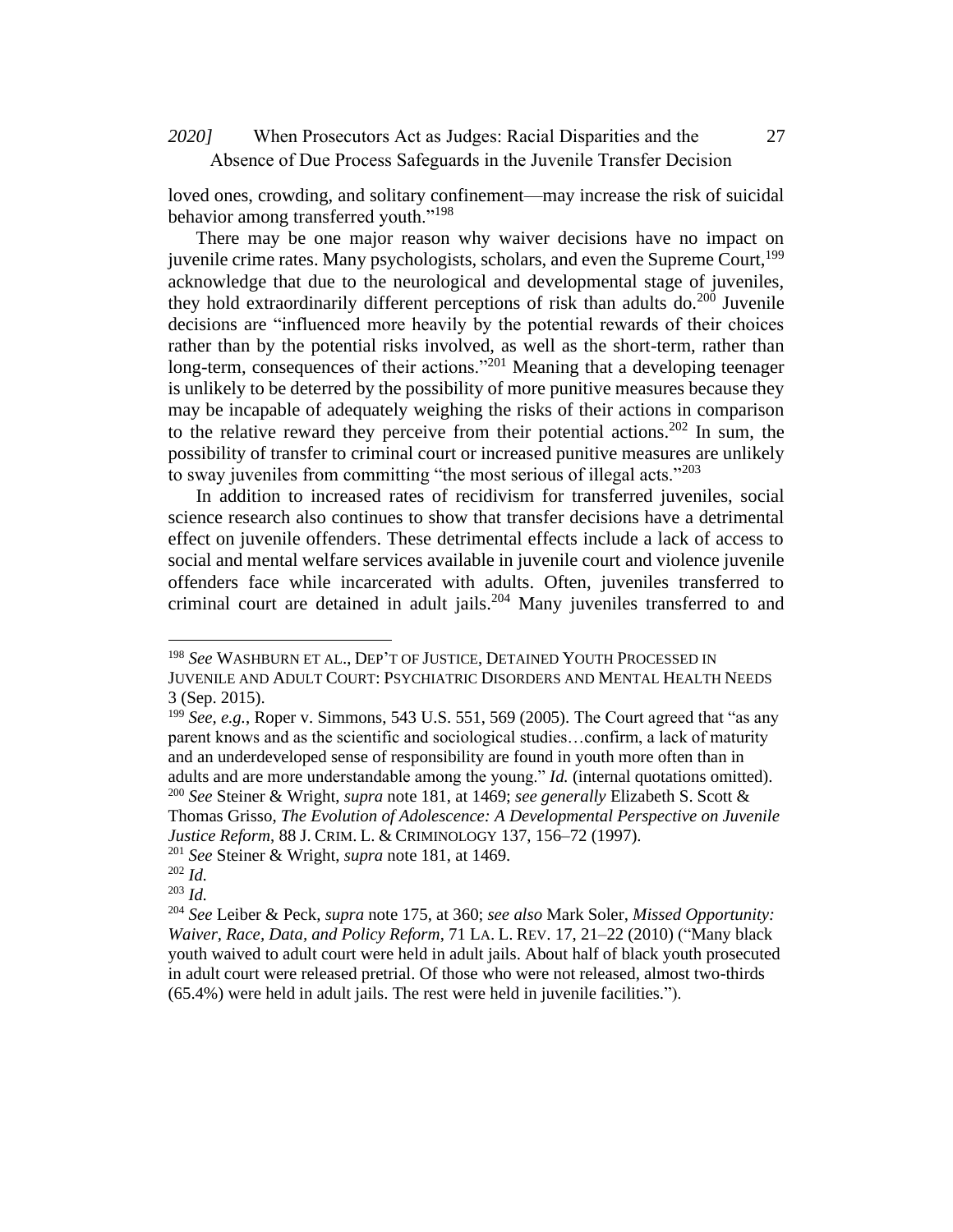### When Prosecutors Act as Judges: Racial Disparities and the *2020]* 27 Absence of Due Process Safeguards in the Juvenile Transfer Decision

loved ones, crowding, and solitary confinement—may increase the risk of suicidal behavior among transferred youth."<sup>198</sup>

There may be one major reason why waiver decisions have no impact on juvenile crime rates. Many psychologists, scholars, and even the Supreme Court,<sup>199</sup> acknowledge that due to the neurological and developmental stage of juveniles, they hold extraordinarily different perceptions of risk than adults do.<sup>200</sup> Juvenile decisions are "influenced more heavily by the potential rewards of their choices rather than by the potential risks involved, as well as the short-term, rather than long-term, consequences of their actions."<sup>201</sup> Meaning that a developing teenager is unlikely to be deterred by the possibility of more punitive measures because they may be incapable of adequately weighing the risks of their actions in comparison to the relative reward they perceive from their potential actions.<sup>202</sup> In sum, the possibility of transfer to criminal court or increased punitive measures are unlikely to sway juveniles from committing "the most serious of illegal acts."<sup>203</sup>

In addition to increased rates of recidivism for transferred juveniles, social science research also continues to show that transfer decisions have a detrimental effect on juvenile offenders. These detrimental effects include a lack of access to social and mental welfare services available in juvenile court and violence juvenile offenders face while incarcerated with adults. Often, juveniles transferred to criminal court are detained in adult jails.<sup>204</sup> Many juveniles transferred to and

<sup>198</sup> *See* WASHBURN ET AL., DEP'T OF JUSTICE, DETAINED YOUTH PROCESSED IN JUVENILE AND ADULT COURT: PSYCHIATRIC DISORDERS AND MENTAL HEALTH NEEDS 3 (Sep. 2015).

<sup>199</sup> *See, e.g.*, Roper v. Simmons, 543 U.S. 551, 569 (2005). The Court agreed that "as any parent knows and as the scientific and sociological studies…confirm, a lack of maturity and an underdeveloped sense of responsibility are found in youth more often than in adults and are more understandable among the young." *Id.* (internal quotations omitted). <sup>200</sup> *See* Steiner & Wright, *supra* note 181, at 1469; *see generally* Elizabeth S. Scott &

Thomas Grisso, *The Evolution of Adolescence: A Developmental Perspective on Juvenile Justice Reform*, 88 J. CRIM. L. & CRIMINOLOGY 137, 156–72 (1997).

<sup>201</sup> *See* Steiner & Wright, *supra* note 181, at 1469.

<sup>202</sup> *Id.* <sup>203</sup> *Id.*

<sup>204</sup> *See* Leiber & Peck, *supra* note 175, at 360; *see also* Mark Soler, *Missed Opportunity: Waiver, Race, Data, and Policy Reform*, 71 LA. L. REV. 17, 21–22 (2010) ("Many black youth waived to adult court were held in adult jails. About half of black youth prosecuted in adult court were released pretrial. Of those who were not released, almost two-thirds (65.4%) were held in adult jails. The rest were held in juvenile facilities.").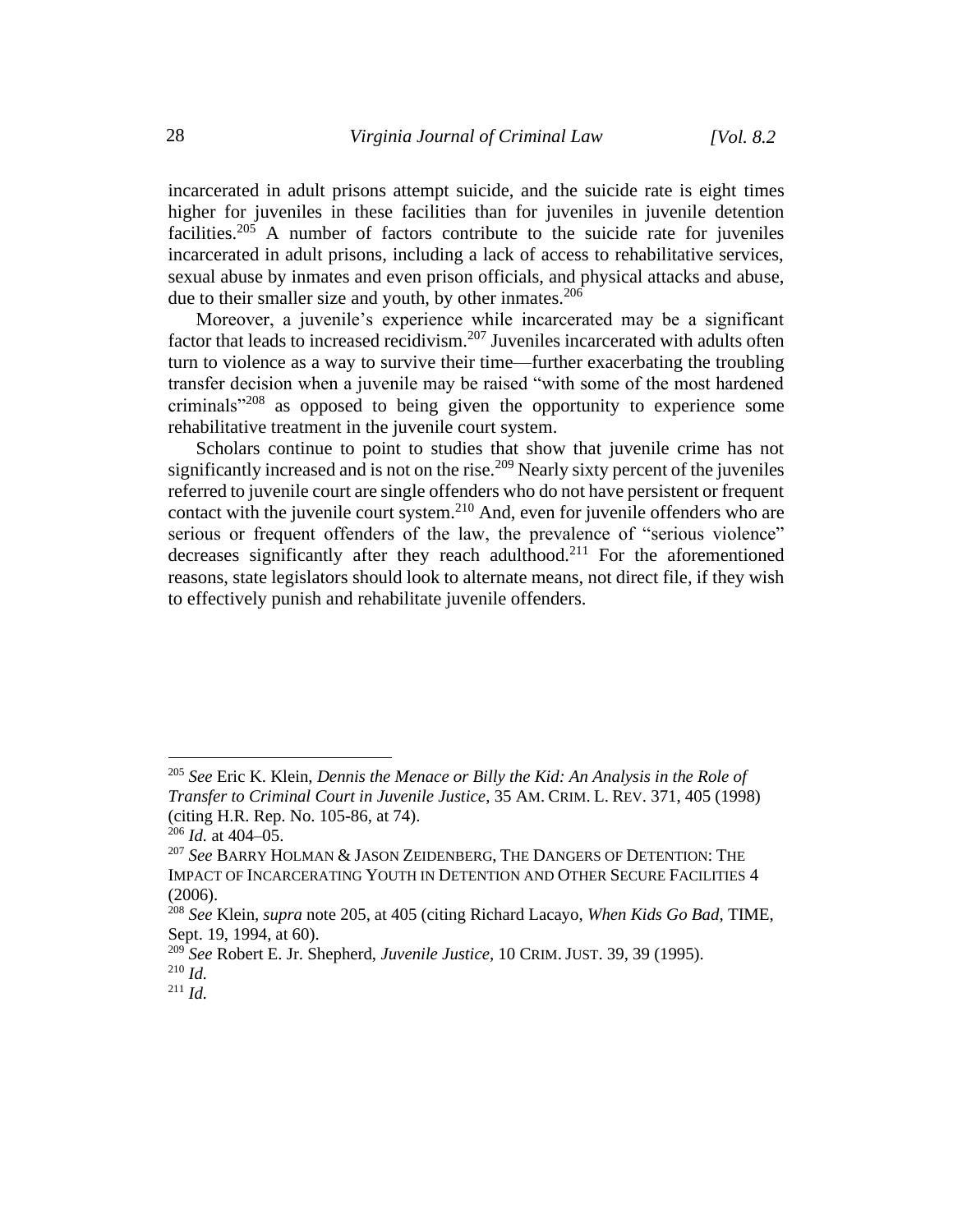incarcerated in adult prisons attempt suicide, and the suicide rate is eight times higher for juveniles in these facilities than for juveniles in juvenile detention facilities.<sup>205</sup> A number of factors contribute to the suicide rate for juveniles incarcerated in adult prisons, including a lack of access to rehabilitative services, sexual abuse by inmates and even prison officials, and physical attacks and abuse, due to their smaller size and youth, by other inmates.<sup>206</sup>

Moreover, a juvenile's experience while incarcerated may be a significant factor that leads to increased recidivism.<sup>207</sup> Juveniles incarcerated with adults often turn to violence as a way to survive their time—further exacerbating the troubling transfer decision when a juvenile may be raised "with some of the most hardened criminals"<sup>208</sup> as opposed to being given the opportunity to experience some rehabilitative treatment in the juvenile court system.

Scholars continue to point to studies that show that juvenile crime has not significantly increased and is not on the rise.<sup>209</sup> Nearly sixty percent of the juveniles referred to juvenile court are single offenders who do not have persistent or frequent contact with the juvenile court system.<sup>210</sup> And, even for juvenile offenders who are serious or frequent offenders of the law, the prevalence of "serious violence" decreases significantly after they reach adulthood.<sup>211</sup> For the aforementioned reasons, state legislators should look to alternate means, not direct file, if they wish to effectively punish and rehabilitate juvenile offenders.

<sup>205</sup> *See* Eric K. Klein, *Dennis the Menace or Billy the Kid: An Analysis in the Role of Transfer to Criminal Court in Juvenile Justice*, 35 AM. CRIM. L. REV. 371, 405 (1998) (citing H.R. Rep. No. 105-86, at 74).

<sup>206</sup> *Id.* at 404–05.

<sup>207</sup> *See* BARRY HOLMAN & JASON ZEIDENBERG, THE DANGERS OF DETENTION: THE IMPACT OF INCARCERATING YOUTH IN DETENTION AND OTHER SECURE FACILITIES 4 (2006).

<sup>208</sup> *See* Klein, *supra* note 205, at 405 (citing Richard Lacayo, *When Kids Go Bad*, TIME, Sept. 19, 1994, at 60).

<sup>209</sup> *See* Robert E. Jr. Shepherd, *Juvenile Justice*, 10 CRIM. JUST. 39, 39 (1995). <sup>210</sup> *Id.*

<sup>211</sup> *Id.*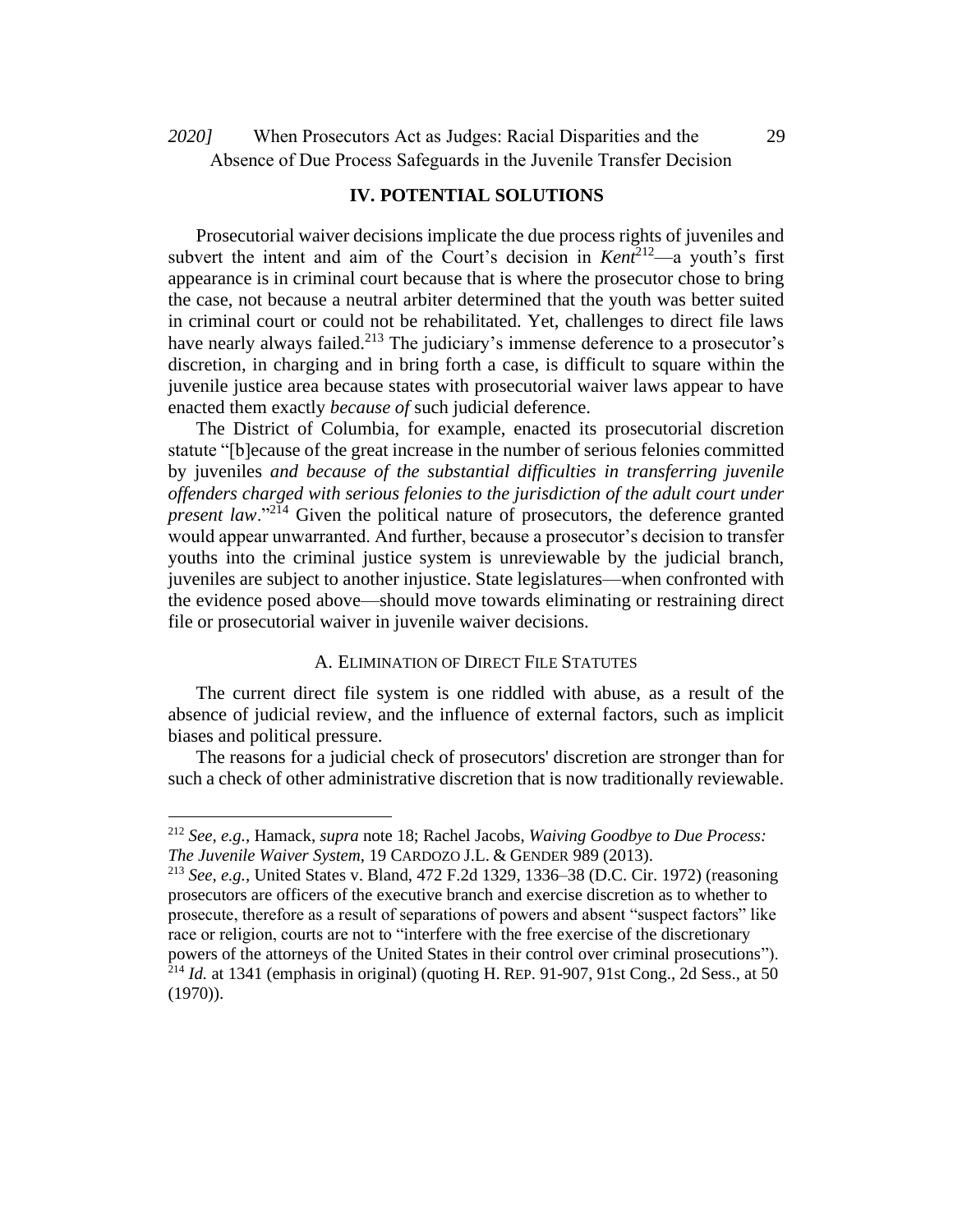When Prosecutors Act as Judges: Racial Disparities and the *2020]* 29 Absence of Due Process Safeguards in the Juvenile Transfer Decision

### **IV. POTENTIAL SOLUTIONS**

Prosecutorial waiver decisions implicate the due process rights of juveniles and subvert the intent and aim of the Court's decision in *Kent*<sup>212</sup>—a youth's first appearance is in criminal court because that is where the prosecutor chose to bring the case, not because a neutral arbiter determined that the youth was better suited in criminal court or could not be rehabilitated. Yet, challenges to direct file laws have nearly always failed.<sup>213</sup> The judiciary's immense deference to a prosecutor's discretion, in charging and in bring forth a case, is difficult to square within the juvenile justice area because states with prosecutorial waiver laws appear to have enacted them exactly *because of* such judicial deference.

The District of Columbia, for example, enacted its prosecutorial discretion statute "[b]ecause of the great increase in the number of serious felonies committed by juveniles *and because of the substantial difficulties in transferring juvenile offenders charged with serious felonies to the jurisdiction of the adult court under present law.*"<sup>214</sup> Given the political nature of prosecutors, the deference granted would appear unwarranted. And further, because a prosecutor's decision to transfer youths into the criminal justice system is unreviewable by the judicial branch, juveniles are subject to another injustice. State legislatures—when confronted with the evidence posed above—should move towards eliminating or restraining direct file or prosecutorial waiver in juvenile waiver decisions.

### A. ELIMINATION OF DIRECT FILE STATUTES

The current direct file system is one riddled with abuse, as a result of the absence of judicial review, and the influence of external factors, such as implicit biases and political pressure.

The reasons for a judicial check of prosecutors' discretion are stronger than for such a check of other administrative discretion that is now traditionally reviewable.

<sup>212</sup> *See, e.g.*, Hamack, *supra* note 18; Rachel Jacobs, *Waiving Goodbye to Due Process: The Juvenile Waiver System*, 19 CARDOZO J.L. & GENDER 989 (2013).

<sup>213</sup> *See, e.g.*, United States v. Bland, 472 F.2d 1329, 1336–38 (D.C. Cir. 1972) (reasoning prosecutors are officers of the executive branch and exercise discretion as to whether to prosecute, therefore as a result of separations of powers and absent "suspect factors" like race or religion, courts are not to "interfere with the free exercise of the discretionary powers of the attorneys of the United States in their control over criminal prosecutions").  $^{214}$  *Id.* at 1341 (emphasis in original) (quoting H. REP. 91-907, 91st Cong., 2d Sess., at 50 (1970)).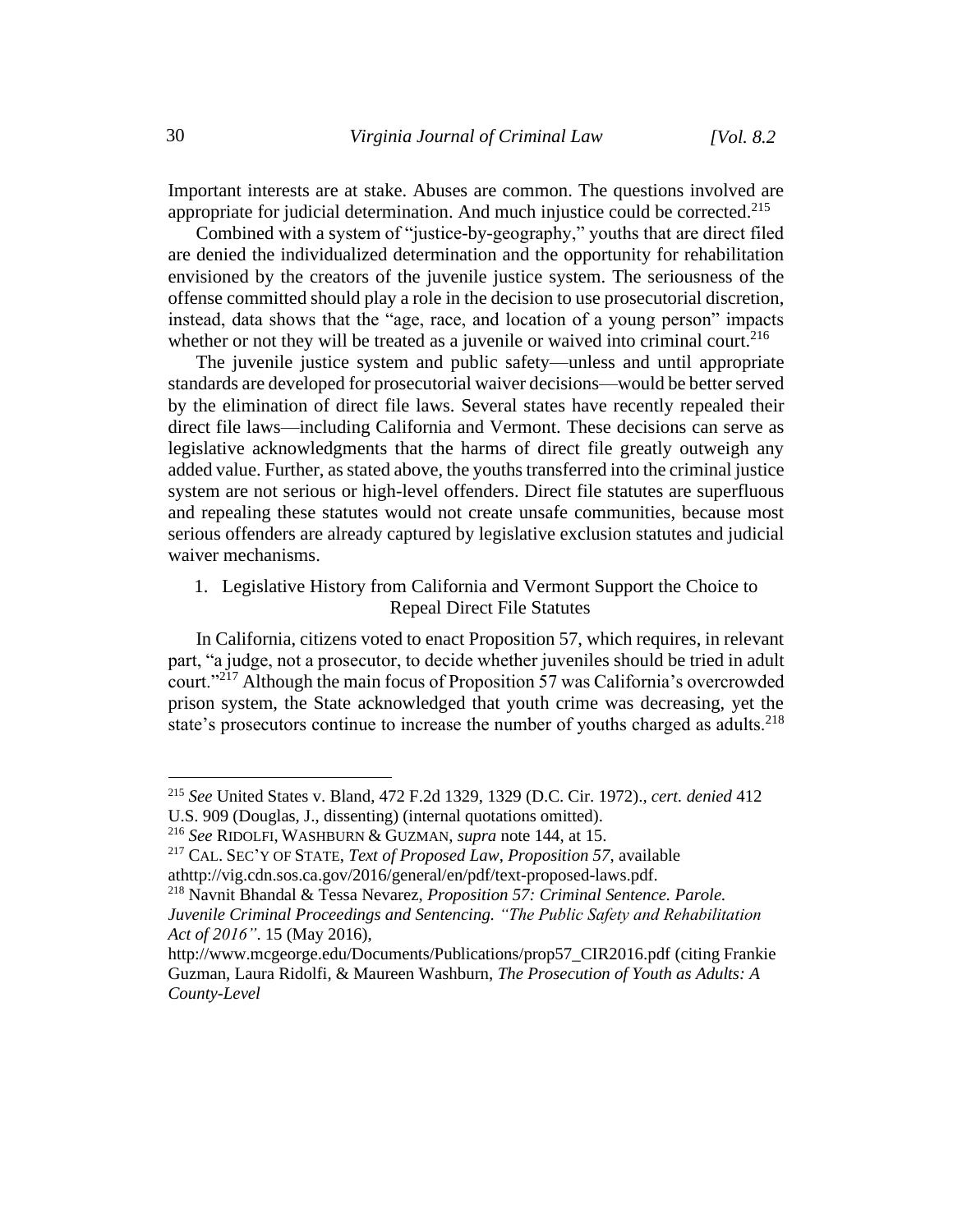Important interests are at stake. Abuses are common. The questions involved are appropriate for judicial determination. And much injustice could be corrected.<sup>215</sup>

Combined with a system of "justice-by-geography," youths that are direct filed are denied the individualized determination and the opportunity for rehabilitation envisioned by the creators of the juvenile justice system. The seriousness of the offense committed should play a role in the decision to use prosecutorial discretion, instead, data shows that the "age, race, and location of a young person" impacts whether or not they will be treated as a juvenile or waived into criminal court.<sup>216</sup>

The juvenile justice system and public safety—unless and until appropriate standards are developed for prosecutorial waiver decisions—would be better served by the elimination of direct file laws. Several states have recently repealed their direct file laws—including California and Vermont. These decisions can serve as legislative acknowledgments that the harms of direct file greatly outweigh any added value. Further, as stated above, the youths transferred into the criminal justice system are not serious or high-level offenders. Direct file statutes are superfluous and repealing these statutes would not create unsafe communities, because most serious offenders are already captured by legislative exclusion statutes and judicial waiver mechanisms.

1. Legislative History from California and Vermont Support the Choice to Repeal Direct File Statutes

In California, citizens voted to enact Proposition 57, which requires, in relevant part, "a judge, not a prosecutor, to decide whether juveniles should be tried in adult court."<sup>217</sup> Although the main focus of Proposition 57 was California's overcrowded prison system, the State acknowledged that youth crime was decreasing, yet the state's prosecutors continue to increase the number of youths charged as adults.<sup>218</sup>

<sup>215</sup> *See* United States v. Bland, 472 F.2d 1329, 1329 (D.C. Cir. 1972)., *cert. denied* 412 U.S. 909 (Douglas, J., dissenting) (internal quotations omitted).

<sup>216</sup> *See* RIDOLFI, WASHBURN & GUZMAN, *supra* note 144, at 15.

<sup>217</sup> CAL. SEC'Y OF STATE, *Text of Proposed Law*, *Proposition 57*, available athttp://vig.cdn.sos.ca.gov/2016/general/en/pdf/text-proposed-laws.pdf.

<sup>218</sup> Navnit Bhandal & Tessa Nevarez, *Proposition 57: Criminal Sentence. Parole. Juvenile Criminal Proceedings and Sentencing. "The Public Safety and Rehabilitation Act of 2016"*. 15 (May 2016),

http://www.mcgeorge.edu/Documents/Publications/prop57\_CIR2016.pdf (citing Frankie Guzman, Laura Ridolfi, & Maureen Washburn, *The Prosecution of Youth as Adults: A County-Level*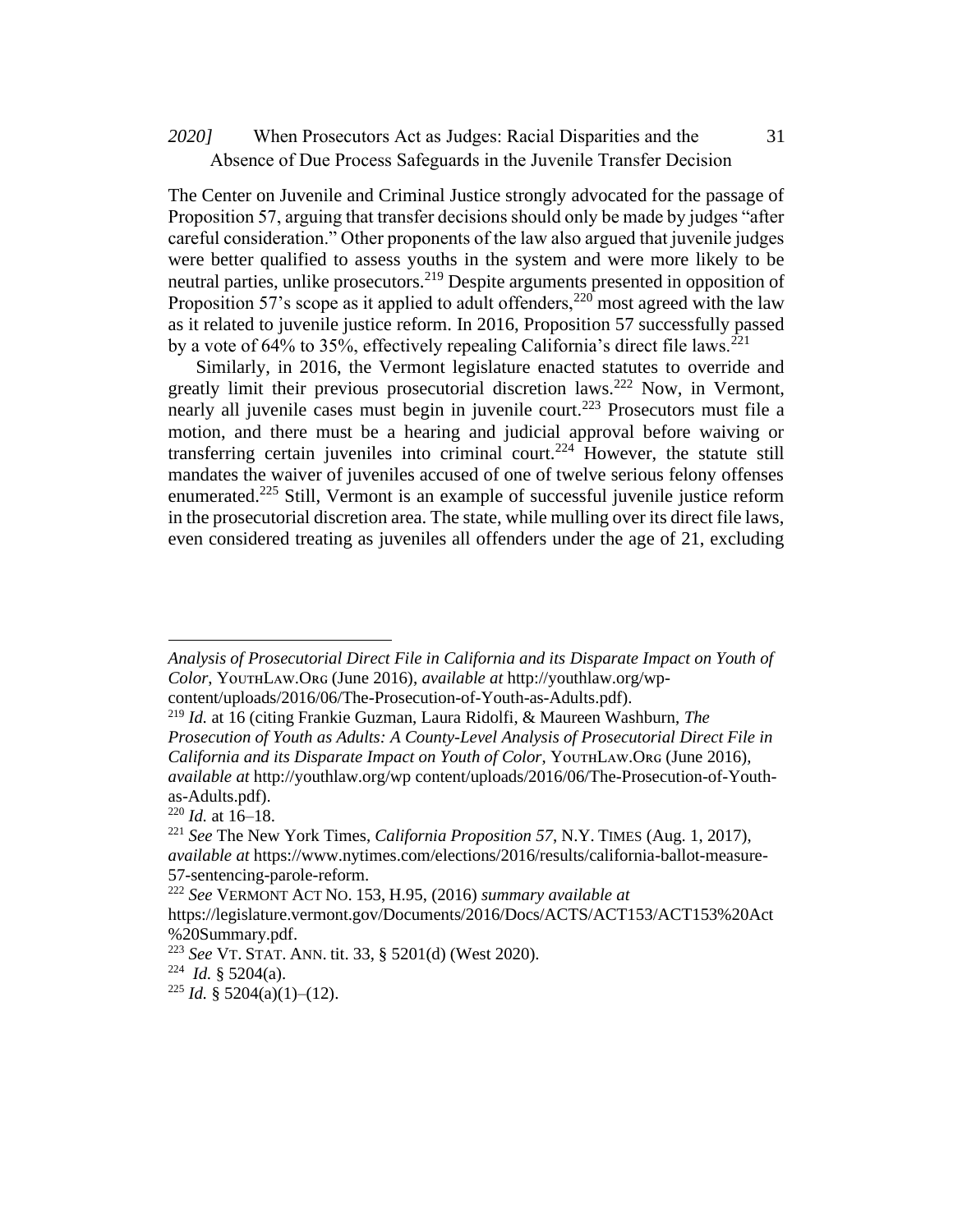### When Prosecutors Act as Judges: Racial Disparities and the *2020]* 31 Absence of Due Process Safeguards in the Juvenile Transfer Decision

The Center on Juvenile and Criminal Justice strongly advocated for the passage of Proposition 57, arguing that transfer decisions should only be made by judges "after careful consideration." Other proponents of the law also argued that juvenile judges were better qualified to assess youths in the system and were more likely to be neutral parties, unlike prosecutors.<sup>219</sup> Despite arguments presented in opposition of Proposition 57's scope as it applied to adult offenders,  $^{220}$  most agreed with the law as it related to juvenile justice reform. In 2016, Proposition 57 successfully passed by a vote of 64% to 35%, effectively repealing California's direct file laws.<sup>221</sup>

Similarly, in 2016, the Vermont legislature enacted statutes to override and greatly limit their previous prosecutorial discretion laws.<sup>222</sup> Now, in Vermont, nearly all juvenile cases must begin in juvenile court.<sup>223</sup> Prosecutors must file a motion, and there must be a hearing and judicial approval before waiving or transferring certain juveniles into criminal court.<sup>224</sup> However, the statute still mandates the waiver of juveniles accused of one of twelve serious felony offenses enumerated.<sup>225</sup> Still, Vermont is an example of successful juvenile justice reform in the prosecutorial discretion area. The state, while mulling over its direct file laws, even considered treating as juveniles all offenders under the age of 21, excluding

*Analysis of Prosecutorial Direct File in California and its Disparate Impact on Youth of Color*, YᴏᴜᴛʜLᴀᴡ.Oʀɢ (June 2016), *available at* http://youthlaw.org/wpcontent/uploads/2016/06/The-Prosecution-of-Youth-as-Adults.pdf).

<sup>219</sup> *Id.* at 16 (citing Frankie Guzman, Laura Ridolfi, & Maureen Washburn, *The* 

*Prosecution of Youth as Adults: A County-Level Analysis of Prosecutorial Direct File in California and its Disparate Impact on Youth of Color*, YᴏᴜᴛʜLᴀᴡ.Oʀɢ (June 2016), *available at* http://youthlaw.org/wp content/uploads/2016/06/The-Prosecution-of-Youthas-Adults.pdf).

 $220$  *Id.* at  $16-18$ .

<sup>221</sup> *See* The New York Times, *California Proposition 57*, N.Y. TIMES (Aug. 1, 2017), *available at* https://www.nytimes.com/elections/2016/results/california-ballot-measure-57-sentencing-parole-reform.

<sup>222</sup> *See* VERMONT ACT NO. 153, H.95, (2016) *summary available at*

https://legislature.vermont.gov/Documents/2016/Docs/ACTS/ACT153/ACT153%20Act %20Summary.pdf.

<sup>223</sup> *See* VT. STAT. ANN. tit. 33, § 5201(d) (West 2020).

<sup>224</sup> *Id.* § 5204(a).

<sup>&</sup>lt;sup>225</sup> *Id.* § 5204(a)(1)–(12).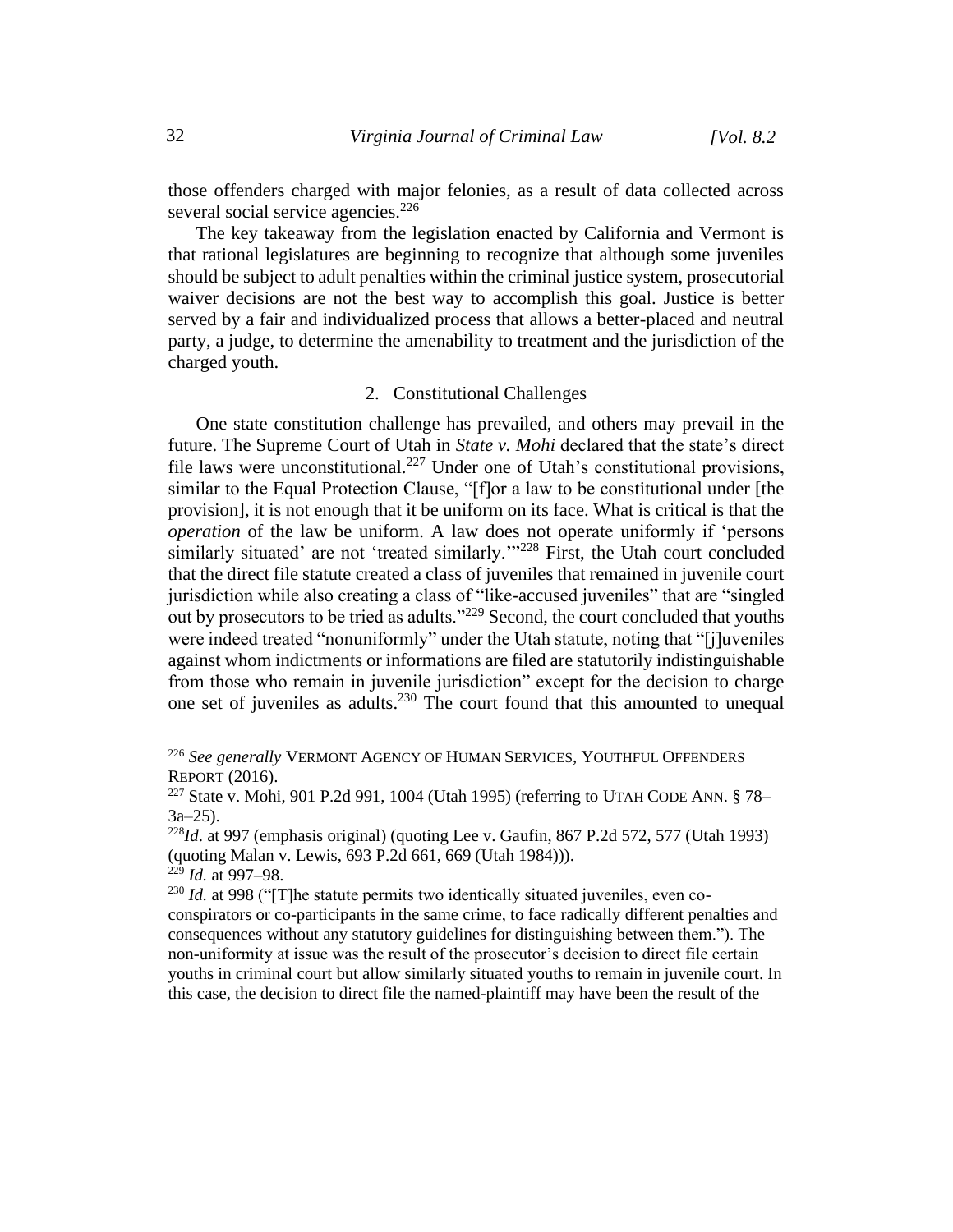those offenders charged with major felonies, as a result of data collected across several social service agencies.<sup>226</sup>

The key takeaway from the legislation enacted by California and Vermont is that rational legislatures are beginning to recognize that although some juveniles should be subject to adult penalties within the criminal justice system, prosecutorial waiver decisions are not the best way to accomplish this goal. Justice is better served by a fair and individualized process that allows a better-placed and neutral party, a judge, to determine the amenability to treatment and the jurisdiction of the charged youth.

### 2. Constitutional Challenges

One state constitution challenge has prevailed, and others may prevail in the future. The Supreme Court of Utah in *State v. Mohi* declared that the state's direct file laws were unconstitutional.<sup>227</sup> Under one of Utah's constitutional provisions, similar to the Equal Protection Clause, "[f]or a law to be constitutional under [the provision], it is not enough that it be uniform on its face. What is critical is that the *operation* of the law be uniform. A law does not operate uniformly if 'persons similarly situated' are not 'treated similarly.'"<sup>228</sup> First, the Utah court concluded that the direct file statute created a class of juveniles that remained in juvenile court jurisdiction while also creating a class of "like-accused juveniles" that are "singled out by prosecutors to be tried as adults."<sup>229</sup> Second, the court concluded that youths were indeed treated "nonuniformly" under the Utah statute, noting that "[j]uveniles against whom indictments or informations are filed are statutorily indistinguishable from those who remain in juvenile jurisdiction" except for the decision to charge one set of juveniles as adults.<sup>230</sup> The court found that this amounted to unequal

<sup>226</sup> *See generally* VERMONT AGENCY OF HUMAN SERVICES, YOUTHFUL OFFENDERS REPORT (2016).

<sup>&</sup>lt;sup>227</sup> State v. Mohi, 901 P.2d 991, 1004 (Utah 1995) (referring to UTAH CODE ANN.  $\S 78 3a-25$ ).

<sup>228</sup>*Id*. at 997 (emphasis original) (quoting Lee v. Gaufin, 867 P.2d 572, 577 (Utah 1993) (quoting Malan v. Lewis, 693 P.2d 661, 669 (Utah 1984))).

 $^{229}$  *Id.* at 997–98.

<sup>&</sup>lt;sup>230</sup> *Id.* at 998 ("[T] he statute permits two identically situated juveniles, even coconspirators or co-participants in the same crime, to face radically different penalties and consequences without any statutory guidelines for distinguishing between them."). The non-uniformity at issue was the result of the prosecutor's decision to direct file certain youths in criminal court but allow similarly situated youths to remain in juvenile court. In this case, the decision to direct file the named-plaintiff may have been the result of the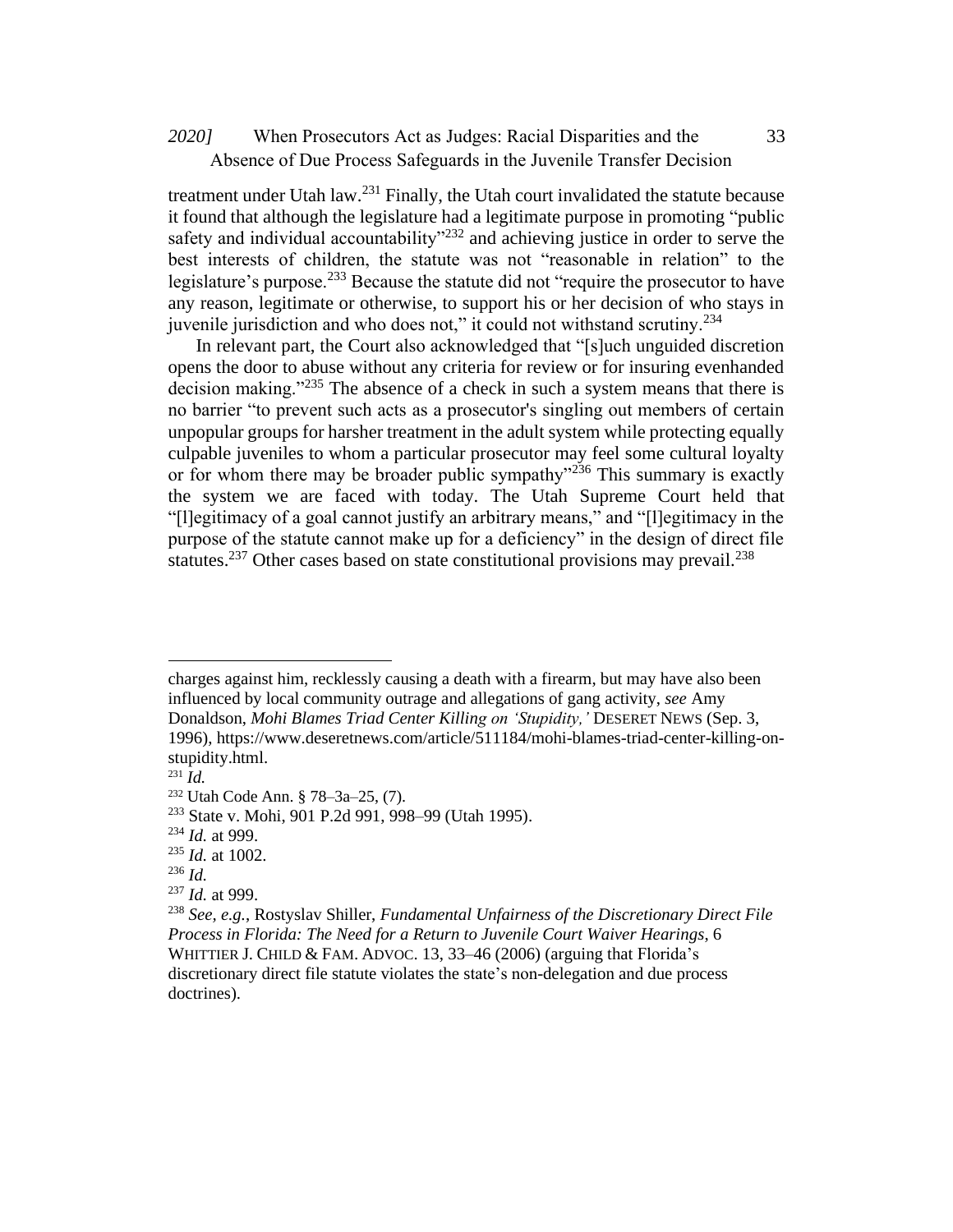# When Prosecutors Act as Judges: Racial Disparities and the *2020]* 33 Absence of Due Process Safeguards in the Juvenile Transfer Decision

treatment under Utah law. $^{231}$  Finally, the Utah court invalidated the statute because it found that although the legislature had a legitimate purpose in promoting "public safety and individual accountability"<sup>232</sup> and achieving justice in order to serve the best interests of children, the statute was not "reasonable in relation" to the legislature's purpose.<sup>233</sup> Because the statute did not "require the prosecutor to have any reason, legitimate or otherwise, to support his or her decision of who stays in juvenile jurisdiction and who does not," it could not withstand scrutiny.<sup>234</sup>

In relevant part, the Court also acknowledged that "[s]uch unguided discretion opens the door to abuse without any criteria for review or for insuring evenhanded decision making."<sup>235</sup> The absence of a check in such a system means that there is no barrier "to prevent such acts as a prosecutor's singling out members of certain unpopular groups for harsher treatment in the adult system while protecting equally culpable juveniles to whom a particular prosecutor may feel some cultural loyalty or for whom there may be broader public sympathy<sup>3236</sup> This summary is exactly the system we are faced with today. The Utah Supreme Court held that "[l]egitimacy of a goal cannot justify an arbitrary means," and "[l]egitimacy in the purpose of the statute cannot make up for a deficiency" in the design of direct file statutes.<sup>237</sup> Other cases based on state constitutional provisions may prevail.<sup>238</sup>

charges against him, recklessly causing a death with a firearm, but may have also been influenced by local community outrage and allegations of gang activity, *see* Amy Donaldson, *Mohi Blames Triad Center Killing on 'Stupidity,'* DESERET NEWS (Sep. 3, 1996), https://www.deseretnews.com/article/511184/mohi-blames-triad-center-killing-onstupidity.html.

<sup>231</sup> *Id.*

<sup>232</sup> Utah Code Ann. § 78–3a–25, (7).

<sup>233</sup> State v. Mohi, 901 P.2d 991, 998–99 (Utah 1995).

<sup>234</sup> *Id.* at 999.

<sup>235</sup> *Id.* at 1002.

<sup>236</sup> *Id.*

<sup>237</sup> *Id.* at 999.

<sup>238</sup> *See, e.g.*, Rostyslav Shiller, *Fundamental Unfairness of the Discretionary Direct File Process in Florida: The Need for a Return to Juvenile Court Waiver Hearings*, 6 WHITTIER J. CHILD & FAM. ADVOC. 13, 33-46 (2006) (arguing that Florida's discretionary direct file statute violates the state's non-delegation and due process doctrines).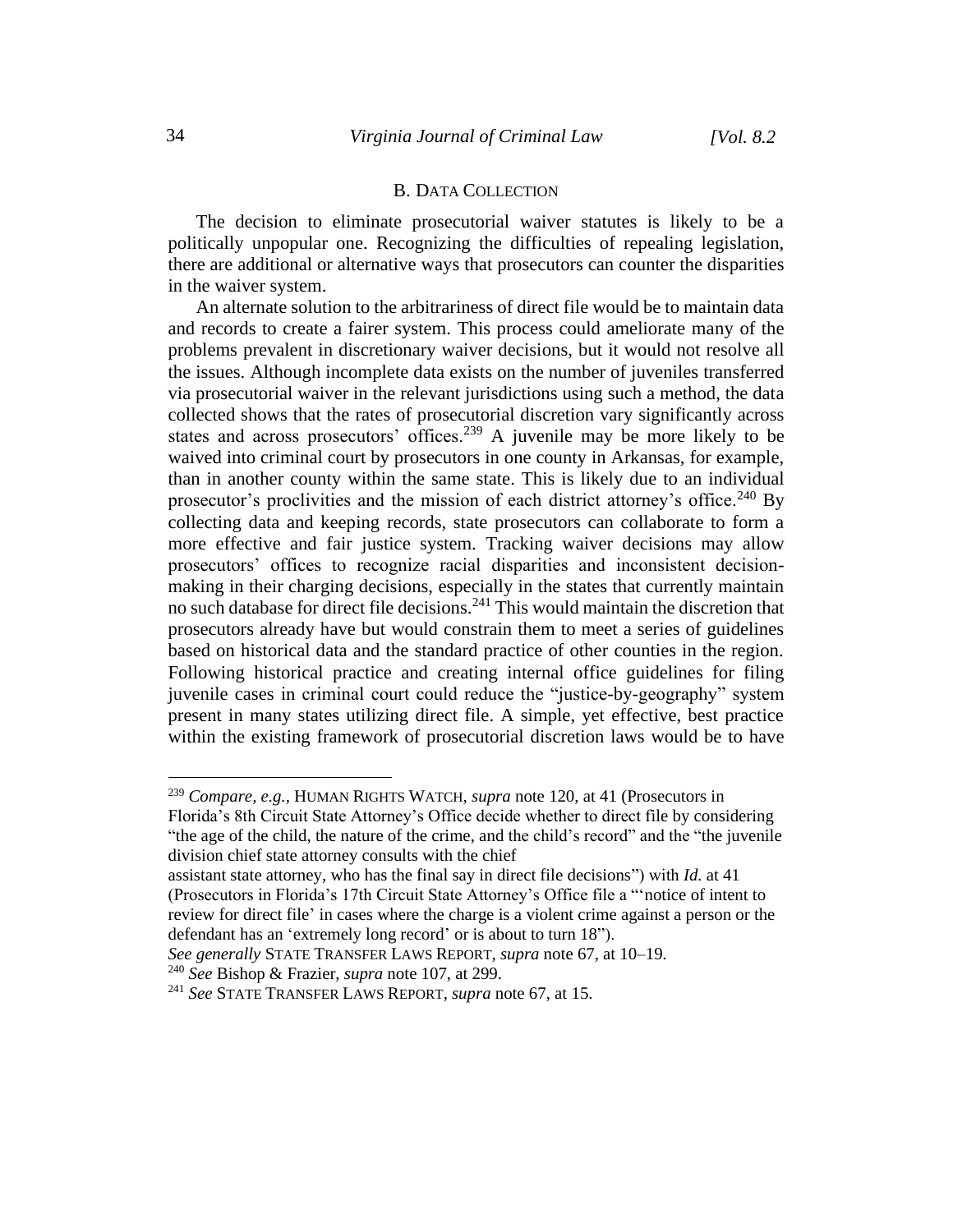### B. DATA COLLECTION

The decision to eliminate prosecutorial waiver statutes is likely to be a politically unpopular one. Recognizing the difficulties of repealing legislation, there are additional or alternative ways that prosecutors can counter the disparities in the waiver system.

An alternate solution to the arbitrariness of direct file would be to maintain data and records to create a fairer system. This process could ameliorate many of the problems prevalent in discretionary waiver decisions, but it would not resolve all the issues. Although incomplete data exists on the number of juveniles transferred via prosecutorial waiver in the relevant jurisdictions using such a method, the data collected shows that the rates of prosecutorial discretion vary significantly across states and across prosecutors' offices.<sup>239</sup> A juvenile may be more likely to be waived into criminal court by prosecutors in one county in Arkansas, for example, than in another county within the same state. This is likely due to an individual prosecutor's proclivities and the mission of each district attorney's office.<sup>240</sup> By collecting data and keeping records, state prosecutors can collaborate to form a more effective and fair justice system. Tracking waiver decisions may allow prosecutors' offices to recognize racial disparities and inconsistent decisionmaking in their charging decisions, especially in the states that currently maintain no such database for direct file decisions.<sup>241</sup> This would maintain the discretion that prosecutors already have but would constrain them to meet a series of guidelines based on historical data and the standard practice of other counties in the region. Following historical practice and creating internal office guidelines for filing juvenile cases in criminal court could reduce the "justice-by-geography" system present in many states utilizing direct file. A simple, yet effective, best practice within the existing framework of prosecutorial discretion laws would be to have

<sup>240</sup> *See* Bishop & Frazier, *supra* note 107, at 299.

<sup>239</sup> *Compare, e.g.*, HUMAN RIGHTS WATCH, *supra* note 120, at 41 (Prosecutors in

Florida's 8th Circuit State Attorney's Office decide whether to direct file by considering "the age of the child, the nature of the crime, and the child's record" and the "the juvenile division chief state attorney consults with the chief

assistant state attorney, who has the final say in direct file decisions") with *Id.* at 41 (Prosecutors in Florida's 17th Circuit State Attorney's Office file a "'notice of intent to review for direct file' in cases where the charge is a violent crime against a person or the defendant has an 'extremely long record' or is about to turn 18").

*See generally* STATE TRANSFER LAWS REPORT, *supra* note 67, at 10–19.

<sup>241</sup> *See* STATE TRANSFER LAWS REPORT, *supra* note 67, at 15.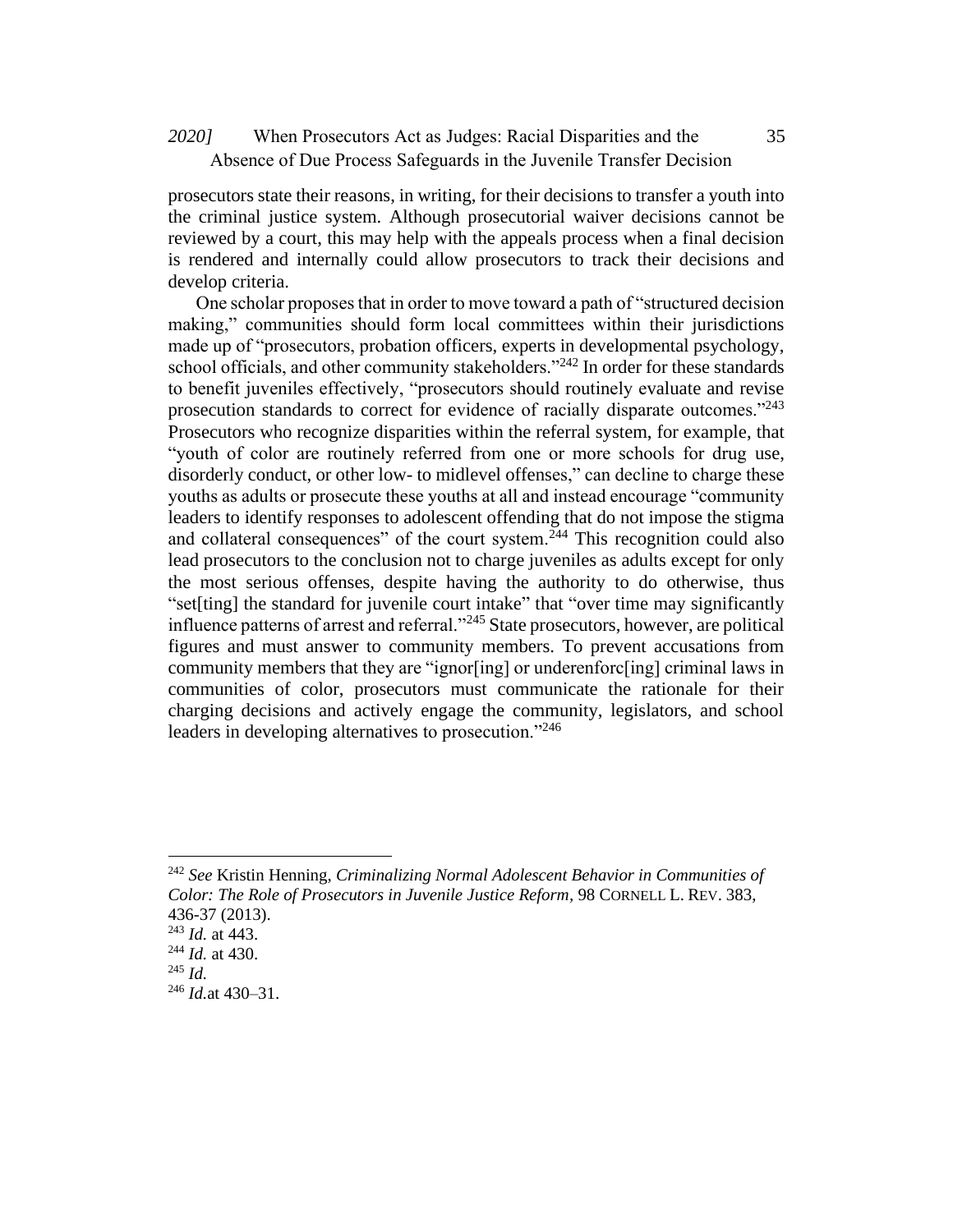# When Prosecutors Act as Judges: Racial Disparities and the *2020]* 35 Absence of Due Process Safeguards in the Juvenile Transfer Decision

prosecutors state their reasons, in writing, for their decisions to transfer a youth into the criminal justice system. Although prosecutorial waiver decisions cannot be reviewed by a court, this may help with the appeals process when a final decision is rendered and internally could allow prosecutors to track their decisions and develop criteria.

One scholar proposes that in order to move toward a path of "structured decision making," communities should form local committees within their jurisdictions made up of "prosecutors, probation officers, experts in developmental psychology, school officials, and other community stakeholders." $^{242}$  In order for these standards to benefit juveniles effectively, "prosecutors should routinely evaluate and revise prosecution standards to correct for evidence of racially disparate outcomes."<sup>243</sup> Prosecutors who recognize disparities within the referral system, for example, that "youth of color are routinely referred from one or more schools for drug use, disorderly conduct, or other low- to midlevel offenses," can decline to charge these youths as adults or prosecute these youths at all and instead encourage "community leaders to identify responses to adolescent offending that do not impose the stigma and collateral consequences" of the court system.<sup>244</sup> This recognition could also lead prosecutors to the conclusion not to charge juveniles as adults except for only the most serious offenses, despite having the authority to do otherwise, thus "set[ting] the standard for juvenile court intake" that "over time may significantly influence patterns of arrest and referral."<sup>245</sup> State prosecutors, however, are political figures and must answer to community members. To prevent accusations from community members that they are "ignor[ing] or underenforc[ing] criminal laws in communities of color, prosecutors must communicate the rationale for their charging decisions and actively engage the community, legislators, and school leaders in developing alternatives to prosecution."<sup>246</sup>

<sup>242</sup> *See* Kristin Henning, *Criminalizing Normal Adolescent Behavior in Communities of Color: The Role of Prosecutors in Juvenile Justice Reform,* 98 CORNELL L. REV. 383, 436-37 (2013).

<sup>243</sup> *Id.* at 443.

<sup>244</sup> *Id.* at 430.

<sup>245</sup> *Id.*

<sup>246</sup> *Id.*at 430–31.